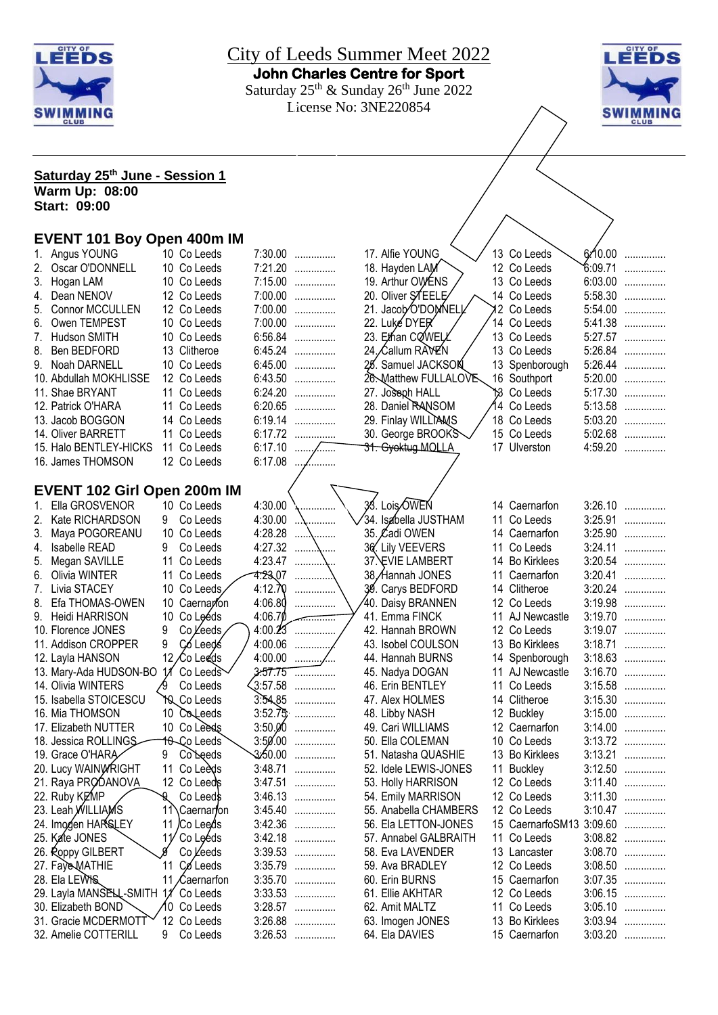



| Saturday 25 <sup>th</sup> June - Session 1 |    |                      |         |                |                       |                  |         |           |
|--------------------------------------------|----|----------------------|---------|----------------|-----------------------|------------------|---------|-----------|
| <b>Warm Up: 08:00</b>                      |    |                      |         |                |                       |                  |         |           |
| <b>Start: 09:00</b>                        |    |                      |         |                |                       |                  |         |           |
|                                            |    |                      |         |                |                       |                  |         |           |
| <b>EVENT 101 Boy Open 400m IM</b>          |    |                      |         |                |                       |                  |         |           |
| 1. Angus YOUNG                             |    | 10 Co Leeds          | 7:30.00 | .              | 17. Alfie YOUNG       | 13 Co Leeds      | 6/10.00 | .         |
| Oscar O'DONNELL<br>2.                      |    | 10 Co Leeds          | 7:21.20 | .              | 18. Hayden LAM        | 12 Co Leeds      | 6:09.71 | .         |
| Hogan LAM<br>3.                            |    | 10 Co Leeds          |         | 7:15.00        | 19. Arthur OWENS      | 13 Co Leeds      | 6:03.00 | .         |
| Dean NENOV<br>4.                           |    | 12 Co Leeds          |         | 7:00.00        | 20. Oliver STEELE     | 14 Co Leeds      | 5:58.30 | .         |
| 5.<br>Connor MCCULLEN                      |    | 12 Co Leeds          | 7:00.00 | .              | 21. Jacob O'DOMNELL   | 2 Co Leeds       | 5:54.00 | .         |
| Owen TEMPEST<br>6.                         |    | 10 Co Leeds          | 7:00.00 | .              | 22. Luke DYER         | 14 Co Leeds      | 5:41.38 | .         |
| Hudson SMITH<br>7.                         |    | 10 Co Leeds          | 6:56.84 | .              | 23. Ethan CQWELL      | 13 Co Leeds      | 5:27.57 | .         |
| 8.<br>Ben BEDFORD                          |    | 13 Clitheroe         | 6:45.24 | .              | 24. Callum RAVEN      | 13 Co Leeds      | 5:26.84 | .         |
| 9. Noah DARNELL                            |    | 10 Co Leeds          | 6:45.00 | .              | 25. Samuel JACKSON    | 13 Spenborough   | 5:26.44 | .         |
|                                            |    | 12 Co Leeds          | 6:43.50 |                | 26. Matthew FULLALOVE | 16 Southport     | 5:20.00 |           |
| 10. Abdullah MOKHLISSE                     |    |                      | 6:24.20 | .              |                       |                  | 5:17.30 | .         |
| 11. Shae BRYANT                            |    | 11 Co Leeds          |         | .              | 27. Joseph HALL       | 13 Co Leeds      |         | .         |
| 12. Patrick O'HARA                         |    | 11 Co Leeds          |         | 6:20.65        | 28. Daniel RANSOM     | 14 Co Leeds      |         | 5:13.58   |
| 13. Jacob BOGGON                           |    | 14 Co Leeds          |         | 6:19.14        | 29. Finlay WILLIAMS   | 18 Co Leeds      |         | $5:03.20$ |
| 14. Oliver BARRETT                         |    | 11 Co Leeds          |         | 6:17.72        | 30. George BROOKS     | 15 Co Leeds      |         | 5:02.68   |
| 15. Halo BENTLEY-HICKS                     |    | 11 Co Leeds          | 6:17.10 |                | 31. Gyoktug MOLLA     | 17 Ulverston     |         | 4:59.20   |
| 16. James THOMSON                          |    | 12 Co Leeds          | 6:17.08 |                |                       |                  |         |           |
|                                            |    |                      |         |                |                       |                  |         |           |
| EVENT 102 Girl Open 200m IM                |    |                      |         |                |                       |                  |         |           |
| Ella GROSVENOR<br>1.                       |    | 10 Co Leeds          | 4:30.00 |                | 33. Lois OWEN         | 14 Caernarfon    |         | $3:26.10$ |
| 2.<br>Kate RICHARDSON                      | 9. | Co Leeds             | 4:30.00 |                | 34. Isabella JUSTHAM  | 11 Co Leeds      | 3:25.91 | .         |
| Maya POGOREANU<br>3.                       |    | 10 Co Leeds          | 4:28.28 |                | 35. Cadi OWEN         | 14 Caernarfon    | 3:25.90 | .         |
| Isabelle READ<br>4.                        | 9  | Co Leeds             | 4:27.32 | .<br>.         | 36. Lily VEEVERS      | 11 Co Leeds      | 3:24.11 | .         |
| Megan SAVILLE<br>5.                        | 11 | Co Leeds             | 4:23.47 |                | 37. EVIE LAMBERT      | 14 Bo Kirklees   | 3:20.54 | .         |
| Olivia WINTER<br>6.                        | 11 | Co Leeds             | 4:23,07 |                | 38, Hannah JONES      | 11 Caernarfon    | 3:20.41 | .         |
| 7. Livia STACEY                            |    | 10 Co Leeds          | 4:12.70 | .              | 39. Carys BEDFORD     | 14 Clitheroe     |         | $3:20.24$ |
| 8.<br>Efa THOMAS-OWEN                      | 10 | Caernarfon           | 4:06.80 | .              | 40. Daisy BRANNEN     | 12 Co Leeds      |         | 3:19.98   |
| 9. Heidi HARRISON                          | 10 | Co Leéds             | 4:06.70 |                | 41. Emma FINCK        | 11 AJ Newcastle  | 3:19.70 | .         |
| 10. Florence JONES                         | 9  | Co Leeds             |         | $4:00.25$      | 42. Hannah BROWN      | 12 Co Leeds      |         | 3:19.07   |
| 11. Addison CROPPER                        | 9  | Có Leeds             | 4:00.06 | .              | 43. Isobel COULSON    | 13 Bo Kirklees   | 3:18.71 | .         |
| 12. Layla HANSON                           |    | 12 Co Leeds          | 4:00.00 | .              | 44. Hannah BURNS      | 14 Spenborough   |         | $3:18.63$ |
| 13. Mary-Ada HUDSON-BO                     |    | Co Leeds             | 3.57.75 | .              | 45. Nadya DOGAN       | 11 AJ Newcastle  |         | 3:16.70   |
| 14. Olivia WINTERS                         |    | Co Leeds             | 3:57.58 |                | 46. Erin BENTLEY      | 11 Co Leeds      | 3:15.58 | .         |
| 15. Isabella STOICESCU                     | 10 | Co Leeds             | 3.54.85 | .              | 47. Alex HOLMES       | 14 Clitheroe     | 3:15.30 |           |
| 16. Mia THOMSON                            |    | 10 Coleeds           | 3:52.75 |                | 48. Libby NASH        | 12 Buckley       | 3:15.00 |           |
|                                            |    |                      |         | .<br>$3:50.00$ |                       | 12 Caernarfon    | 3:14.00 | .         |
| 17. Elizabeth NUTTER                       |    | 10 Co Leeds          |         |                | 49. Cari WILLIAMS     |                  |         | .         |
| 18. Jessica ROLLINGS                       |    | 10 Co Leeds          |         | $3:50.00$      | 50. Ella COLEMAN      | 10 Co Leeds      | 3:13.72 | .         |
| 19. Grace O'HARA                           | 9  | Co Leeds             | 3:50.00 | .              | 51. Natasha QUASHIE   | 13 Bo Kirklees   | 3:13.21 | .         |
| 20. Lucy WAINWRIGHT                        | 11 | Co Leeds             | 3:48.71 | .              | 52. Idele LEWIS-JONES | 11 Buckley       | 3:12.50 | .         |
| 21. Raya PRODANOVA                         |    | 12 Co Leeds          | 3:47.51 | .              | 53. Holly HARRISON    | 12 Co Leeds      | 3:11.40 | .         |
| 22. Ruby KEMP                              | ঀৢ | Co Leeds             | 3:46.13 | .              | 54. Emily MARRISON    | 12 Co Leeds      | 3:11.30 | .         |
| 23. Leah WILLIAMS                          | 11 | ∖Caernar <b>f</b> on | 3:45.40 | .              | 55. Anabella CHAMBERS | 12 Co Leeds      |         | 3:10.47   |
| 24. Imogen HARSLEY                         | 11 | /Co Lee⁄ds           | 3:42.36 | .              | 56. Ela LETTON-JONES  | 15 CaernarfoSM13 | 3:09.60 | .         |
| 25. Kate JONES                             | 11 | Co Leeds             | 3:42.18 | .              | 57. Annabel GALBRAITH | 11 Co Leeds      |         | 3:08.82   |
| 26. Roppy GILBERT                          | Ø  | Co Leeds             | 3:39.53 | .              | 58. Eva LAVENDER      | 13 Lancaster     | 3:08.70 | .         |
| 27. Faye MATHIE                            | 11 | Co Leeds             | 3:35.79 | .              | 59. Ava BRADLEY       | 12 Co Leeds      | 3:08.50 | .         |
| 28. Ela LEWIS                              | 11 | ∕Caernarfon          | 3:35.70 | .              | 60. Erin BURNS        | 15 Caernarfon    | 3:07.35 | .         |
| 29. Layla MANSELL-SMITH 11                 |    | Co Leeds             | 3:33.53 | .              | 61. Ellie AKHTAR      | 12 Co Leeds      | 3:06.15 | .         |
| 30. Elizabeth BOND                         |    | 10 Co Leeds          | 3:28.57 | .              | 62. Amit MALTZ        | 11 Co Leeds      | 3:05.10 | .         |
| 31. Gracie MCDERMOTT                       |    | 12 Co Leeds          | 3:26.88 | .              | 63. Imogen JONES      | 13 Bo Kirklees   | 3:03.94 |           |
| 32. Amelie COTTERILL                       | 9  | Co Leeds             |         | 3:26.53        | 64. Ela DAVIES        | 15 Caernarfon    | 3:03.20 | .         |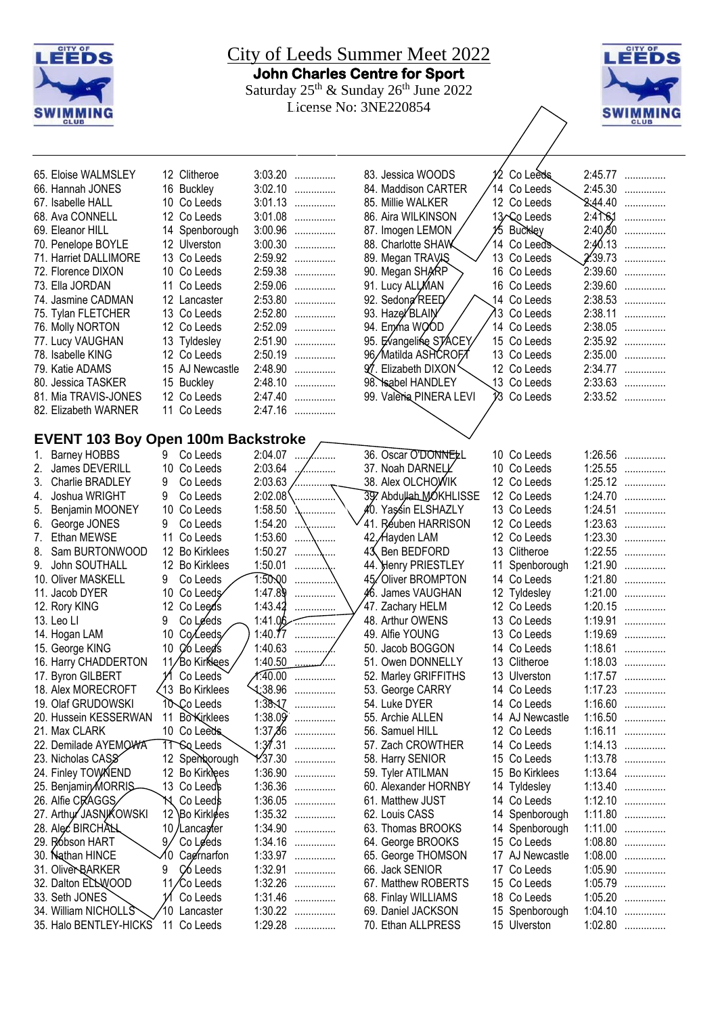| CITY OF<br><u>City of Leeds Summer Meet 2022</u><br>LEEDS |    |                             |                    |                |                                                                                        |    |                               |                     | <b>CITY OF</b><br>LEEDS        |
|-----------------------------------------------------------|----|-----------------------------|--------------------|----------------|----------------------------------------------------------------------------------------|----|-------------------------------|---------------------|--------------------------------|
|                                                           |    |                             |                    |                | <b>John Charles Centre for Sport</b>                                                   |    |                               |                     |                                |
|                                                           |    |                             |                    |                | Saturday 25 <sup>th</sup> & Sunday 26 <sup>th</sup> June 2022<br>License No: 3NE220854 |    |                               |                     |                                |
| <b>SWIMMING</b><br><b>CLUB</b>                            |    |                             |                    |                |                                                                                        |    |                               |                     | <b>SWIMMING</b><br><b>CLUB</b> |
|                                                           |    |                             |                    |                |                                                                                        |    |                               |                     |                                |
| 65. Eloise WALMSLEY                                       |    | 12 Clitheroe                | 3:03.20            | .              | 83. Jessica WOODS                                                                      |    | Co Leeds                      |                     | 2:45.77                        |
| 66. Hannah JONES                                          |    | 16 Buckley                  | 3:02.10            | .              | 84. Maddison CARTER                                                                    |    | 14 Co Leeds                   | 2:45.30             | .                              |
| 67. Isabelle HALL                                         |    | 10 Co Leeds                 | 3:01.13            | .              | 85. Millie WALKER                                                                      |    | 12 Co Leeds                   | 2.44.40             | .                              |
| 68. Ava CONNELL                                           |    | 12 Co Leeds                 | 3:01.08<br>.       |                | 86. Aira WILKINSON                                                                     |    | 13 Co Leeds                   | $2:4$ $\frac{1}{6}$ | .                              |
| 69. Eleanor HILL                                          |    | 14 Spenborough              | 3:00.96<br>.       |                | 87. Imogen LEMON                                                                       |    | 15 Buckley                    | 2:40,80             | .                              |
| 70. Penelope BOYLE                                        |    | 12 Ulverston                | 3:00.30            | .              | 88. Charlotte SHAW                                                                     |    | 14 Co Leeds                   | 2:40.13             | .                              |
| 71. Harriet DALLIMORE                                     |    | 13 Co Leeds                 | 2:59.92            |                | 89. Megan TRAVAS                                                                       |    | 13 Co Leeds                   | 2'39.73             | .                              |
| 72. Florence DIXON                                        |    | 10 Co Leeds                 | 2:59.38            | .              | 90. Megan SHARP                                                                        |    | 16 Co Leeds                   | 2:39.60             | .                              |
| 73. Ella JORDAN                                           |    | 11 Co Leeds                 | 2:59.06            | .              | 91. Lucy ALLMAN                                                                        |    | 16 Co Leeds                   | 2:39.60             | .                              |
| 74. Jasmine CADMAN                                        |    | 12 Lancaster<br>13 Co Leeds | 2:53.80<br>2:52.80 | .              | 92. Sedona REED<br>93. Haze/BLAIN                                                      |    | 14 Co Leeds<br>13 Co Leeds    | 2:38.53<br>2:38.11  | .                              |
| 75. Tylan FLETCHER<br>76. Molly NORTON                    |    | 12 Co Leeds                 | 2:52.09            | .<br>.         | 94. Emma WOOD                                                                          |    | 14 Co Leeds                   | 2:38.05             | .<br>.                         |
| 77. Lucy VAUGHAN                                          |    | 13 Tyldesley                | 2:51.90            | .              | 95. Evangeline STACEY                                                                  |    | 15 Co Leeds                   | 2:35.92             | .                              |
| 78. Isabelle KING                                         |    | 12 Co Leeds                 | 2:50.19            | .              | 96/Matilda ASHCROFT                                                                    |    | 13 Co Leeds                   | 2:35.00             | .                              |
| 79. Katie ADAMS                                           |    | 15 AJ Newcastle             | 2:48.90            | .              | 97. Elizabeth DIXON'                                                                   |    | 12 Co Leeds                   |                     | 2:34.77                        |
| 80. Jessica TASKER                                        |    | 15 Buckley                  | 2:48.10            | .              | 98. Sabel HANDLEY                                                                      |    | 13 Co Leeds                   |                     | 2:33.63                        |
| 81. Mia TRAVIS-JONES                                      |    | 12 Co Leeds                 | 2:47.40            | .              | 99. Valeria PINERA LEVI                                                                |    | V <sub>3</sub> Co Leeds       |                     | 2:33.52                        |
| 82. Elizabeth WARNER                                      |    | 11 Co Leeds                 | 2:47.16            |                |                                                                                        |    |                               |                     |                                |
|                                                           |    |                             |                    |                |                                                                                        |    |                               |                     |                                |
| <b>EVENT 103 Boy Open 100m Backstroke</b>                 |    |                             |                    |                |                                                                                        |    |                               |                     |                                |
| <b>Barney HOBBS</b><br>1.                                 | 9. | Co Leeds                    | 2:04.07            | , <sub>.</sub> | 36. Oscar O'DONNELL                                                                    |    | 10 Co Leeds                   | 1:26.56             | .                              |
| James DEVERILL<br>2.                                      |    | 10 Co Leeds                 | 2:03.64            | .              | 37. Noah DARNELL                                                                       |    | 10 Co Leeds                   |                     | 1:25.55                        |
| Charlie BRADLEY<br>3.                                     | 9  | Co Leeds                    | 2:03.63            |                | 38. Alex OLCHOWIK                                                                      |    | 12 Co Leeds                   |                     | 1:25.12                        |
| Joshua WRIGHT<br>4.                                       | 9  | Co Leeds                    | 2:02.08            | .              | 39. Abdullah MOKHLISSE                                                                 |    | 12 Co Leeds                   | 1:24.70             | .                              |
| Benjamin MOONEY<br>5.                                     |    | 10 Co Leeds                 | 1:58.50            | .              | ∦0. Yas∕sin ELSHAZLY                                                                   |    | 13 Co Leeds                   | 1:24.51             | .                              |
| George JONES<br>6.                                        | 9  | Co Leeds                    | 1:54.20            |                | 41. Réuben HARRISON                                                                    |    | 12 Co Leeds                   | 1:23.63             | .                              |
| Ethan MEWSE<br>7.                                         |    | 11 Co Leeds                 | 1:53.60            | .              | 42. Hayden LAM                                                                         |    | 12 Co Leeds                   | 1:23.30             | .                              |
| Sam BURTONWOOD<br>8.                                      |    | 12 Bo Kirklees              | 1:50.27            |                | Ben BEDFORD<br>43                                                                      |    | 13 Clitheroe                  | 1:22.55             | .                              |
| John SOUTHALL<br>9.<br>10. Oliver MASKELL                 | 9  | 12 Bo Kirklees<br>Co Leeds  | 1:50.01<br>1.50,00 |                | 44. Henry PRIESTLEY<br>45/Oliver BROMPTON                                              |    | 11 Spenborough<br>14 Co Leeds | 1:21.80             | 1:21.90                        |
| 11. Jacob DYER                                            |    | 10 Co Leeds                 | 1:47.89            |                | 46. James VAUGHAN                                                                      |    | 12 Tyldesley                  | 1:21.00             | .                              |
| 12. Rory KING                                             |    | 12 Co Leeds                 | 1:43.42            | .              | 47. Zachary HELM                                                                       |    | 12 Co Leeds                   | 1:20.15             | .<br>                          |
| 13. Leo Ll                                                | 9  | Co Leeds                    | 1:41.06            | .              | 48. Arthur OWENS                                                                       |    | 13 Co Leeds                   | 1:19.91             | .                              |
| 14. Hogan LAM                                             | 10 | Co/Leeds                    | 1:40.77<br>.       |                | 49. Alfie YOUNG                                                                        |    | 13 Co Leeds                   | 1:19.69             | .                              |
| 15. George KING                                           | 10 | Co Leed's                   | 1:40.63<br>. ,     |                | 50. Jacob BOGGON                                                                       |    | 14 Co Leeds                   | 1:18.61             | .                              |
| 16. Harry CHADDERTON                                      |    | 11/Bo Kirklees              | 1:40.50            | ….             | 51. Owen DONNELLY                                                                      |    | 13 Clitheroe                  |                     | $1:18.03$                      |
| 17. Byron GILBERT                                         |    | Co Leeds                    | X:40.00            | .              | 52. Marley GRIFFITHS                                                                   |    | 13 Ulverston                  |                     | 1:17.57                        |
| 18. Alex MORECROFT                                        |    | √13 Bo Kirklees             | $\frac{138.96}{1}$ | .              | 53. George CARRY                                                                       |    | 14 Co Leeds                   | 1:17.23             | .                              |
| 19. Olaf GRUDOWSKI                                        |    | 10 Co Leeds                 | 1:38.17            | .              | 54. Luke DYER                                                                          |    | 14 Co Leeds                   | 1:16.60             | .                              |
| 20. Hussein KESSERWAN                                     |    | 11 Bo <b>Kirklees</b>       | 1:38.09'<br>.      |                | 55. Archie ALLEN                                                                       |    | 14 AJ Newcastle               | 1:16.50             | .                              |
| 21. Max CLARK                                             |    | 10 Co Leeds                 | 1:37,86<br>.       |                | 56. Samuel HILL                                                                        |    | 12 Co Leeds                   | 1:16.11             | .                              |
| 22. Demilade AYEMOWA                                      |    | 11 Sq Leeds                 | 1:37.31            | .              | 57. Zach CROWTHER                                                                      |    | 14 Co Leeds                   | 1:14.13             | .                              |
| 23. Nicholas CASS                                         |    | 12 Spenborough              | 1.37.30            | .              | 58. Harry SENIOR                                                                       |    | 15 Co Leeds                   |                     | 1:13.78                        |
| 24. Finley TOWANEND                                       |    | 12 Bo Kirklees              | 1:36.90            | .              | 59. Tyler ATILMAN                                                                      |    | 15 Bo Kirklees                |                     | $1:13.64$                      |
| 25. Benjamin/MORRIS-                                      |    | 13 Co Leeds                 | 1:36.36            | .              | 60. Alexander HORNBY                                                                   |    | 14 Tyldesley                  |                     | 1:13.40                        |
| 26. Alfie CRAGGS                                          | `N | Co Leeds                    | 1:36.05<br>.       |                | 61. Matthew JUST                                                                       |    | 14 Co Leeds                   |                     | $1:12.10$                      |
| 27. Arthur JASNIKOWSKI                                    | 12 | Bo Kirklees                 | 1:35.32            | .              | 62. Louis CASS                                                                         |    | 14 Spenborough                |                     | 1:11.80                        |
| 28. Alec BIRCHAN<br>29. Róbson HART                       | 9. | 10/Lancaster                | 1:34.90<br>1:34.16 | .              | 63. Thomas BROOKS                                                                      |    | 14 Spenborough<br>15 Co Leeds | 1:08.80             | $1:11.00$                      |
| 30. Nathan HINCE                                          | Λ0 | Co Leeds<br>Cagrnarfon      | 1:33.97            | .              | 64. George BROOKS<br>65. George THOMSON                                                |    | 17 AJ Newcastle               | 1:08.00             | .<br>.                         |
| 31. Oliver BARKER                                         | 9  | C <sub>6</sub> Leeds        | 1:32.91            | .<br>.         | 66. Jack SENIOR                                                                        |    | 17 Co Leeds                   | 1:05.90             | .                              |
| 32. Dalton ELLWOOD                                        |    | ⁄Co Leeds                   | 1:32.26            | .              | 67. Matthew ROBERTS                                                                    | 15 | Co Leeds                      | 1:05.79             | .                              |
| 33. Seth JONES                                            |    | Co Leeds                    | 1:31.46            | .              | 68. Finlay WILLIAMS                                                                    |    | 18 Co Leeds                   | 1:05.20             | .                              |
| 34. William NICHOLLS                                      |    | 10 Lancaster                | 1:30.22            | .              | 69. Daniel JACKSON                                                                     |    | 15 Spenborough                | 1:04.10             | .                              |
| 35. Halo BENTLEY-HICKS                                    |    | 11 Co Leeds                 | 1:29.28            | .              | 70. Ethan ALLPRESS                                                                     |    | 15 Ulverston                  | 1:02.80             | .                              |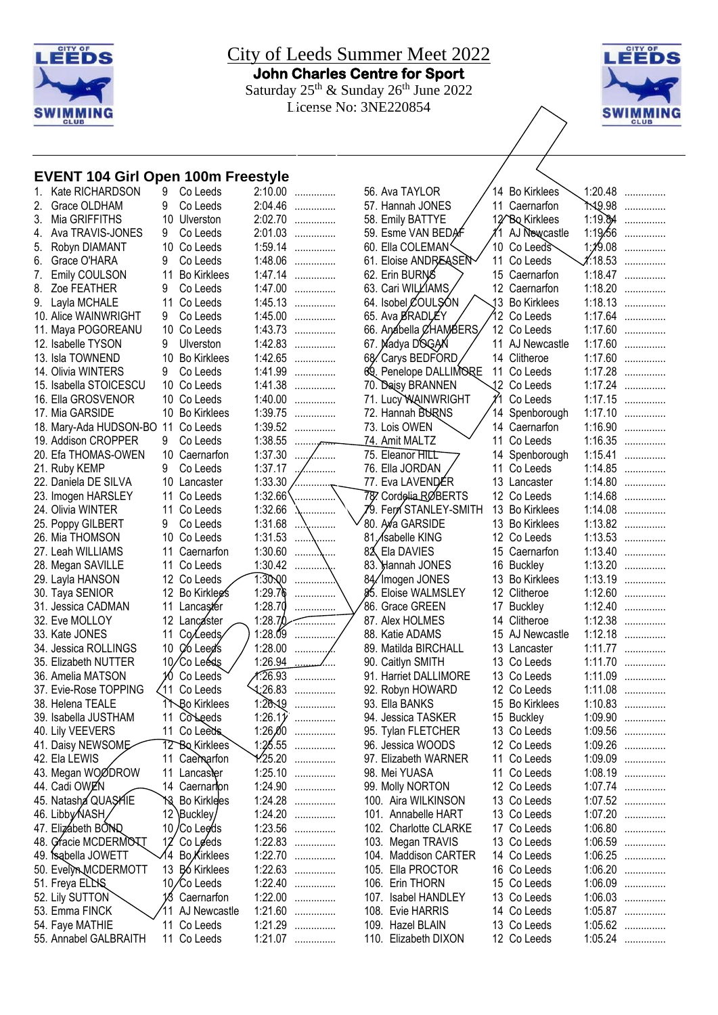

City of Leeds Summer Meet 2022 **John Charles Centre for Sport**  Saturday  $25^{th}$  & Sunday  $26^{th}$  June 2022 License No: 3NE220854



#### **EVENT 104 Girl Open 100m Freestyle** 2:10.00 ...............

| 1. | Kate RICHARDSON        | 9               | Co Leeds                       | 2:10.00          | . |
|----|------------------------|-----------------|--------------------------------|------------------|---|
| 2. | Grace OLDHAM           | 9               | Co Leeds                       | 2:04.46          | . |
| 3. | Mia GRIFFITHS          | 10              | Ulverston                      | 2:02.70          | . |
| 4. | Ava TRAVIS-JONES       | 9               | Co Leeds                       | 2:01.03          | . |
| 5. | Robyn DIAMANT          | 10              | Co Leeds                       | 1:59.14          | . |
| 6. | Grace O'HARA           | 9               | Co Leeds                       | 1:48.06          | . |
| 7. | Emily COULSON          | 11              | <b>Bo Kirklees</b>             | 1:47.14          | . |
| 8. | Zoe FEATHER            | 9               | Co Leeds                       | 1:47.00          | . |
| 9. | Layla MCHALE           | 11              | Co Leeds                       | 1:45.13          | . |
|    | 10. Alice WAINWRIGHT   | 9               | Co Leeds                       | 1:45.00          | . |
|    | 11. Maya POGOREANU     | 10              | Co Leeds                       | 1:43.73          | . |
|    | 12. Isabelle TYSON     | 9               | Ulverston                      | 1:42.83          | . |
|    | 13. Isla TOWNEND       | 10              | <b>Bo Kirklees</b>             | 1:42.65          | . |
|    | 14. Olivia WINTERS     | 9               | Co Leeds                       | 1:41.99          |   |
|    | 15. Isabella STOICESCU | 10              | Co Leeds                       | 1:41.38          | . |
|    | 16. Ella GROSVENOR     | 10              | Co Leeds                       | 1:40.00          | . |
|    | 17. Mia GARSIDE        | 10              | <b>Bo Kirklees</b>             | 1:39.75          | . |
|    | 18. Mary-Ada HUDSON-BO | 11              | Co Leeds                       | 1:39.52          | . |
|    | 19. Addison CROPPER    | 9               | Co Leeds                       | 1:38.55          |   |
|    | 20. Efa THOMAS-OWEN    | 10              | Caernarfon                     | 1:37.30          |   |
|    | 21. Ruby KEMP          | 9               | Co Leeds                       | 1:37.17          |   |
|    | 22. Daniela DE SILVA   | 10              | Lancaster                      | 1:33.30          |   |
|    | 23. Imogen HARSLEY     | 11              | Co Leeds                       | 1:32.66          |   |
|    | 24. Olivia WINTER      | 11              | Co Leeds                       | 1:32.66          |   |
|    | 25. Poppy GILBERT      | 9               | Co Leeds                       | 1:31.68          |   |
|    | 26. Mia THOMSON        | 10              | Co Leeds                       | 1:31.53          |   |
|    | 27. Leah WILLIAMS      | 11              | Caernarfon                     | 1:30.60          |   |
|    | 28. Megan SAVILLE      | 11              | Co Leeds                       | 1:30.42          |   |
|    | 29. Layla HANSON       |                 | 12 Co Leeds                    | 1:30.00          |   |
|    | 30. Taya SENIOR        |                 | 12 Bo Kirklegs                 | 1:29.76          |   |
|    | 31. Jessica CADMAN     | 11              | Lancaster                      | 1:28.70          |   |
|    | 32. Eve MOLLOY         | 12              | Lancaster                      | 1:28.70          |   |
|    | 33. Kate JONES         | 11              | Co/Leeds                       | 1:28.09          |   |
|    | 34. Jessica ROLLINGS   | 10              | Co Leed's                      | 1:28.00          |   |
|    | 35. Elizabeth NUTTER   | 10,             | 'Co Leéds                      | 1:26.94          |   |
|    | 36. Amelia MATSON      | 10              | Co Leeds                       | 1:26.93          |   |
|    | 37. Evie-Rose TOPPING  | 11              | Co Leeds                       | 4:26.83          |   |
|    | 38. Helena TEALE       |                 | <b>Bo Kirklees</b>             | 1:26.19          |   |
|    | 39. Isabella JUSTHAM   | 11              | CoLeeds                        | 1:26.1 $\hat{y}$ | . |
|    | 40. Lily VEEVERS       | 11              | Co Leeds                       | 1:26,00          | . |
|    | 41. Daisy NEWSOME      |                 | 12 Bo Kirklees                 | 1:25.55          | . |
|    | 42. Ela LEWIS          | 11              | Caemarfon                      | 1.25.20          | . |
|    | 43. Megan WOØDROW      | 11              | Lancaster                      | 1:25.10          | . |
|    | 44. Cadi OWEN          | 14              | Caernarion                     | 1:24.90          | . |
|    | 45. Natasha QUAŞHIE    | 13              | <b>Bo Kirklees</b>             | 1:24.28          | . |
|    | 46. Libby NASH,        |                 | 12 Buckley                     | 1:24.20          | . |
|    | 47. Elizábeth BOND     | 10 <sub>1</sub> | /Co Lee⁄ds                     | 1:23.56          | . |
|    | 48. Gracie MCDERMONT   | 12              | Co Leeds                       | 1:22.83          | . |
|    | 49. Sabella JOWETT     | 14              | <b>Bo</b> Kirklees             | 1:22.70          | . |
|    | 50. Evelyn MCDERMOTT   | 13              | <b>B</b> <sub>6</sub> Kirklees | 1:22.63          | . |
|    | 51. Freya ELLS         |                 | 10/Co Leeds                    | 1:22.40          | . |
|    | 52. Lily SUTTON        |                 | 13 Caernarfon                  | 1:22.00          | . |
|    | 53. Emma FINCK         | 11              | AJ Newcastle                   | 1:21.60          | . |
|    | 54. Faye MATHIE        | 11              | Co Leeds                       | 1:21.29          | . |
|    | 55. Annabel GALBRAITH  |                 | 11 Co Leeds                    | 1:21.07          | . |

| 56. Ava TAYLOR                     |    | 14 Bo Kirklees                | 1:20.48            | .      |
|------------------------------------|----|-------------------------------|--------------------|--------|
| 57. Hannah JONES                   |    | 11 Caernarfon                 | ት.19.98            | .      |
| 58. Emily BATTYE                   |    | 12 <sup>/</sup> Bo Kirklees   | 1:19.84            | .      |
| 59. Esme VAN BEDAF                 |    | 11 AJ Newcastle               | 1:19.56            | .      |
| 60. Ella COLEMAN <sup>&lt;</sup>   |    | 10 Co Leeds                   | 1:19.08            | .<br>. |
| 61. Eloise ANDREASEN               | 11 | Co Leeds                      | 1.18.53            | .      |
| 62. Erin BURNS                     |    | 15 Caernarfon                 | 1:18.47            |        |
| 63. Cari WILLIAMS,                 |    | 12 Caernarfon                 | 1:18.20            | .      |
| 64. Isobel COULSON                 |    | 13 Bo Kirklees                | 1:18.13            |        |
| 65. Ava ØRADLÉY                    |    | 12 Co Leeds                   | 1:17.64            | .      |
| 66. Anábella ØHAMBERS              |    | 12 Co Leeds                   | 1:17.60            | .      |
| 67. Nadya DOGAN                    | 11 | AJ Newcastle                  | 1:17.60            |        |
| 68/Carys BEDFORD                   |    | 14 Clitheroe                  | 1:17.60            |        |
| 69. Penelope DALLIMORE             | 11 | Co Leeds                      | 1:17.28            | .      |
| 70. Daisy BRANNEN                  |    | 12 Co Leeds                   | 1:17.24            |        |
| 71. Lucy WAINWRIGHT                | YI | Co Leeds                      | 1:17.15            | .      |
| 72. Hannah BURNS                   |    | 14 Spenborough                | 1:17.10            | .      |
| 73. Lois OWEN                      |    | 14 Caernarfon                 | 1:16.90            |        |
| 74. Amit MALTZ                     |    | 11 Co Leeds                   | 1:16.35            |        |
| 75. Eleanor HILL                   | 14 | Spenborough                   | 1:15.41            |        |
| 76. Ella JORDAN                    | 11 | Co Leeds                      | 1:14.85            |        |
| 77. Eva LAVENDÉR                   |    | 13 Lancaster                  | 1:14.80            |        |
| 787. Cordelia RØBERTS              |    | 12 Co Leeds                   | 1:14.68            |        |
| 79. Fern STANLEY-SMITH             |    | 13 Bo Kirklees                | 1:14.08            |        |
| 80. Ava GARSIDE                    |    | 13 Bo Kirklees                | 1:13.82            |        |
| 81. / sabelle KING                 |    | 12 Co Leeds                   | 1:13.53            |        |
| 82 Ela DAVIES                      |    | 15 Caernarfon                 | 1:13.40            | .      |
| 83. Hannah JONES                   |    | 16 Buckley                    | 1:13.20            | .      |
| 84/Imogen JONES                    |    | 13 Bo Kirklees                | 1:13.19            | .      |
| 85. Eloise WALMSLEY                |    | 12 Clitheroe                  | 1:12.60            |        |
| 86. Grace GREEN                    |    | 17 Buckley                    | 1:12.40            |        |
| 87. Alex HOLMES                    |    | 14 Clitheroe                  | 1:12.38            |        |
| 88. Katie ADAMS                    |    | 15 AJ Newcastle               | 1:12.18            | .      |
| 89. Matilda BIRCHALL               |    | 13 Lancaster                  | 1:11.77            | .      |
| 90. Caitlyn SMITH                  |    | 13 Co Leeds                   | 1:11.70            | .      |
| 91. Harriet DALLIMORE              |    | 13 Co Leeds                   | 1:11.09<br>1:11.08 |        |
| 92. Robyn HOWARD<br>93. Ella BANKS |    | 12 Co Leeds<br>15 Bo Kirklees |                    |        |
| 94. Jessica TASKER                 |    | 15 Buckley                    | 1:10.83<br>1:09.90 | .      |
| 95. Tylan FLETCHER                 |    | 13 Co Leeds                   | 1:09.56            |        |
| 96. Jessica WOODS                  |    | 12 Co Leeds                   | 1:09.26            | .<br>. |
| 97. Elizabeth WARNER               |    | 11 Co Leeds                   | 1:09.09            | .      |
| 98. Mei YUASA                      | 11 | Co Leeds                      | 1:08.19            | .      |
| 99. Molly NORTON                   | 12 | Co Leeds                      | 1:07.74            | .      |
| 100. Aira WILKINSON                |    | 13 Co Leeds                   | 1:07.52            | .      |
| 101. Annabelle HART                |    | 13 Co Leeds                   | 1:07.20            | .      |
| 102. Charlotte CLARKE              |    | 17 Co Leeds                   | 1:06.80            | .      |
| 103. Megan TRAVIS                  |    | 13 Co Leeds                   | 1:06.59            | .      |
| 104. Maddison CARTER               |    | 14 Co Leeds                   | 1:06.25            | .      |
| 105. Ella PROCTOR                  |    | 16 Co Leeds                   | 1:06.20            | .      |
| 106. Erin THORN                    |    | 15 Co Leeds                   | 1:06.09            | .      |
| 107. Isabel HANDLEY                |    | 13 Co Leeds                   | 1:06.03            | .      |
| 108. Evie HARRIS                   |    | 14 Co Leeds                   | 1:05.87            | .      |
| 109. Hazel BLAIN                   |    | 13 Co Leeds                   | 1:05.62            | .      |
| 110. Elizabeth DIXON               |    | 12 Co Leeds                   | 1:05.24            | .      |
|                                    |    |                               |                    |        |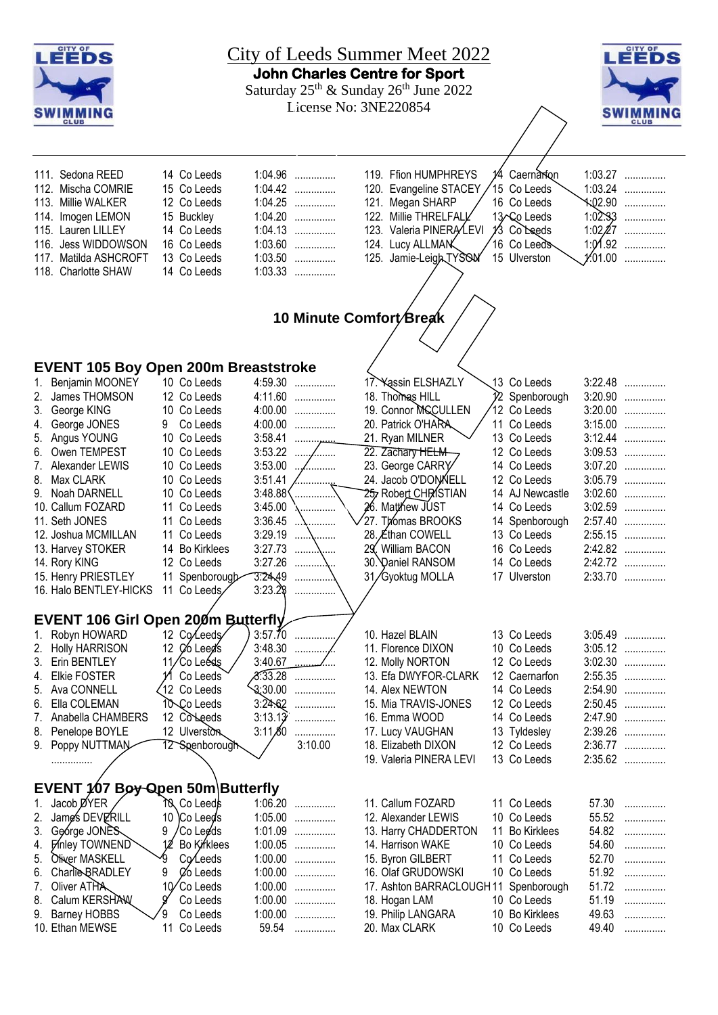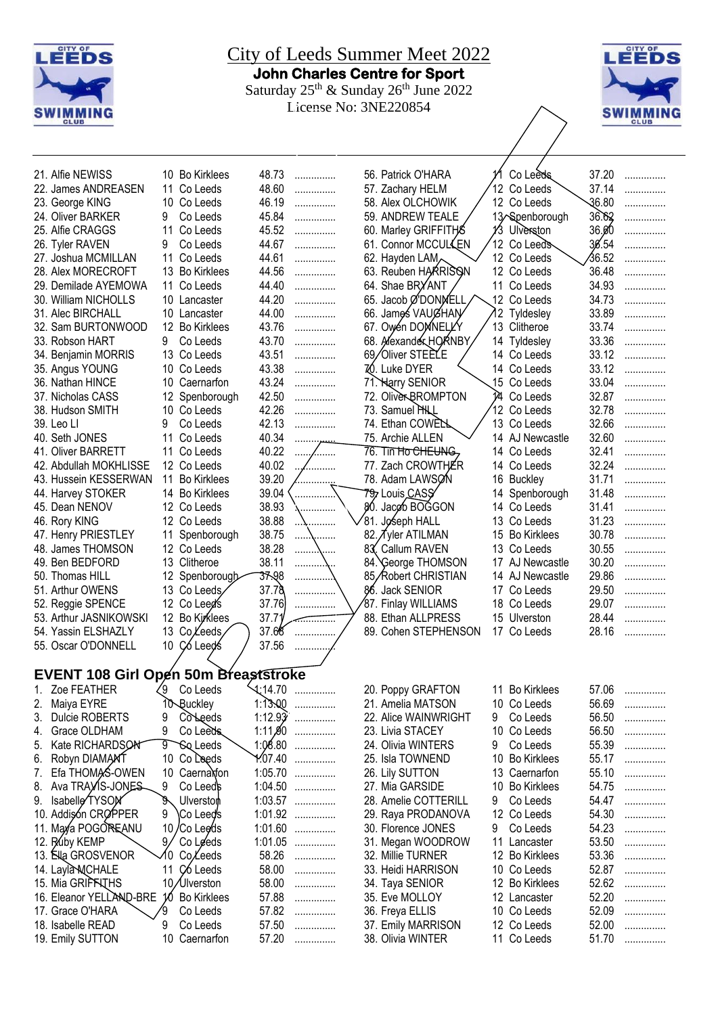



| 21. Alfie NEWISS                     | 10 Bo Kirklees             | 48.73              | .              | 56. Patrick O'HARA   |     | Co Leeds           | 37.20 | . |
|--------------------------------------|----------------------------|--------------------|----------------|----------------------|-----|--------------------|-------|---|
| 22. James ANDREASEN                  | 11 Co Leeds                | 48.60              | .              | 57. Zachary HELM     |     | 12 Co Leeds        | 37.14 | . |
| 23. George KING                      | 10 Co Leeds                | 46.19              | .              | 58. Alex OLCHOWIK    |     | 12 Co Leeds        | 36.80 | . |
| 24. Oliver BARKER                    | 9<br>Co Leeds              | 45.84              |                | 59. ANDREW TEALE     |     | 13/Spenborough     | 36.62 |   |
|                                      |                            |                    | .              |                      |     |                    |       | . |
| 25. Alfie CRAGGS                     | 11<br>Co Leeds             | 45.52              | .              | 60. Marley GRIFFITHS | 13  | Ulverston          | 36.00 | . |
| 26. Tyler RAVEN                      | 9<br>Co Leeds              | 44.67              | .              | 61. Connor MCCULLEN  |     | 12 Co Leeds        | 36.54 | . |
| 27. Joshua MCMILLAN                  | 11 Co Leeds                | 44.61              | .              | 62. Hayden LAM       |     | 12 Co Leeds        | 36.52 | . |
| 28. Alex MORECROFT                   | 13 Bo Kirklees             | 44.56              | .              | 63. Reuben HARRISON  |     | 12 Co Leeds        | 36.48 | . |
| 29. Demilade AYEMOWA                 | 11 Co Leeds                | 44.40              | .              | 64. Shae BRYANT      |     | 11 Co Leeds        | 34.93 | . |
| 30. William NICHOLLS                 | 10 Lancaster               | 44.20              | .              | 65. Jacob Ø'DONNELL  |     | 12 Co Leeds        | 34.73 | . |
| 31. Alec BIRCHALL                    | 10 Lancaster               | 44.00              | .              | 66. James VAUGHAN    | 12. | Tyldesley          | 33.89 | . |
| 32. Sam BURTONWOOD                   | 12 Bo Kirklees             | 43.76              | .              | 67. Owen DOMNELLY    |     | 13 Clitheroe       | 33.74 | . |
| 33. Robson HART                      | 9<br>Co Leeds              | 43.70              | .              | 68. Alexander HORNBY |     | 14 Tyldesley       | 33.36 | . |
| 34. Benjamin MORRIS                  | 13 Co Leeds                | 43.51              | .              | 69/Oliver STEELE     |     | 14 Co Leeds        | 33.12 | . |
| 35. Angus YOUNG                      | 10 Co Leeds                | 43.38              | .              | 70. Luke DYER        |     | 14 Co Leeds        | 33.12 | . |
| 36. Nathan HINCE                     | 10 Caernarfon              | 43.24              | .              | 71. Harry SENIOR     |     | 15 Co Leeds        | 33.04 | . |
| 37. Nicholas CASS                    | 12 Spenborough             | 42.50              | .              | 72. Oliver BROMPTON  | 14  | Co Leeds           | 32.87 | . |
| 38. Hudson SMITH                     | 10 Co Leeds                | 42.26              | .              | 73. Samuel PHLL      |     | 12 Co Leeds        | 32.78 | . |
| 39. Leo Ll                           | Co Leeds<br>9              | 42.13              |                | 74. Ethan COWELL     |     | 13 Co Leeds        | 32.66 | . |
|                                      |                            | 40.34              | .              |                      |     |                    | 32.60 |   |
| 40. Seth JONES                       | 11 Co Leeds                |                    |                | 75. Archie ALLEN     |     | 14 AJ Newcastle    |       | . |
| 41. Oliver BARRETT                   | 11 Co Leeds                | 40.22              | .<br>. ,       | 76. Tin Ho CHEUNG,   |     | 14 Co Leeds        | 32.41 | . |
| 42. Abdullah MOKHLISSE               | 12 Co Leeds                | 40.02              | .              | 77. Zach CROWTHER    |     | 14 Co Leeds        | 32.24 | . |
| 43. Hussein KESSERWAN                | 11 Bo Kirklees             | 39.20              |                | 78. Adam LAWSON      |     | 16 Buckley         | 31.71 | . |
| 44. Harvey STOKER                    | 14 Bo Kirklees             | 39.04              | .              | 797 Louis CASS       |     | 14 Spenborough     | 31.48 | . |
| 45. Dean NENOV                       | 12 Co Leeds                | 38.93              | .              | 80. Jacob BOGGON     |     | 14 Co Leeds        | 31.41 | . |
| 46. Rory KING                        | 12 Co Leeds                | 38.88              |                | 81. Joseph HALL      |     | 13 Co Leeds        | 31.23 | . |
| 47. Henry PRIESTLEY                  | 11 Spenborough             | 38.75              | \              | 82. Tyler ATILMAN    |     | 15 Bo Kirklees     | 30.78 | . |
| 48. James THOMSON                    | 12 Co Leeds                | 38.28              | \              | 83. Callum RAVEN     |     | 13 Co Leeds        | 30.55 | . |
| 49. Ben BEDFORD                      | 13 Clitheroe               | 38.11              | .              | 84. George THOMSON   |     | 17 AJ Newcastle    | 30.20 | . |
| 50. Thomas HILL                      | 12 Spenborough             | 37.98              | .              | 85/Robert CHRISTIAN  |     | 14 AJ Newcastle    | 29.86 | . |
| 51. Arthur OWENS                     | 13 Co Leeds                | 37.78              | .              | 86. Jack SENIOR      |     | 17 Co Leeds        | 29.50 | . |
| 52. Reggie SPENCE                    | 12 Co Leed's               | 37.76              |                | 87. Finlay WILLIAMS  |     | 18 Co Leeds        | 29.07 | . |
| 53. Arthur JASNIKOWSKI               | 12 Bo Kirklees             | 37.71              | <del>.</del> . | 88. Ethan ALLPRESS   |     | 15 Ulverston       | 28.44 | . |
| 54. Yassin ELSHAZLY                  | 13 CoLeeds                 | 37.68              |                | 89. Cohen STEPHENSON |     | 17 Co Leeds        | 28.16 |   |
| 55. Oscar O'DONNELL                  | 10 Colleeds                | 37.56              |                |                      |     |                    |       |   |
|                                      |                            |                    |                |                      |     |                    |       |   |
|                                      |                            |                    |                |                      |     |                    |       |   |
| EVENT 108 Girl Open 50m Breaststroke |                            |                    |                |                      |     |                    |       |   |
| 1. Zoe FEATHER                       | 49<br>Co Leeds             | $\triangle$ :14.70 |                | 20. Poppy GRAFTON    |     | 11 Bo Kirklees     | 57.06 |   |
| Maiya EYRE<br>2.                     | 10 Buckley                 | 1:13.00            | .              | 21. Amelia MATSON    |     | 10 Co Leeds        | 56.69 | . |
| <b>Dulcie ROBERTS</b><br>3.          | Colleeds<br>9              |                    | $1:12.93$      | 22. Alice WAINWRIGHT | 9   | Co Leeds           | 56.50 | . |
| Grace OLDHAM<br>4.                   | 9<br>Co Leeds              |                    | $1:11,90$      | 23. Livia STACEY     |     | 10 Co Leeds        | 56.50 | . |
| Kate RICHARDSON<br>5.                | 9<br><b>Soleeds</b>        |                    | $1:06.80$      | 24. Olivia WINTERS   | 9   | Co Leeds           | 55.39 | . |
| Robyn DIAMANT<br>6.                  | 10 Co Leeds                | 1.07.40            | .              | 25. Isla TOWNEND     | 10  | <b>Bo Kirklees</b> | 55.17 | . |
| Efa THOMAS-OWEN<br>7.                | 10 Caernal fon             | 1:05.70            | .              | 26. Lily SUTTON      |     | 13 Caernarfon      | 55.10 | . |
| Ava TRAVIS-JONES<br>8.               | 9<br>Co Leeds              | 1:04.50            | .              | 27. Mia GARSIDE      |     | 10 Bo Kirklees     | 54.75 | . |
| Isabelle/TYSON<br>9.                 | ď.<br><b>Ulverston</b>     |                    | $1:03.57$      | 28. Amelie COTTERILL | 9   | Co Leeds           | 54.47 | . |
| 10. Addison CROPPER                  | 9<br>∖Co Leed⁄s            |                    | 1:01.92        | 29. Raya PRODANOVA   |     | 12 Co Leeds        | 54.30 | . |
| 11. Maya POGOREANU                   | 10<br>/Co Lee⁄ds           | 1:01.60            | .              | 30. Florence JONES   | 9   | Co Leeds           | 54.23 | . |
| 12. Ruby KEMP                        | 9 <sub>l</sub><br>Co Leeds | 1:01.05            |                |                      |     | 11 Lancaster       | 53.50 |   |
|                                      | 10                         | 58.26              | .              | 31. Megan WOODROW    |     |                    | 53.36 | . |
| 13. Ella GROSVENOR                   | Co <i>Leeds</i>            |                    | .              | 32. Millie TURNER    |     | 12 Bo Kirklees     |       | . |
| 14. Layla MCHALE                     | 11<br>C <sub>6</sub> Leeds | 58.00              | .              | 33. Heidi HARRISON   |     | 10 Co Leeds        | 52.87 | . |
| 15. Mia GRIFFITHS                    | 10/Ulverston               | 58.00              | .              | 34. Taya SENIOR      |     | 12 Bo Kirklees     | 52.62 | . |
| 16. Eleanor YELLAND-BRE              | 10 Bo Kirklees             | 57.88              | .              | 35. Eve MOLLOY       |     | 12 Lancaster       | 52.20 | . |
| 17. Grace O'HARA                     | Ί9<br>Co Leeds             | 57.82              | .              | 36. Freya ELLIS      |     | 10 Co Leeds        | 52.09 | . |
| 18. Isabelle READ                    | 9<br>Co Leeds              | 57.50              | .              | 37. Emily MARRISON   |     | 12 Co Leeds        | 52.00 | . |
| 19. Emily SUTTON                     | 10 Caernarfon              | 57.20              | .              | 38. Olivia WINTER    |     | 11 Co Leeds        | 51.70 | . |
|                                      |                            |                    |                |                      |     |                    |       |   |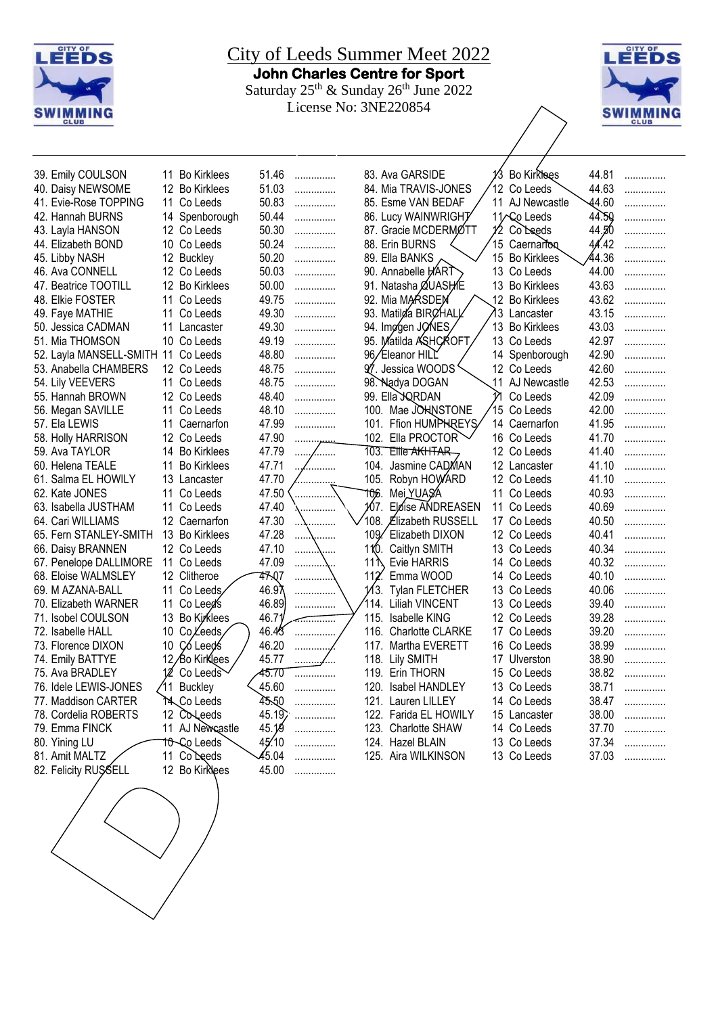



| 39. Emily COULSON          |     | 11 Bo Kirklees     | 51.46 | .              |       | 83. Ava GARSIDE          |    | 13 Bo Kirkhees     | 44.81 | . |
|----------------------------|-----|--------------------|-------|----------------|-------|--------------------------|----|--------------------|-------|---|
| 40. Daisy NEWSOME          |     | 12 Bo Kirklees     | 51.03 | .              |       | 84. Mia TRAVIS-JONES     |    | 12 Co Leeds        | 44.63 | . |
| 41. Evie-Rose TOPPING      |     | 11 Co Leeds        | 50.83 | .              |       | 85. Esme VAN BEDAF       |    | 11 AJ Newcastle    | 44.60 | . |
| 42. Hannah BURNS           |     | 14 Spenborough     | 50.44 | .              |       | 86. Lucy WAINWRIGHT      |    | 11/ Co Leeds       | 44.50 | . |
| 43. Layla HANSON           |     | 12 Co Leeds        | 50.30 | .              |       | 87. Gracie MCDERMØTT     |    | 12 Coleeds         | 44.50 | . |
| 44. Elizabeth BOND         |     | 10 Co Leeds        | 50.24 | .              |       | 88. Erin BURNS           |    | 15 Caernarfon      | 44.42 |   |
| 45. Libby NASH             |     | 12 Buckley         | 50.20 | .              |       | 89. Ella BANKS           |    | 15 Bo Kirklees     | 44.36 | . |
| 46. Ava CONNELL            |     | 12 Co Leeds        | 50.03 | .              |       | 90. Annabelle HART       |    | 13 Co Leeds        | 44.00 | . |
| 47. Beatrice TOOTILL       |     | 12 Bo Kirklees     | 50.00 | .              |       | 91. Natasha ØUASHE       |    | 13 Bo Kirklees     | 43.63 | . |
| 48. Elkie FOSTER           | 11  | Co Leeds           | 49.75 | .              |       | 92. Mia MARSDEN          |    | 12 Bo Kirklees     | 43.62 | . |
| 49. Faye MATHIE            | 11  | Co Leeds           | 49.30 | .              |       | 93. Matilda BIRCHALL     | 13 | Lancaster          | 43.15 | . |
| 50. Jessica CADMAN         | 11  | Lancaster          | 49.30 | .              |       | 94. Imggen JONES         | 13 | <b>Bo Kirklees</b> | 43.03 |   |
| 51. Mia THOMSON            |     | 10 Co Leeds        | 49.19 | .              |       | 95. Matilda ASHCROFT     |    | 13 Co Leeds        | 42.97 | . |
| 52. Layla MANSELL-SMITH 11 |     | Co Leeds           | 48.80 | .              |       | 96/Eleanor HILL          |    | 14 Spenborough     | 42.90 | . |
| 53. Anabella CHAMBERS      |     | 12 Co Leeds        | 48.75 | .              |       | 97. Jessica WOODS'       |    | 12 Co Leeds        | 42.60 | . |
| 54. Lily VEEVERS           |     | 11 Co Leeds        | 48.75 | .              |       | 98. Nądya DOGAN          |    | 11 AJ Newcastle    | 42.53 | . |
| 55. Hannah BROWN           |     | 12 Co Leeds        | 48.40 | .              |       | 99. Ella JQRDAN          | N  | Co Leeds           | 42.09 | . |
| 56. Megan SAVILLE          |     | 11 Co Leeds        | 48.10 | .              |       | 100. Mae JOHNSTONE       |    | 15 Co Leeds        | 42.00 | . |
| 57. Ela LEWIS              | 11  | Caernarfon         | 47.99 | .              |       | 101. Ffion HUMPHREYS     |    | 14 Caernarfon      | 41.95 | . |
| 58. Holly HARRISON         | 12  | Co Leeds           | 47.90 | .              |       | 102. Ella PROCTOR        |    | 16 Co Leeds        | 41.70 | . |
| 59. Ava TAYLOR             |     | 14 Bo Kirklees     | 47.79 | .              |       | 103. Ellie AKHTAR        |    | 12 Co Leeds        | 41.40 | . |
| 60. Helena TEALE           | 11  | <b>Bo Kirklees</b> | 47.71 | .              |       | 104. Jasmine CADMAN      |    | 12 Lancaster       | 41.10 | . |
| 61. Salma EL HOWILY        | 13  | Lancaster          | 47.70 |                | 105.  | Robyn HOWARD             |    | 12 Co Leeds        | 41.10 | . |
| 62. Kate JONES             | 11  | Co Leeds           | 47.50 | .              | 106.  | Mei YUASA                |    | 11 Co Leeds        | 40.93 | . |
| 63. Isabella JUSTHAM       | 11  | Co Leeds           | 47.40 | .              | 167.  | Elóise ANDREASEN         |    | 11 Co Leeds        | 40.69 | . |
| 64. Cari WILLIAMS          |     | 12 Caernarfon      | 47.30 | .              | '108. | <b>Elizabeth RUSSELL</b> |    | 17 Co Leeds        | 40.50 | . |
| 65. Fern STANLEY-SMITH     |     | 13 Bo Kirklees     | 47.28 | .              |       | 109. Elizabeth DIXON     |    | 12 Co Leeds        | 40.41 | . |
| 66. Daisy BRANNEN          |     | 12 Co Leeds        | 47.10 | .<br>.         | 110.  | Caitlyn SMITH            |    | 13 Co Leeds        | 40.34 | . |
| 67. Penelope DALLIMORE     |     | 11 Co Leeds        | 47.09 | .              | 11 N  | Evie HARRIS              |    | 14 Co Leeds        | 40.32 | . |
| 68. Eloise WALMSLEY        |     | 12 Clitheroe       | 47.Q7 | .              | 112   | Emma WOOD                |    | 14 Co Leeds        | 40.10 | . |
| 69. M AZANA-BALL           | 11  | Co Leeds∕          | 46.97 | .              |       | 1/3. Tylan FLETCHER      |    | 13 Co Leeds        | 40.06 | . |
| 70. Elizabeth WARNER       | 11  | Co Leed's          | 46.89 | .              |       | 114. Liliah VINCENT      |    | 13 Co Leeds        | 39.40 | . |
| 71. Isobel COULSON         | 13  | Bo Kirklees        | 46.71 | . <del>.</del> |       | 115. Isabelle KING       |    | 12 Co Leeds        | 39.28 | . |
| 72. Isabelle HALL          | 10  | Co Leeds           | 46.45 | .              |       | 116. Charlotte CLARKE    |    | 17 Co Leeds        | 39.20 | . |
| 73. Florence DIXON         | 10  | Có Leeds           | 46.20 | .              |       | 117. Martha EVERETT      |    | 16 Co Leeds        | 38.99 | . |
| 74. Emily BATTYE           |     | 12/Bo Kirklees     | 45.77 | .              |       | 118. Lily SMITH          |    | 17 Ulverston       | 38.90 | . |
| 75. Ava BRADLEY            |     | Co Leeds           | 45.70 | .              |       | 119. Erin THORN          |    | 15 Co Leeds        | 38.82 | . |
| 76. Idele LEWIS-JONES      | ′11 | <b>Buckley</b>     | 45.60 | .              |       | 120. Isabel HANDLEY      |    | 13 Co Leeds        | 38.71 | . |
| 77. Maddison CARTER        |     | ነፋ Co Leeds        | 45.50 | .              |       | 121. Lauren LILLEY       |    | 14 Co Leeds        | 38.47 | . |
| 78. Cordelia ROBERTS       |     | 12 CoLeeds         | 45.19 | .              |       | 122. Farida EL HOWILY    |    | 15 Lancaster       | 38.00 | . |
| 79. Emma FINCK             |     | 11 AJ Newcastle    | 45.19 | .              |       | 123. Charlotte SHAW      |    | 14 Co Leeds        | 37.70 | . |
| 80. Yining LU              |     | <b>10-Co Leeds</b> | 45.10 | .              |       | 124. Hazel BLAIN         |    | 13 Co Leeds        | 37.34 | . |
| 81. Amit MALTZ             | 11  | Co Leeds           | 45.04 | .              |       | 125. Aira WILKINSON      |    | 13 Co Leeds        | 37.03 | . |
| 82. Felicity RUSSELL       |     | 12 Bo Kirklees     | 45.00 | .              |       |                          |    |                    |       |   |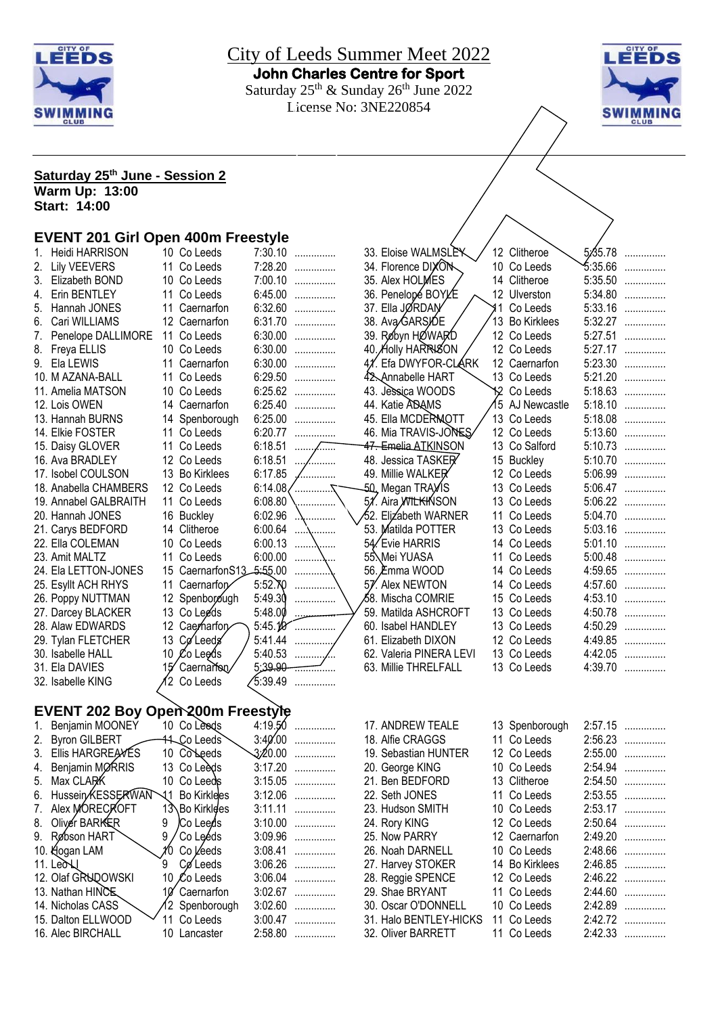



# **Saturday 25th June - Session 2**

**Warm Up: 13:00 Start: 14:00**

#### **EVENT 201 Girl Open 400m Freestyle**

|    | <b>Heidi HARRISON</b>             | 10 Co Leeds                 |                  | 7:30.10           | 33. Eloise WALMSLEK             |       | 12 Clitheroe       | 5.45.78 | . |
|----|-----------------------------------|-----------------------------|------------------|-------------------|---------------------------------|-------|--------------------|---------|---|
|    | 2. Lily VEEVERS                   | 11 Co Leeds                 |                  | 7:28.20           | 34. Florence DIXON              |       | 10 Co Leeds        | 5:35.66 | . |
|    | 3. Elizabeth BOND                 | 10 Co Leeds                 |                  | 7:00.10           | 35. Alex HOLMES                 |       | 14 Clitheroe       | 5:35.50 | . |
| 4. | Erin BENTLEY                      | 11 Co Leeds                 |                  | 6:45.00           | 36. Penelopé BOYLE              |       | 12 Ulverston       | 5:34.80 | . |
| 5. | Hannah JONES                      | 11 Caernarfon               |                  | 6:32.60           | 37. Ella JØRDAN                 | ี่ 11 | Co Leeds           | 5:33.16 | . |
| 6. | Cari WILLIAMS                     | 12 Caernarfon               |                  | 6:31.70           | 38. AvaGARSIDE                  | 13    | <b>Bo Kirklees</b> | 5:32.27 | . |
|    | Penelope DALLIMORE                | 11 Co Leeds                 |                  | 6:30.00           | 39. Røbyn HØWARD                |       | 12 Co Leeds        | 5:27.51 | . |
| 8. | Freya ELLIS                       | 10 Co Leeds                 |                  | 6:30.00           | 40. Holly HARRISON              |       | 12 Co Leeds        | 5:27.17 | . |
|    | 9. Ela LEWIS                      | 11 Caernarfon               |                  | 6:30.00           | 41. Efa DWYFOR-CLARK            |       | 12 Caernarfon      | 5:23.30 | . |
|    | 10. M AZANA-BALL                  | 11 Co Leeds                 |                  | 6:29.50           | 42. Annabelle HART              |       | 13 Co Leeds        | 5:21.20 | . |
|    | 11. Amelia MATSON                 | 10 Co Leeds                 |                  | 6:25.62           | 43. Jessica WOODS               |       | 12 Co Leeds        | 5:18.63 | . |
|    | 12. Lois OWEN                     | 14 Caernarfon               |                  | 6:25.40           | 44. Katie ADAMS                 |       | 5 AJ Newcastle     | 5:18.10 | . |
|    | 13. Hannah BURNS                  | 14 Spenborough              |                  | 6:25.00           | 45. Ella MCDERMOTT              |       | 13 Co Leeds        | 5:18.08 | . |
|    | 14. Elkie FOSTER                  | 11 Co Leeds                 |                  | 6:20.77           | 46. Mia TRAVIS-JONES            |       | 12 Co Leeds        | 5:13.60 | . |
|    | 15. Daisy GLOVER                  | 11 Co Leeds                 |                  | $6:18.51$         | <del>47. Emelia ATK</del> INSON |       | 13 Co Salford      | 5:10.73 | . |
|    | 16. Ava BRADLEY                   | 12 Co Leeds                 | $6:18.51$        | .                 | 48. Jessica TASKER              |       | 15 Buckley         | 5:10.70 | . |
|    | 17. Isobel COULSON                | 13 Bo Kirklees              | 6:17.85          | .                 | 49. Millie WALKER               |       | 12 Co Leeds        | 5:06.99 | . |
|    | 18. Anabella CHAMBERS             | 12 Co Leeds                 |                  | 6:14.08/ $\ldots$ | 50, Megan TRAYIS                |       | 13 Co Leeds        | 5:06.47 | . |
|    | 19. Annabel GALBRAITH             | 11 Co Leeds                 | 6:08.80          |                   | 51. Aira WILKHNSON              |       | 13 Co Leeds        | 5:06.22 | . |
|    | 20. Hannah JONES                  | 16 Buckley                  | 6:02.96          | .                 | 52. Elizabeth WARNER            |       | 11 Co Leeds        | 5:04.70 | . |
|    | 21. Carys BEDFORD                 | 14 Clitheroe                | 6:00.64          | .                 | 53. Matilda POTTER              |       | 13 Co Leeds        | 5:03.16 | . |
|    | 22. Ella COLEMAN                  | 10 Co Leeds                 | 6:00.13          |                   | 54. Evie HARRIS                 |       | 14 Co Leeds        | 5:01.10 | . |
|    | 23. Amit MALTZ                    | 11 Co Leeds                 | 6:00.00          | .                 | 55. Mei YUASA                   |       | 11 Co Leeds        | 5:00.48 | . |
|    | 24. Ela LETTON-JONES              | 15 Caernarfon S13 - 5:55.00 |                  | .                 | 56. Èmma WOOD                   |       | 14 Co Leeds        | 4:59.65 | . |
|    | 25. Esyllt ACH RHYS               | 11 Caernarfor               | 5:52.70          | .                 | 57. Alex NEWTON                 |       | 14 Co Leeds        | 4:57.60 | . |
|    | 26. Poppy NUTTMAN                 | 12 Spenborough              | 5:49.30          | .                 | ⁄58. Mischa COMRIE              |       | 15 Co Leeds        | 4:53.10 | . |
|    | 27. Darcey BLACKER                | 13 Co Leeds                 | 5:48.00          |                   | 59. Matilda ASHCROFT            |       | 13 Co Leeds        | 4:50.78 | . |
|    | 28. Alaw EDWARDS                  | 12 Caerharfor               | 5:45.10          | .                 | 60. Isabel HANDLEY              |       | 13 Co Leeds        | 4:50.29 | . |
|    | 29. Tylan FLETCHER                | 13 Coleeds                  | 5:41.44          |                   | 61. Elizabeth DIXON             |       | 12 Co Leeds        | 4:49.85 | . |
|    | 30. Isabelle HALL                 | 10 Co Leeds                 |                  |                   | 62. Valeria PINERA LEVI         |       | 13 Co Leeds        | 4:42.05 | . |
|    | 31. Ela DAVIES                    | Caernarfon                  | 5:39.90          | <del>.</del>      | 63. Millie THRELFALL            |       | 13 Co Leeds        | 4:39.70 | . |
|    | 32. Isabelle KING                 | 2 Co Leeds                  | $\sqrt{5:}39.49$ | .                 |                                 |       |                    |         |   |
|    |                                   |                             |                  |                   |                                 |       |                    |         |   |
|    | EVENT 202 Boy Open 200m Freestyle |                             |                  |                   |                                 |       |                    |         |   |

| $\mathbf{1}$ . | Benjamin MOONEY        |      | 10 Co Leeds        | 4:19.50     |   |
|----------------|------------------------|------|--------------------|-------------|---|
| 2.             | <b>Byron GILBERT</b>   |      | 44. Co Leeds`      | $3:40'$ :00 | . |
| 3.             | Ellis HARGREANES       |      | 10 Colleeds        | 3:20.00     | . |
| 4.             | Benjamin MØRRIS        |      | 13 Co Leeds        | 3:17.20     | . |
| 5.             | Max CLARK              |      | 10 Co Leeds        | 3:15.05     | . |
| 6.             | Hussein KESSERWAN      | 11   | <b>Bo Kirklees</b> | 3:12.06     | . |
| 7.             | Alex MORECROFT         |      | 13\Bo Kirklees     | 3:11.11     | . |
| 8.             | Oliver BARKER          | 9    | <i>I</i> Co Leeds  | 3:10.00     |   |
| 9.             | Røbson HART            | 9    | Co Leéds           | 3:09.96     | . |
|                | 10. Hogan LAM          | m    | Co Leeds           | 3:08.41     | . |
|                | $11.$ Leo $\mathbb{U}$ | 9    | Cøleeds            | 3:06.26     |   |
|                | 12. Olaf GRUDOWSKI     |      | 10 Co Leeds        | 3:06.04     |   |
|                | 13. Nathan HINCE       | 10Y  | Caernarfon         | 3:02.67     | . |
|                | 14. Nicholas CASS      |      | 2 Spenborough      | 3:02.60     |   |
|                | 15. Dalton ELLWOOD     |      | Co Leeds           | 3:00.47     |   |
|                | 16. Alec BIRCHALL      | 10 - | Lancaster          | 2:58.80     | . |
|                |                        |      |                    |             |   |

| 36. Penelopé BOYLE              | 12 | Ulverston          | 5:34.80 | .      |
|---------------------------------|----|--------------------|---------|--------|
| 37. Ella JØRDAN                 | 11 | Co Leeds           | 5:33.16 | .      |
| 38. Ava/GARSIDE                 | 13 | <b>Bo Kirklees</b> | 5:32.27 | .      |
| 39. Røbyn HØWARD                | 12 | Co Leeds           | 5:27.51 | .      |
| 40. Holly HARRISON              | 12 | Co Leeds           | 5:27.17 | .      |
| 4%. Efa DWYFOR-CLARK            | 12 | Caernarfon         | 5:23.30 | .      |
| 42. Annabelle HART              | 13 | Co Leeds           | 5:21.20 | .      |
| 43. Jessica WOODS               | 12 | Co Leeds           | 5:18.63 | .      |
| 44. Katie ADAMS                 | 15 | AJ Newcastle       | 5:18.10 | .      |
| 45. Ella MCDERMOTT              | 13 | Co Leeds           | 5:18.08 |        |
| 46. Mia TRAVIS-JONES            | 12 | Co Leeds           | 5:13.60 | .      |
| <del>47. Emelia ATK</del> INSON | 13 | Co Salford         | 5:10.73 | .      |
| 48. Jessica TASKER              | 15 | <b>Buckley</b>     | 5:10.70 | .      |
| 49. Millie WALKER               | 12 | Co Leeds           | 5:06.99 | .      |
| 50, Megan TRAy∕IS               | 13 | Co Leeds           | 5:06.47 |        |
| 51. Aira WILKHNSON              | 13 |                    | 5:06.22 | .      |
|                                 | 11 | Co Leeds           |         | .      |
| 52. Elizabeth WARNER            |    | Co Leeds           | 5:04.70 | .      |
| 53. Matilda POTTER              | 13 | Co Leeds           | 5:03.16 | .      |
| 54. Evie HARRIS                 | 14 | Co Leeds           | 5:01.10 | .      |
| 55. Mei YUASA                   | 11 | Co Leeds           | 5:00.48 | .      |
| 56. Emma WOOD                   | 14 | Co Leeds           | 4:59.65 | .      |
| 57. Alex NEWTON                 | 14 | Co Leeds           | 4:57.60 | .      |
| ⁄58. Mischa COMRIE              | 15 | Co Leeds           | 4:53.10 | .      |
| 59. Matilda ASHCROFT            | 13 | Co Leeds           | 4:50.78 | .      |
| 60. Isabel HANDLEY              | 13 | Co Leeds           | 4:50.29 | .      |
| 61. Elizabeth DIXON             | 12 | Co Leeds           | 4:49.85 | .      |
| 62. Valeria PINERA LEVI         | 13 | Co Leeds           | 4:42.05 | .      |
| 63. Millie THRELFALL            | 13 | Co Leeds           | 4:39.70 | .      |
|                                 |    |                    |         |        |
|                                 |    |                    |         |        |
|                                 |    |                    |         |        |
| 17. ANDREW TEALE                | 13 | Spenborough        | 2:57.15 | .      |
| 18. Alfie CRAGGS                | 11 | Co Leeds           | 2:56.23 | .      |
| 19. Sebastian HUNTER            | 12 | Co Leeds           | 2:55.00 | .      |
| 20. George KING                 | 10 | Co Leeds           | 2:54.94 |        |
| 21. Ben BEDFORD                 | 13 | Clitheroe          | 2:54.50 | .      |
| 22. Seth JONES                  | 11 | Co Leeds           | 2:53.55 |        |
| 23. Hudson SMITH                | 10 | Co Leeds           | 2:53.17 | .<br>. |
| 24. Rory KING                   | 12 | Co Leeds           | 2:50.64 |        |
| 25. Now PARRY                   |    | 12 Caernarfon      | 2:49.20 | .      |
|                                 |    |                    |         | .      |
| 26. Noah DARNELL                | 10 | Co Leeds           | 2:48.66 | .      |
| 27. Harvey STOKER               | 14 | <b>Bo Kirklees</b> | 2:46.85 | .      |
| 28. Reggie SPENCE               | 12 | Co Leeds           | 2:46.22 | .      |
| 29. Shae BRYANT                 | 11 | Co Leeds           | 2:44.60 | .      |
| 30. Oscar O'DONNELL             | 10 | Co Leeds           | 2:42.89 | .      |
| 31. Halo BENTLEY-HICKS          | 11 | Co Leeds           | 2:42.72 | .      |
| 32. Oliver BARRETT              | 11 | Co Leeds           | 2:42.33 |        |
|                                 |    |                    |         |        |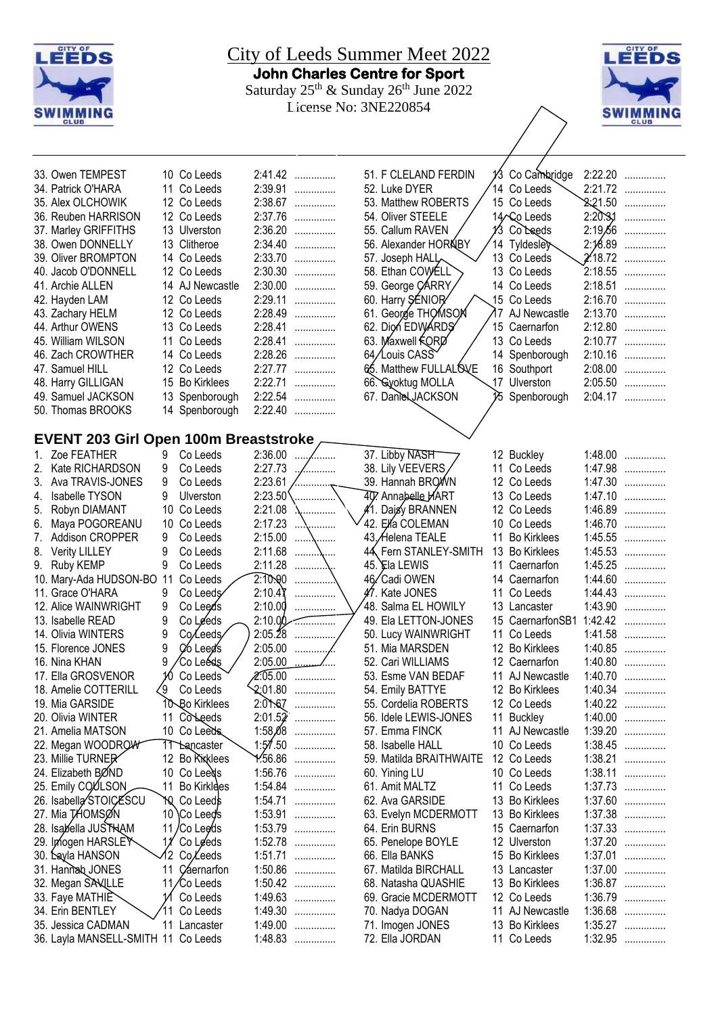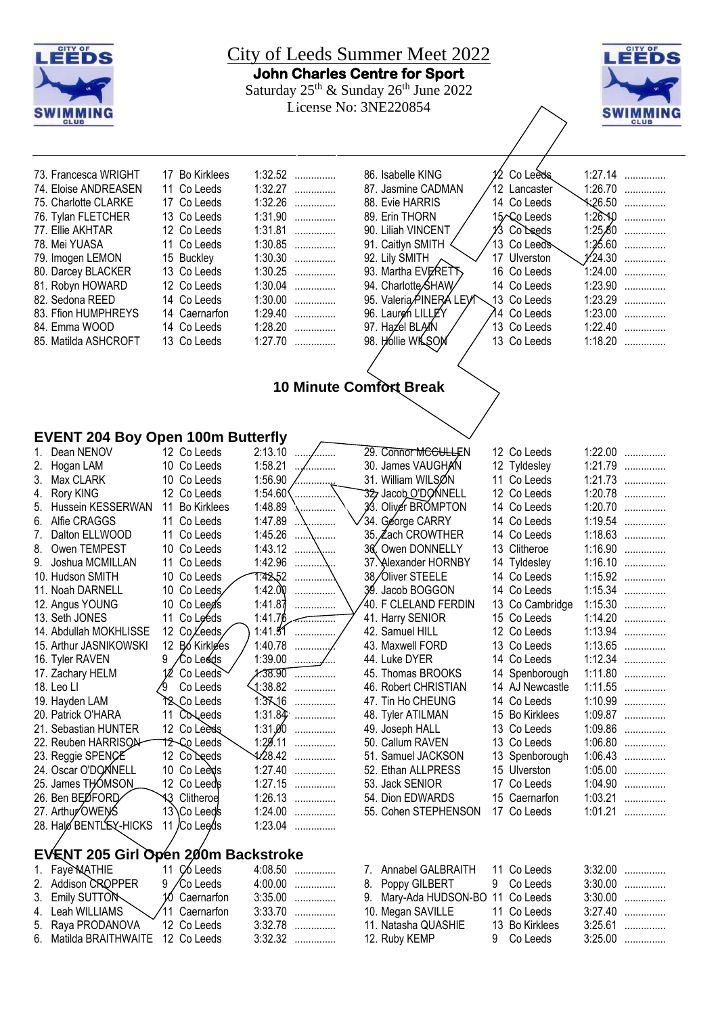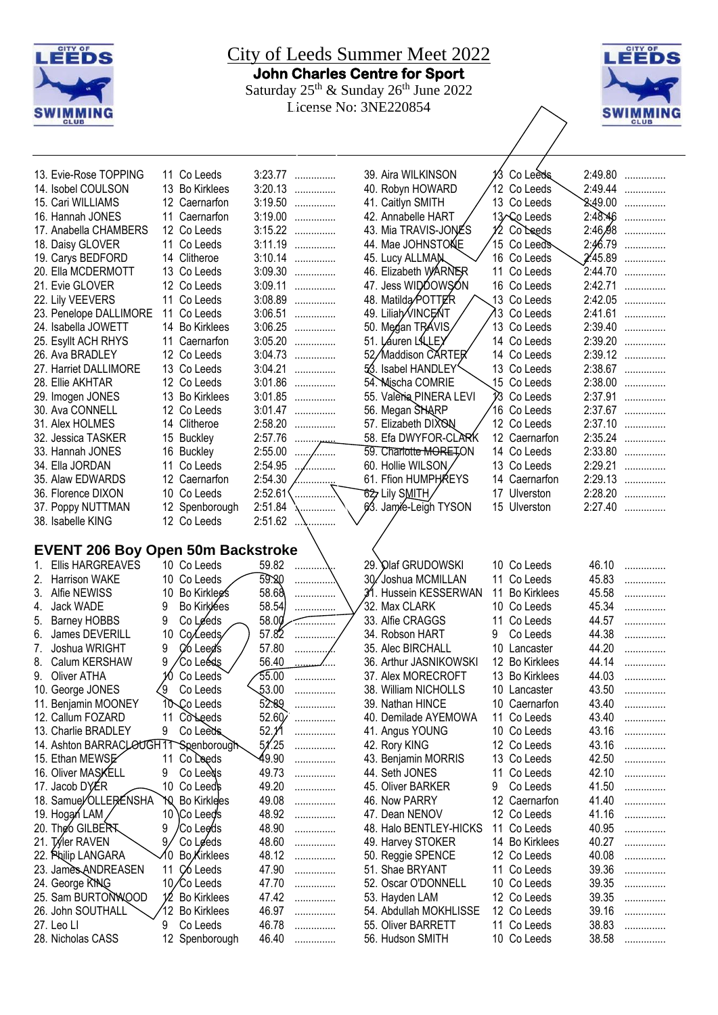



| 13. Evie-Rose TOPPING                    |    | 11 Co Leeds                |         | 3:23.77      | 39. Aira WILKINSON      |    | 1/3 Coleeds             |            | 2:49.80      |
|------------------------------------------|----|----------------------------|---------|--------------|-------------------------|----|-------------------------|------------|--------------|
| 14. Isobel COULSON                       |    | 13 Bo Kirklees             | 3:20.13 | .            | 40. Robyn HOWARD        |    | 12 Co Leeds             |            | 2:49.44      |
| 15. Cari WILLIAMS                        |    | 12 Caernarfon              | 3:19.50 | .            | 41. Caitlyn SMITH       |    | 13 Co Leeds             |            | $2.49.00$    |
| 16. Hannah JONES                         |    | 11 Caernarfon              |         | 3:19.00      | 42. Annabelle HART      |    | 13 Co Leeds             |            | $2:48.46$    |
| 17. Anabella CHAMBERS                    |    | 12 Co Leeds                |         | $3:15.22$    | 43. Mia TRAVIS-JONES    |    | 1⁄2 Co`Leeds            |            | $2:46,98$    |
| 18. Daisy GLOVER                         |    | 11 Co Leeds                |         | 3:11.19      | 44. Mae JOHNSTONE       |    | 15 Co Leeds             | 2:46.79    | .            |
| 19. Carys BEDFORD                        |    | 14 Clitheroe               |         | $3:10.14$    | 45. Lucy ALLMAN         |    | 16 Co Leeds             | $2'$ 45.89 |              |
| 20. Ella MCDERMOTT                       |    | 13 Co Leeds                |         | $3:09.30$    | 46. Elizabeth WARNER    |    | 11 Co Leeds             | 2:44.70    | .            |
|                                          |    |                            |         | 3:09.11      | 47. Jess WIDDOWSON      |    |                         |            | .<br>2:42.71 |
| 21. Evie GLOVER                          |    | 12 Co Leeds                |         | 3:08.89      | 48. Matilda/POTTER      |    | 16 Co Leeds             |            | 2:42.05      |
| 22. Lily VEEVERS                         |    | 11 Co Leeds                | 3:06.51 |              |                         |    | 13 Co Leeds             |            |              |
| 23. Penelope DALLIMORE                   |    | 11 Co Leeds                |         | .            | 49. Liliah VINCENT      |    | 13 Co Leeds             | 2:41.61    | .            |
| 24. Isabella JOWETT                      |    | 14 Bo Kirklees             | 3:06.25 | .            | 50. Megan TRAVIS,       |    | 13 Co Leeds             | 2:39.40    | .            |
| 25. Esyllt ACH RHYS                      |    | 11 Caernarfon              | 3:05.20 | .            | 51. Lauren LALLEY       |    | 14 Co Leeds             | 2:39.20    | .            |
| 26. Ava BRADLEY                          |    | 12 Co Leeds                | 3:04.73 | .            | 52/Maddison CARTER      |    | 14 Co Leeds             | 2:39.12    | .            |
| 27. Harriet DALLIMORE                    |    | 13 Co Leeds                | 3:04.21 | .            | 53. Isabel HANDLEY      |    | 13 Co Leeds             |            | 2:38.67      |
| 28. Ellie AKHTAR                         |    | 12 Co Leeds                | 3:01.86 | .            | 54. Mischa COMRIE       |    | 15 Co Leeds             |            | 2:38.00      |
| 29. Imogen JONES                         |    | 13 Bo Kirklees             | 3:01.85 | .            | 55. Valeria PINERA LEVI |    | V <sub>3</sub> Co Leeds | 2:37.91    | .            |
| 30. Ava CONNELL                          |    | 12 Co Leeds                | 3:01.47 | .            | 56. Megan SHARP         |    | 16 Co Leeds             |            | 2:37.67      |
| 31. Alex HOLMES                          |    | 14 Clitheroe               | 2:58.20 | .            | 57. Elizabeth DIXON     |    | 12 Co Leeds             | 2:37.10    | .            |
| 32. Jessica TASKER                       |    | 15 Buckley                 | 2:57.76 | .            | 58. Efa DWYFOR-CLARK    |    | 12 Caernarfon           |            | 2:35.24      |
| 33. Hannah JONES                         |    | 16 Buckley                 | 2:55.00 | .            | 59. Charlotte MORETON   |    | 14 Co Leeds             |            | 2:33.80      |
| 34. Ella JORDAN                          |    | 11 Co Leeds                | 2:54.95 |              | 60. Hollie WILSON       |    | 13 Co Leeds             |            | 2:29.21      |
| 35. Alaw EDWARDS                         |    | 12 Caernarfon              | 2:54.30 |              | 61. Ffion HUMPHAREYS    |    | 14 Caernarfon           |            | 2:29.13      |
| 36. Florence DIXON                       |    | 10 Co Leeds                | 2:52.61 | .            | 62, Lily SMITH          |    | 17 Ulverston            | 2:28.20    | .            |
| 37. Poppy NUTTMAN                        |    | 12 Spenborough             | 2:51.84 | .            | 63. Janyé-Leigh TYSON   |    | 15 Ulverston            | 2:27.40    | .            |
| 38. Isabelle KING                        |    | 12 Co Leeds                | 2:51.62 |              |                         |    |                         |            |              |
|                                          |    |                            |         |              |                         |    |                         |            |              |
| <b>EVENT 206 Boy Open 50m Backstroke</b> |    |                            |         |              |                         |    |                         |            |              |
| <b>Ellis HARGREAVES</b><br>1.            |    | 10 Co Leeds                | 59.82   |              | 29. Dlaf GRUDOWSKI      |    | 10 Co Leeds             | 46.10      | .            |
| <b>Harrison WAKE</b>                     |    | 10 Co Leeds                | 59.20   |              | 30/Joshua MCMILLAN      |    | 11 Co Leeds             | 45.83      | .            |
| 3.<br>Alfie NEWISS                       |    | 10 Bo Kirklegs             | 58.68   | .            | 31. Hussein KESSERWAN   | 11 | <b>Bo Kirklees</b>      | 45.58      | .            |
| Jack WADE<br>4.                          | 9  | Bo Kirkles                 | 58.54   | .            | 32. Max CLARK           |    | 10 Co Leeds             | 45.34      | .            |
| 5. Barney HOBBS                          | 9  | Co Leeds                   | 58.00   | <del>.</del> | 33. Alfie CRAGGS        |    | 11 Co Leeds             | 44.57      | .            |
| 6.<br>James DEVERILL                     | 10 | Co/Leeds/                  | 57.82   | .            | 34. Robson HART         | 9  | Co Leeds                | 44.38      | .            |
| 7.<br>Joshua WRIGHT                      | 9  | Co Leed's                  | 57.80   |              | 35. Alec BIRCHALL       |    | 10 Lancaster            | 44.20      | .            |
| 8.<br>Calum KERSHAW                      | 9  | 'Co Leéds                  | 56.40   |              | 36. Arthur JASNIKOWSKI  |    | 12 Bo Kirklees          | 44.14      | .            |
| 9.<br>Oliver ATHA                        |    | Co Leeds                   | 55.00   |              | 37. Alex MORECROFT      |    | 13 Bo Kirklees          | 44.03      |              |
|                                          | q  | Co Leeds                   | 53.00   | .            | 38. William NICHOLLS    |    | 10 Lancaster            | 43.50      | .            |
| 10. George JONES                         |    |                            |         |              |                         |    |                         |            |              |
| 11. Benjamin MOONEY                      |    | 10 Co Leeds                | 52.89   | .            | 39. Nathan HINCE        |    | 10 Caernarfon           | 43.40      | .            |
| 12. Callum FOZARD                        | 11 | <b>Colleeds</b>            | 52.60   | .            | 40. Demilade AYEMOWA    |    | 11 Co Leeds             | 43.40      | .            |
| 13. Charlie BRADLEY                      | 9  | Co Leeds                   | 52.11   | .            | 41. Angus YOUNG         |    | 10 Co Leeds             | 43.16      | .            |
| 14. Ashton BARRACLOUGH 11 Spenborough    |    |                            | 51/25   | .            | 42. Rory KING           |    | 12 Co Leeds             | 43.16      | .            |
| 15. Ethan MEWSE                          | 11 | Co Leeds                   | 49.90   |              | 43. Benjamin MORRIS     |    | 13 Co Leeds             | 42.50      | .            |
| 16. Oliver MASKELL                       | 9  | Co Leeds                   | 49.73   | .            | 44. Seth JONES          |    | 11 Co Leeds             | 42.10      |              |
| 17. Jacob DYER                           | 10 | Co Leeds                   | 49.20   | .            | 45. Oliver BARKER       | 9  | Co Leeds                | 41.50      |              |
| 18. Samue/OLLERENSHA                     | W. | <b>Bo Kirklees</b>         | 49.08   | .            | 46. Now PARRY           |    | 12 Caernarfon           | 41.40      | .            |
| 19. Hogan LAM,                           |    | 10 \Co Leeds               | 48.92   | .            | 47. Dean NENOV          |    | 12 Co Leeds             | 41.16      | .            |
| 20. Theo GILBERT                         | 9  | ∕Co Lee⁄ds                 | 48.90   | .            | 48. Halo BENTLEY-HICKS  |    | 11 Co Leeds             | 40.95      | .            |
| 21. Tyler RAVEN                          | 9  | Co Leeds                   | 48.60   | .            | 49. Harvey STOKER       |    | 14 Bo Kirklees          | 40.27      | .            |
| 22. Philip LANGARA                       | 10 | <b>Bo</b> <i>K</i> irklees | 48.12   | .            | 50. Reggie SPENCE       |    | 12 Co Leeds             | 40.08      |              |
| 23. James ANDREASEN                      | 11 | C <sub>6</sub> Leeds       | 47.90   | .            | 51. Shae BRYANT         |    | 11 Co Leeds             | 39.36      |              |
| 24. George KING                          |    | 10/Co Leeds                | 47.70   | .            | 52. Oscar O'DONNELL     |    | 10 Co Leeds             | 39.35      |              |
| 25. Sam BURTONWOOD                       |    | <b>Bo Kirklees</b>         | 47.42   | .            | 53. Hayden LAM          |    | 12 Co Leeds             | 39.35      |              |
| 26. John SOUTHALL                        |    | 12 Bo Kirklees             | 46.97   | .            | 54. Abdullah MOKHLISSE  |    | 12 Co Leeds             | 39.16      | .            |
| 27. Leo Ll                               | 9  | Co Leeds                   | 46.78   | .            | 55. Oliver BARRETT      |    | 11 Co Leeds             | 38.83      | .            |
|                                          |    |                            |         |              |                         |    | 10 Co Leeds             | 38.58      |              |
| 28. Nicholas CASS                        |    | 12 Spenborough             | 46.40   |              | 56. Hudson SMITH        |    |                         |            | .            |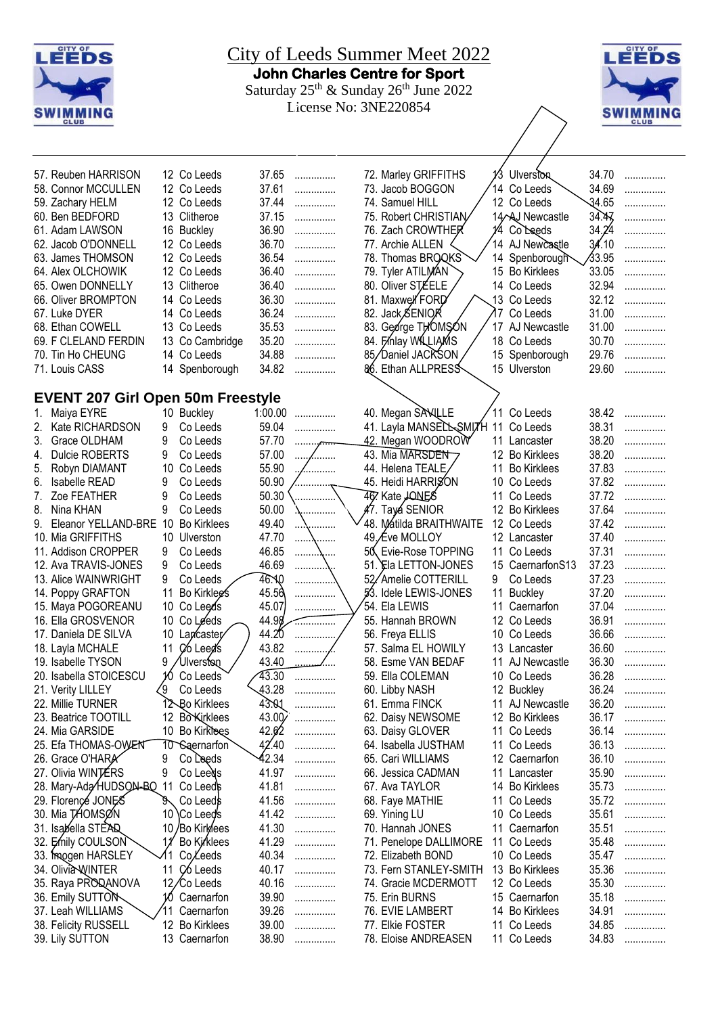| LEEDS                                    | LEEDS    |                                 |                |                |     |                                                |     |                                |                |             |
|------------------------------------------|----------|---------------------------------|----------------|----------------|-----|------------------------------------------------|-----|--------------------------------|----------------|-------------|
| <b>CLUB</b>                              |          |                                 |                |                |     |                                                |     |                                |                | <b>CLUB</b> |
| 57. Reuben HARRISON                      |          | 12 Co Leeds                     | 37.65          | .              |     | 72. Marley GRIFFITHS                           | 13  | <b>Ulverston</b>               | 34.70          | .           |
| 58. Connor MCCULLEN                      |          | 12 Co Leeds                     | 37.61          | .              |     | 73. Jacob BOGGON                               |     | 14 Co Leeds                    | 34.69          | .           |
| 59. Zachary HELM                         |          | 12 Co Leeds                     | 37.44          | .              |     | 74. Samuel HILL                                |     | 12 Co Leeds                    | 34.65          |             |
| 60. Ben BEDFORD                          |          | 13 Clitheroe                    | 37.15          | .              |     | 75. Robert CHRISTIAN                           |     | 14 AJ Newcastle                | 34.47          |             |
| 61. Adam LAWSON                          |          | 16 Buckley                      | 36.90          | .              |     | 76. Zach CROWTHER                              | 1⁄4 | Co Leeds                       | 34.24          |             |
| 62. Jacob O'DONNELL                      |          | 12 Co Leeds                     | 36.70          | .              |     | 77. Archie ALLEN                               |     | 14 AJ Newcastle                | 34.10          |             |
| 63. James THOMSON                        |          | 12 Co Leeds                     | 36.54          | .              |     | 78. Thomas BROQKS                              |     | 14 Spenborough                 | 33.95          |             |
| 64. Alex OLCHOWIK                        |          | 12 Co Leeds                     | 36.40          | .              |     | 79. Tyler ATILMAN                              |     | 15 Bo Kirklees                 | 33.05          | .           |
| 65. Owen DONNELLY                        |          | 13 Clitheroe                    | 36.40          | .              |     | 80. Oliver STEELE                              |     | 14 Co Leeds                    | 32.94          | .           |
| 66. Oliver BROMPTON                      |          | 14 Co Leeds                     | 36.30          | .              |     | 81. Maxwell FORD                               |     | 13 Co Leeds                    | 32.12          | .           |
| 67. Luke DYER                            |          | 14 Co Leeds                     | 36.24          | .              |     | 82. Jack SENIOR                                | 17  | Co Leeds                       | 31.00          | .           |
| 68. Ethan COWELL                         |          | 13 Co Leeds                     | 35.53          | .              |     | 83. George THOMSON                             | 17  | AJ Newcastle                   | 31.00          | .           |
| 69. F CLELAND FERDIN                     |          | 13 Co Cambridge<br>14 Co Leeds  | 35.20<br>34.88 | .              |     | 84. Finlay WILLIAMS                            |     | 18 Co Leeds                    | 30.70<br>29.76 | .           |
| 70. Tin Ho CHEUNG<br>71. Louis CASS      |          |                                 | 34.82          | .              |     | 85/Daniel JACKSON<br>86. Ethan ALLPRESS        |     | 15 Spenborough<br>15 Ulverston | 29.60          | .           |
|                                          |          | 14 Spenborough                  |                | .              |     |                                                |     |                                |                |             |
| <b>EVENT 207 Girl Open 50m Freestyle</b> |          |                                 |                |                |     |                                                |     |                                |                |             |
| Maiya EYRE<br>1.                         |          | 10 Buckley                      | 1:00.00        | .              |     | 40. Megan SAWLLE                               |     | 11 Co Leeds                    | 38.42          | .           |
| Kate RICHARDSON<br>2.                    | 9        | Co Leeds                        | 59.04          | .              |     | 41. Layla MANSELLSMITH                         | 11  | Co Leeds                       | 38.31          | .           |
| Grace OLDHAM<br>3.                       | 9        | Co Leeds                        | 57.70          |                |     | <u>42.</u> Megan WOODROW                       |     | 11 Lancaster                   | 38.20          |             |
| <b>Dulcie ROBERTS</b><br>4.              | 9        | Co Leeds                        | 57.00          | .              |     | 43. Mia MARSDEN                                |     | 12 Bo Kirklees                 | 38.20          |             |
| Robyn DIAMANT<br>5.                      | 10       | Co Leeds                        | 55.90          |                |     | 44. Helena TEALE                               |     | 11 Bo Kirklees                 | 37.83          | .           |
| Isabelle READ<br>6.                      | 9        | Co Leeds                        | 50.90          |                |     | 45. Heidi HARRISON                             |     | 10 Co Leeds                    | 37.82          | .           |
| Zoe FEATHER<br>7.                        | 9        | Co Leeds                        | 50.30          | .              |     | 467 Kate JONES                                 | 11  | Co Leeds                       | 37.72          | .           |
| Nina KHAN<br>8.                          | 9        | Co Leeds                        | 50.00          |                |     | 47. Tayá SENIOR                                |     | 12 Bo Kirklees                 | 37.64          | .           |
| Eleanor YELLAND-BRE<br>9.                | 10       | <b>Bo Kirklees</b>              | 49.40          |                |     | 48. Mátilda BRAITHWAITE                        |     | 12 Co Leeds                    | 37.42          |             |
| 10. Mia GRIFFITHS                        |          | 10 Ulverston                    | 47.70          | .<br>.         |     | 49. Eve MOLLOY                                 |     | 12 Lancaster                   | 37.40          | .           |
| 11. Addison CROPPER                      | 9        | Co Leeds                        | 46.85          |                | 50. | Evie-Rose TOPPING                              | 11  | Co Leeds                       | 37.31          |             |
| 12. Ava TRAVIS-JONES                     | 9        | Co Leeds                        | 46.69          |                |     | 51. Ela LETTON-JONES                           |     | 15 CaernarfonS13               | 37.23          | .           |
| 13. Alice WAINWRIGHT                     | 9        | Co Leeds                        | 46.AO          | .              |     | 52/Amelie COTTERILL                            | 9   | Co Leeds                       | 37.23          | .           |
| 14. Poppy GRAFTON                        | 11       | Bo Kirklegs                     | 45.56          | .              |     | 53. Idele LEWIS-JONES                          | 11  | <b>Buckley</b>                 | 37.20          | .           |
| 15. Maya POGOREANU                       | 10       | Co Leeds                        | 45.07          | .              |     | 54. Ela LEWIS                                  | 11  | Caernarfon                     | 37.04          | .           |
| 16. Ella GROSVENOR                       | 10       | Co Leeds                        | 44.98<br>44.20 | <del>.</del> . |     | 55. Hannah BROWN                               |     | 12 Co Leeds                    | 36.91<br>36.66 | .           |
| 17. Daniela DE SILVA<br>18. Layla MCHALE | 10<br>11 | Lapcaster                       | 43.82          |                |     | 56. Freya ELLIS<br>57. Salma EL HOWILY         |     | 10 Co Leeds<br>13 Lancaster    | 36.60          | .           |
| 19. Isabelle TYSON                       | 9        | Co Leed's<br>Ulverston          | 43.40          |                |     | 58. Esme VAN BEDAF                             | 11  | AJ Newcastle                   | 36.30          | .<br>.      |
| 20. Isabella STOICESCU                   | 10       | Co Leeds                        | 43.30          |                |     | 59. Ella COLEMAN                               |     | 10 Co Leeds                    | 36.28          | .           |
| 21. Verity LILLEY                        | 29       | Co Leeds                        | 43.28          | .              |     | 60. Libby NASH                                 |     | 12 Buckley                     | 36.24          | .           |
| 22. Millie TURNER                        |          | 12 Bo Kirklees                  | 43.Q1          | .              |     | 61. Emma FINCK                                 |     | 11 AJ Newcastle                | 36.20          | .           |
| 23. Beatrice TOOTILL                     |          | 12 Bo <sup>Kirklees</sup>       | 43.00          | .              |     | 62. Daisy NEWSOME                              |     | 12 Bo Kirklees                 | 36.17          | .           |
| 24. Mia GARSIDE                          |          | 10 Bo Kirklees                  | 42.62          | .              |     | 63. Daisy GLOVER                               |     | 11 Co Leeds                    | 36.14          | .           |
| 25. Efa THOMAS-OWENT                     |          | 10 Saernarfon                   | 42.40          | .              |     | 64. Isabella JUSTHAM                           |     | 11 Co Leeds                    | 36.13          | .           |
| 26. Grace O'HARA                         | 9        | Co Leeds                        | 42.34          | .              |     | 65. Cari WILLIAMS                              |     | 12 Caernarfon                  | 36.10          | .           |
| 27. Olivia WINTERS                       | 9        | Co Leeds                        | 41.97          | .              |     | 66. Jessica CADMAN                             |     | 11 Lancaster                   | 35.90          | .           |
| 28. Mary-Ada HUDSON-BO                   | 11       | Co Leeds                        | 41.81          | .              |     | 67. Ava TAYLOR                                 |     | 14 Bo Kirklees                 | 35.73          | .           |
| 29. Florence JONES                       | g,       | Co Leeds                        | 41.56          | .              |     | 68. Faye MATHIE                                |     | 11 Co Leeds                    | 35.72          | .           |
| 30. Mia THOMSØN                          |          | 10 \Co Leed's                   | 41.42          | .              |     | 69. Yining LU                                  |     | 10 Co Leeds                    | 35.61          | .           |
| 31. Isabella STEAD                       |          | 10 / Bo Kirklees                | 41.30          | .              |     | 70. Hannah JONES                               |     | 11 Caernarfon                  | 35.51          | .           |
| 32. Emily COULSON                        |          | Bo Kirklees                     | 41.29          | .              |     | 71. Penelope DALLIMORE                         | 11  | Co Leeds                       | 35.48          | .           |
| 33. Imogen HARSLEY                       | 11       | CoLeeds<br>C <sub>6</sub> Leeds | 40.34<br>40.17 | .              |     | 72. Elizabeth BOND                             |     | 10 Co Leeds<br>13 Bo Kirklees  | 35.47<br>35.36 | .           |
| 34. Olivia WINTER<br>35. Raya PRODANOVA  |          | 12/Co Leeds                     | 40.16          | .              |     | 73. Fern STANLEY-SMITH<br>74. Gracie MCDERMOTT |     | 12 Co Leeds                    | 35.30          | .           |
| 36. Emily SUTTON                         |          | Caernarfon                      | 39.90          | .<br>.         |     | 75. Erin BURNS                                 |     | 15 Caernarfon                  | 35.18          | .<br>.      |
| 37. Leah WILLIAMS                        | 11       | Caernarfon                      | 39.26          | .              |     | 76. EVIE LAMBERT                               |     | 14 Bo Kirklees                 | 34.91          | .           |
| 38. Felicity RUSSELL                     |          | 12 Bo Kirklees                  | 39.00          | .              |     | 77. Elkie FOSTER                               |     | 11 Co Leeds                    | 34.85          | .           |
| 39. Lily SUTTON                          |          | 13 Caernarfon                   | 38.90          | .              |     | 78. Eloise ANDREASEN                           |     | 11 Co Leeds                    | 34.83          | .           |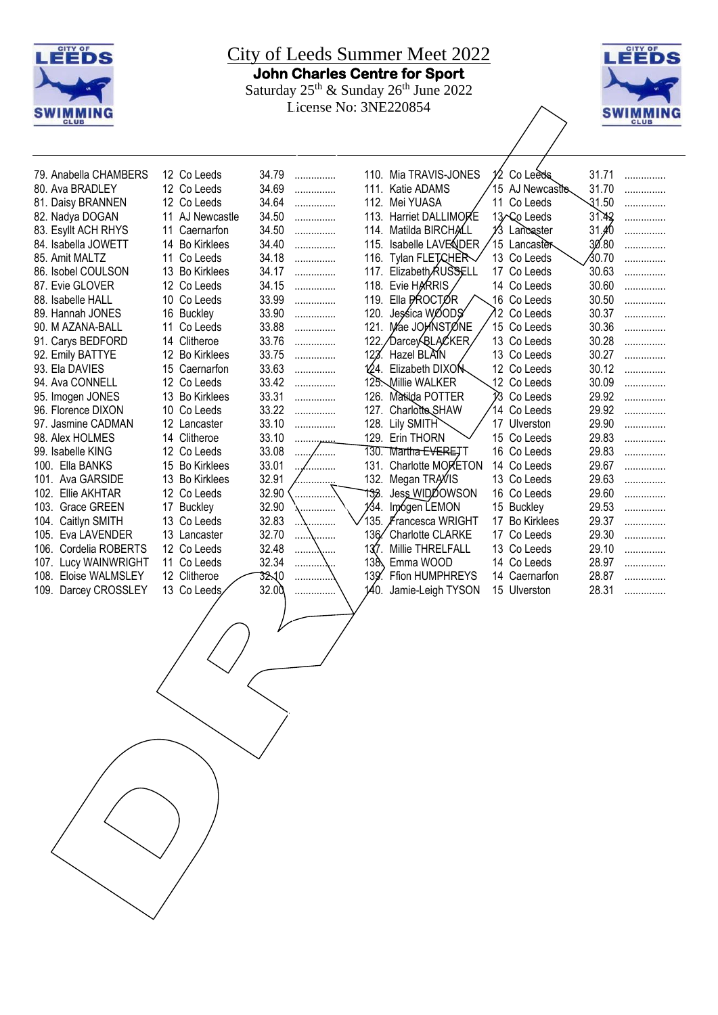



| 79. Anabella CHAMBERS      | 12 Co Leeds                 | 34.79 | .          |      | 110. Mia TRAVIS-JONES         | 12  | Co Leeds           | 31.71  | . |
|----------------------------|-----------------------------|-------|------------|------|-------------------------------|-----|--------------------|--------|---|
| 80. Ava BRADLEY            | 12 Co Leeds                 | 34.69 | .          | 111. | Katie ADAMS                   |     | 15 AJ Newcastle    | 31.70  | . |
| 81. Daisy BRANNEN          | 12<br>Co Leeds              | 34.64 | .          | 112. | Mei YUASA                     |     | 11 Co Leeds        | -31.50 | . |
| 82. Nadya DOGAN            | 11<br>AJ Newcastle          | 34.50 | .          | 113. | Harriet DALLIMORE             |     | 13 Co Leeds        | 31.42  | . |
| 83. Esyllt ACH RHYS        | 11<br>Caernarfon            | 34.50 | .          | 114. | Matilda BIRCHALL              | 13  | Lancaster          | 31.40  |   |
| 84. Isabella JOWETT        | <b>Bo Kirklees</b><br>14    | 34.40 | .          | 115. | Isabelle LAVENDER             |     | 15 Lancaster       | 30.80  | . |
| 85. Amit MALTZ             | Co Leeds<br>11              | 34.18 | .          | 116. | Tylan FLETCHER                |     | 13 Co Leeds        | ∕30.70 | . |
| 86. Isobel COULSON         | 13<br><b>Bo Kirklees</b>    | 34.17 | .          |      | 117. Elizabeth <b>RUSSELL</b> |     | 17 Co Leeds        | 30.63  | . |
| 87. Evie GLOVER            | 12<br>Co Leeds              | 34.15 | .          | 118. | Evie HARRIS                   |     | 14 Co Leeds        | 30.60  | . |
| 88. Isabelle HALL          | 10<br>Co Leeds              | 33.99 | .          | 119. | Ella PROCTØR                  |     | 16 Co Leeds        | 30.50  | . |
| 89. Hannah JONES           | 16<br><b>Buckley</b>        | 33.90 | .          | 120. | Jessica WOODS                 |     | 12 Co Leeds        | 30.37  | . |
| 90. M AZANA-BALL           | 11<br>Co Leeds              | 33.88 | .          | 121. | Mae JOHNSTONE                 |     | 15 Co Leeds        | 30.36  | . |
| 91. Carys BEDFORD          | Clitheroe<br>14             | 33.76 | .          | 122  | ⁄Darcey <sup>(</sup> QLAC⁄KER |     | 13 Co Leeds        | 30.28  | . |
| 92. Emily BATTYE           | 12<br><b>Bo Kirklees</b>    | 33.75 | .          | 123. | Hazel BLAIN                   |     | 13 Co Leeds        | 30.27  | . |
| 93. Ela DAVIES             | 15<br>Caernarfon            | 33.63 | .          |      | 124. Elizabeth DIXON          |     | 12 Co Leeds        | 30.12  | . |
| 94. Ava CONNELL            | 12 <sup>°</sup><br>Co Leeds | 33.42 | .          |      | 125. Millie WALKER            |     | 12 Co Leeds        | 30.09  | . |
| 95. Imogen JONES           | 13<br><b>Bo Kirklees</b>    | 33.31 | .          | 126. | Matilda POTTER                | Ŷ3. | Co Leeds           | 29.92  | . |
| 96. Florence DIXON         | 10<br>Co Leeds              | 33.22 | .          | 127. | Charlotte SHAW                | 14  | Co Leeds           | 29.92  | . |
| 97. Jasmine CADMAN         | 12<br>Lancaster             | 33.10 | .          |      | 128. Lily SMITH               |     | 17 Ulverston       | 29.90  | . |
| 98. Alex HOLMES            | Clitheroe<br>14             | 33.10 | . <u>.</u> |      | 129. Erin THORN               |     | 15 Co Leeds        | 29.83  |   |
| 99. Isabelle KING          | 12<br>Co Leeds              | 33.08 | .          | 130. | Martha <del>EVERE</del> TT    |     | 16 Co Leeds        | 29.83  | . |
| Ella BANKS<br>100.         | <b>Bo Kirklees</b><br>15    | 33.01 |            | 131. | Charlotte MORETON             |     | 14 Co Leeds        | 29.67  | . |
| Ava GARSIDE<br>101.        | 13<br><b>Bo Kirklees</b>    | 32.91 |            | 132. | Megan TRAVIS                  |     | 13 Co Leeds        | 29.63  | . |
| 102.<br>Ellie AKHTAR       | 12<br>Co Leeds              | 32.90 | .          | 133. | Jess WIDDOWSON                |     | 16 Co Leeds        | 29.60  | . |
| <b>Grace GREEN</b><br>103. | <b>Buckley</b><br>17        | 32.90 | .          | 134. | Imógen LEMON                  |     | 15 Buckley         | 29.53  | . |
| Caitlyn SMITH<br>104.      | 13<br>Co Leeds              | 32.83 | .          | 135. | ∦rancesca WRIGHT              | 17  | <b>Bo Kirklees</b> | 29.37  | . |
| 105.<br>Eva LAVENDER       | 13 Lancaster                | 32.70 | .          | 136⁄ | Charlotte CLARKE              |     | 17 Co Leeds        | 29.30  | . |
| Cordelia ROBERTS<br>106.   | 12 Co Leeds                 | 32.48 |            | 137. | Millie THRELFALL              |     | 13 Co Leeds        | 29.10  | . |
| Lucy WAINWRIGHT<br>107.    | 11 Co Leeds                 | 32.34 | .          | 138. | Emma WOOD                     |     | 14 Co Leeds        | 28.97  | . |
| 108.<br>Eloise WALMSLEY    | Clitheroe<br>12             | 32.10 | .          | 139  | <b>Ffion HUMPHREYS</b>        |     | 14 Caernarfon      | 28.87  | . |
| Darcey CROSSLEY<br>109.    | 13<br>Co Leeds              | 32.00 |            | 140. | Jamie-Leigh TYSON             |     | 15 Ulverston       | 28.31  | . |
|                            |                             |       |            |      |                               |     |                    |        |   |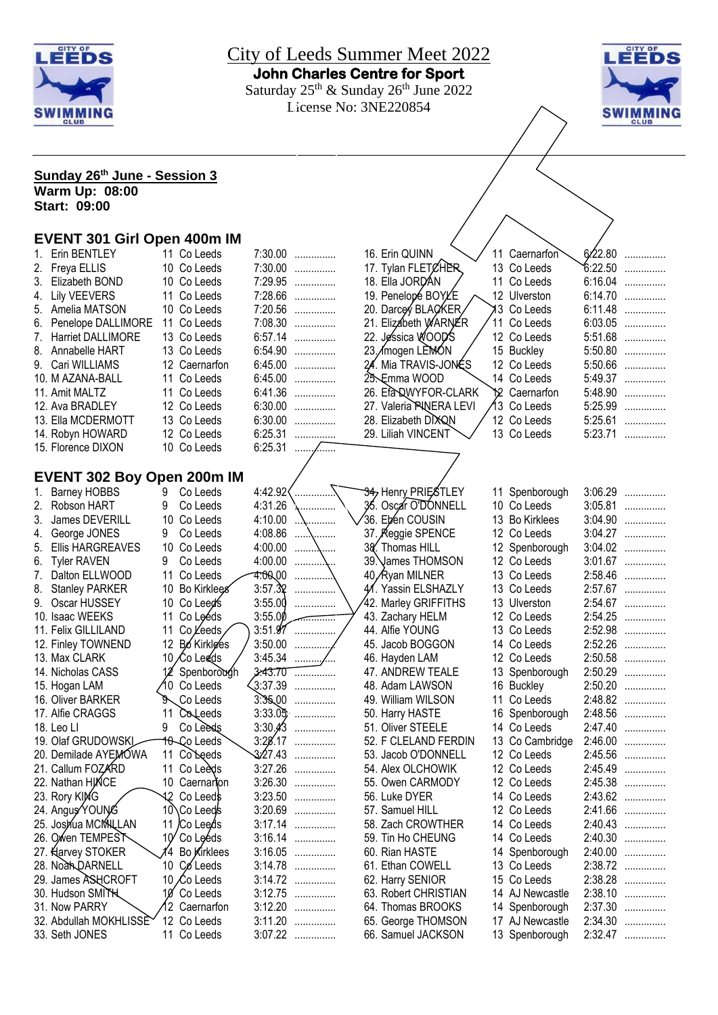



| Sunday 26 <sup>th</sup> June - Session 3    |    |                          |                    |                               |                                      |  |                               |         |                        |
|---------------------------------------------|----|--------------------------|--------------------|-------------------------------|--------------------------------------|--|-------------------------------|---------|------------------------|
| <b>Warm Up: 08:00</b>                       |    |                          |                    |                               |                                      |  |                               |         |                        |
| <b>Start: 09:00</b>                         |    |                          |                    |                               |                                      |  |                               |         |                        |
|                                             |    |                          |                    |                               |                                      |  |                               |         |                        |
| <b>EVENT 301 Girl Open 400m IM</b>          |    |                          |                    |                               |                                      |  |                               |         |                        |
| Erin BENTLEY<br>1.                          |    | 11 Co Leeds              |                    | 7:30.00                       | 16. Erin QUINN                       |  | 11 Caernarfon                 |         | $6/22.80$              |
| Freya ELLIS                                 |    | 10 Co Leeds              |                    | 7:30.00                       | 17. Tylan FLETCHER                   |  | 13 Co Leeds                   |         | 6:22.50                |
| Elizabeth BOND<br>3.                        |    | 10 Co Leeds              |                    | 7:29.95                       | 18. Ella JORDAN                      |  | 11 Co Leeds                   |         | 6:16.04                |
| 4. Lily VEEVERS                             |    | 11 Co Leeds              |                    | 7:28.66                       | 19. Penelopé BOYLE                   |  | 12 Ulverston                  |         | 6:14.70                |
| 5. Amelia MATSON                            |    | 10 Co Leeds              |                    | 7:20.56                       | 20. Darcey BLACKER                   |  | I3 Co Leeds                   |         | 6:11.48                |
| Penelope DALLIMORE<br>6.                    |    | 11 Co Leeds              |                    | 7:08.30                       | 21. Elizabeth WARNER                 |  | 11 Co Leeds                   |         | 6:03.05                |
| Harriet DALLIMORE<br>7.                     |    | 13 Co Leeds              |                    | 6:57.14                       | 22. Jessica WOOD'S                   |  | 12 Co Leeds                   |         | 5:51.68                |
| 8.<br>Annabelle HART                        |    | 13 Co Leeds              | 6:54.90            | .                             | 23.∕mogen LEMÓN                      |  | 15 Buckley                    |         | 5:50.80                |
| Cari WILLIAMS                               |    | 12 Caernarfon            | 6:45.00            | .                             | 24. Mia TRAVIS-JONÉS                 |  | 12 Co Leeds                   | 5:50.66 | $\ldots \ldots \ldots$ |
| 10. M AZANA-BALL                            |    | 11 Co Leeds              | 6:45.00            | .                             | 25. Emma WOOD                        |  | 14 Co Leeds                   |         | 5:49.37                |
| 11. Amit MALTZ                              |    | 11 Co Leeds              | 6:41.36            | .                             | 26. Efa QWYFOR-CLARK                 |  | Y <sub>2</sub> Caernarfon     | 5:48.90 | .                      |
| 12. Ava BRADLEY                             |    | 12 Co Leeds              | 6:30.00            | .                             | 27. Valeria PINERA LEVI              |  | 13 Co Leeds                   |         | 5:25.99                |
| 13. Ella MCDERMOTT                          |    | 13 Co Leeds              | 6:30.00            | .                             | 28. Elizabeth DIXQN                  |  | 12 Co Leeds                   |         | 5:25.61                |
| 14. Robyn HOWARD                            |    | 12 Co Leeds              | 6:25.31            | .                             | 29. Liliah VINCENT                   |  | 13 Co Leeds                   |         | 5:23.71                |
| 15. Florence DIXON                          |    | 10 Co Leeds              | $6:25.31$          | .                             |                                      |  |                               |         |                        |
|                                             |    |                          |                    |                               |                                      |  |                               |         |                        |
| <b>EVENT 302 Boy Open 200m IM</b>           |    |                          |                    |                               |                                      |  |                               |         |                        |
| <b>Barney HOBBS</b><br>1.                   | 9  | Co Leeds                 | 4:42.92            |                               | 34, Henry PRIESTLEY                  |  | 11 Spenborough                |         | $3:06.29$              |
| 2. Robson HART                              | 9  | Co Leeds                 | 4:31.26            | .                             | 36. Oscar O'DONNELL                  |  | 10 Co Leeds                   |         | $3:05.81$              |
| James DEVERILL<br>3.                        |    | 10 Co Leeds              | 4:10.00            |                               | 36. Ebén COUSIN                      |  | 13 Bo Kirklees                |         | $3:04.90$              |
|                                             | 9  |                          | 4:08.86            | \                             |                                      |  |                               |         | $3:04.27$              |
| George JONES<br>4.                          |    | Co Leeds                 | 4:00.00            | \                             | 37. Reggie SPENCE<br>38. Thomas HILL |  | 12 Co Leeds                   |         | $3:04.02$              |
| <b>Ellis HARGREAVES</b><br>5.               | 9  | 10 Co Leeds<br>Co Leeds  | 4:00.00            | \                             | 39. James THOMSON                    |  | 12 Spenborough<br>12 Co Leeds |         | $3:01.67$              |
| <b>Tyler RAVEN</b><br>6.                    |    |                          | <b>4:00,00</b>     | .                             |                                      |  |                               |         | 2:58.46                |
| Dalton ELLWOOD<br>$\mathcal{L}$ .           |    | 11 Co Leeds              | 3:57.32            |                               | 40, Ryan MILNER                      |  | 13 Co Leeds<br>13 Co Leeds    |         | 2:57.67                |
| 8.<br><b>Stanley PARKER</b><br>Oscar HUSSEY |    | 10 Bo Kirklees           | 3:55.00            |                               | 41. Yassin ELSHAZLY                  |  |                               |         | 2:54.67                |
| 9.                                          |    | 10 Co Leed's<br>Co Leéds |                    | .                             | 42. Marley GRIFFITHS                 |  | 13 Ulverston                  | 2:54.25 |                        |
| 10. Isaac WEEKS<br>11. Felix GILLILAND      | 11 | Co Leeds                 | 3:55.00            | . . <del>.</del><br>$3:51.97$ | 43. Zachary HELM                     |  | 12 Co Leeds                   |         | .<br>2:52.98           |
|                                             | 11 |                          | 3:50.00            |                               | 44. Alfie YOUNG<br>45. Jacob BOGGON  |  | 13 Co Leeds<br>14 Co Leeds    |         | 2:52.26                |
| 12. Finley TOWNEND                          |    | 12 Bo Kirklees           |                    | .                             |                                      |  |                               |         |                        |
| 13. Max CLARK                               |    | 10 Co Leeds              |                    |                               | 46. Hayden LAM                       |  | 12 Co Leeds                   |         | 2:50.58<br>2:50.29     |
| 14. Nicholas CASS                           |    | 12 Spenborough           | 3.43.70<br>3:37.39 | .                             | 47. ANDREW TEALE                     |  | 13 Spenborough                | 2:50.20 |                        |
| 15. Hogan LAM                               |    | 10 Co Leeds              |                    | .                             | 48. Adam LAWSON                      |  | 16 Buckley                    |         | .                      |
| 16. Oliver BARKER                           |    | Co Leeds                 |                    | $3.3500$                      | 49. William WILSON                   |  | 11 Co Leeds                   | 2:48.82 | .                      |
| 17. Alfie CRAGGS                            |    | 11 Colleeds              |                    | $3:33.05$                     | 50. Harry HASTE                      |  | 16 Spenborough                |         | 2:48.56                |
| 18. Leo Ll                                  | 9  | Co Leeds                 |                    | $3:30.43$                     | 51. Oliver STEELE                    |  | 14 Co Leeds                   |         | 2:47.40                |
| 19. Olaf GRUDOWSKI                          |    | 10 Co Leeds              |                    | 3:28.17                       | 52. F CLELAND FERDIN                 |  | 13 Co Cambridge               |         | 2:46.00                |
| 20. Demilade AYEMOWA                        |    | 11 Colleeds              | 3:27.43            | .                             | 53. Jacob O'DONNELL                  |  | 12 Co Leeds                   | 2:45.56 | .                      |
| 21. Callum FOZARD                           | 11 | Co Leeds                 | 3:27.26            | .                             | 54. Alex OLCHOWIK                    |  | 12 Co Leeds                   | 2:45.49 | .                      |
| 22. Nathan HINCE                            |    | 10 Caernarion            | 3:26.30            | .                             | 55. Owen CARMODY                     |  | 12 Co Leeds                   | 2:45.38 | .                      |
| 23. Rory KING                               |    | 42 Co Leeds              | 3:23.50            | .                             | 56. Luke DYER                        |  | 14 Co Leeds                   |         | 2:43.62                |
| 24. Angus YOUNG                             |    | 10 Co Leeds              |                    | 3:20.69                       | 57. Samuel HILL                      |  | 12 Co Leeds                   |         | 2:41.66                |
| 25. Joshua MCMALLAN                         | 11 | /Co Leeds                |                    | 3:17.14                       | 58. Zach CROWTHER                    |  | 14 Co Leeds                   |         | 2:40.43                |
| 26. Owen TEMPEST                            |    | $10'$ Co Leeds           |                    | 3:16.14                       | 59. Tin Ho CHEUNG                    |  | 14 Co Leeds                   |         | 2:40.30                |
| 27. Harvey STOKER                           | 14 | Bo Kirklees              |                    | 3:16.05                       | 60. Rian HASTE                       |  | 14 Spenborough                |         | 2:40.00                |
| 28. Noah DARNELL                            |    | 10 Coleeds               |                    | $3:14.78$                     | 61. Ethan COWELL                     |  | 13 Co Leeds                   |         | 2:38.72                |
| 29. James ASHCROFT                          |    | 10 Co Leeds              |                    | $3:14.72$                     | 62. Harry SENIOR                     |  | 15 Co Leeds                   |         | 2:38.28                |
| 30. Hudson SMITH                            | 10 | Co Leeds                 | 3:12.75            | .                             | 63. Robert CHRISTIAN                 |  | 14 AJ Newcastle               |         | 2:38.10                |
| 31. Now PARRY                               |    | 12 Caernarfon            | 3:12.20            | .                             | 64. Thomas BROOKS                    |  | 14 Spenborough                |         | 2:37.30                |
| 32. Abdullah MOKHLISSE                      |    | 12 Co Leeds              | 3:11.20            | .                             | 65. George THOMSON                   |  | 17 AJ Newcastle               | 2:34.30 | .                      |
| 33. Seth JONES                              |    | 11 Co Leeds              |                    | 3:07.22                       | 66. Samuel JACKSON                   |  | 13 Spenborough                |         | 2:32.47                |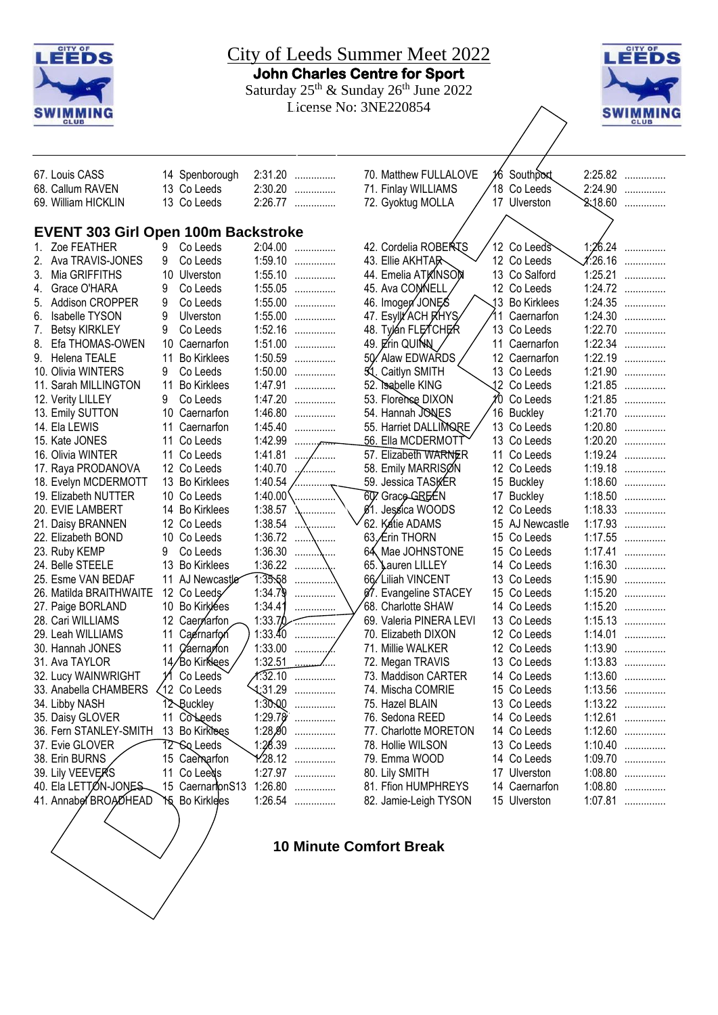

#### **10 Minute Comfort Break**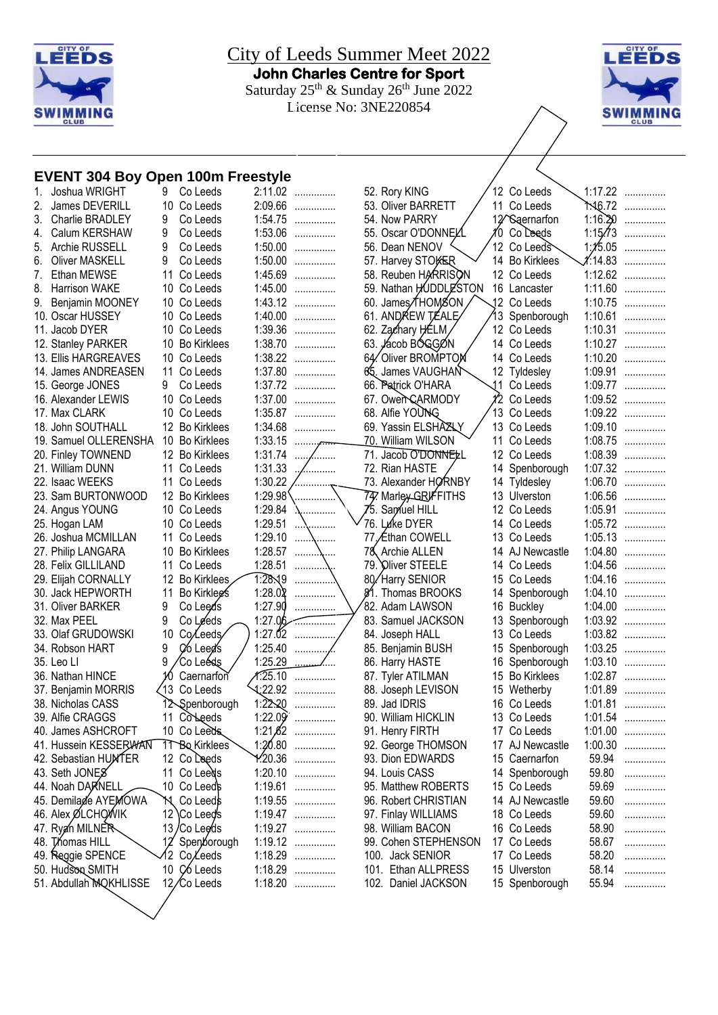

City of Leeds Summer Meet 2022 **John Charles Centre for Sport**  Saturday  $25^{th}$  & Sunday  $26^{th}$  June 2022 License No: 3NE220854



## **EVENT 304 Boy Open 100m Freestyle**

| 1. | Joshua WRIGHT          | 9               | Co Leeds            | 2:11.02 | . |
|----|------------------------|-----------------|---------------------|---------|---|
| 2. | James DEVERILL         | 10              | Co Leeds            | 2:09.66 | . |
| 3. | Charlie BRADLEY        | 9               | Co Leeds            | 1:54.75 | . |
| 4. | Calum KERSHAW          | 9               | Co Leeds            | 1:53.06 | . |
| 5. | Archie RUSSELL         | 9               | Co Leeds            | 1:50.00 | . |
| 6. | <b>Oliver MASKELL</b>  | 9               | Co Leeds            | 1:50.00 | . |
| 7. | Ethan MEWSE            | 11              | Co Leeds            | 1:45.69 | . |
| 8. | <b>Harrison WAKE</b>   | 10              | Co Leeds            | 1:45.00 | . |
| 9. | Benjamin MOONEY        | 10              | Co Leeds            | 1:43.12 | . |
|    | 10. Oscar HUSSEY       | 10              | Co Leeds            | 1:40.00 |   |
|    | 11. Jacob DYER         | 10              | Co Leeds            | 1:39.36 | . |
|    | 12. Stanley PARKER     | 10              | <b>Bo Kirklees</b>  | 1:38.70 | . |
|    | 13. Ellis HARGREAVES   | 10              | Co Leeds            | 1:38.22 | . |
|    | 14. James ANDREASEN    | 11              | Co Leeds            | 1:37.80 | . |
|    | 15. George JONES       | 9               | Co Leeds            | 1:37.72 | . |
|    | 16. Alexander LEWIS    | 10              | Co Leeds            | 1:37.00 | . |
|    | 17. Max CLARK          | 10              | Co Leeds            | 1:35.87 | . |
|    | 18. John SOUTHALL      | 12              | <b>Bo Kirklees</b>  | 1:34.68 | . |
|    | 19. Samuel OLLERENSHA  |                 | 10 Bo Kirklees      | 1:33.15 |   |
|    | 20. Finley TOWNEND     |                 | 12 Bo Kirklees      | 1:31.74 |   |
|    | 21. William DUNN       | 11              | Co Leeds            | 1:31.33 |   |
|    | 22. Isaac WEEKS        | 11              | Co Leeds            | 1:30.22 |   |
|    | 23. Sam BURTONWOOD     | 12              | <b>Bo Kirklees</b>  | 1:29.98 |   |
|    | 24. Angus YOUNG        |                 | 10 Co Leeds         | 1:29.84 |   |
|    | 25. Hogan LAM          | 10              | Co Leeds            | 1:29.51 |   |
|    | 26. Joshua MCMILLAN    | 11              | Co Leeds            | 1:29.10 | . |
|    | 27. Philip LANGARA     | 10              | <b>Bo Kirklees</b>  | 1:28.57 |   |
|    | 28. Felix GILLILAND    | 11              | Co Leeds            | 1:28.51 |   |
|    | 29. Elijah CORNALLY    | 12              | <b>Bo Kirklees</b>  | 1:28.19 |   |
|    | 30. Jack HEPWORTH      | 11              | Bo Kirklegs         | 1:28.02 |   |
|    | 31. Oliver BARKER      | 9               | Co Leeds            | 1:27.90 |   |
|    | 32. Max PEEL           | 9               | Co Leeds            | 1:27.06 |   |
|    | 33. Olaf GRUDOWSKI     | 10              | Co <sub>Leeds</sub> | 1:27.02 |   |
|    | 34. Robson HART        | 9               | Co Leed's           | 1:25.40 |   |
|    | 35. Leo Ll             | 9               | Co Leéds            | 1:25.29 |   |
|    | 36. Nathan HINCE       | 10              | Caernarfon          | 1.25.10 | . |
|    | 37. Benjamin MORRIS    | 13              | Co Leeds            | 1:22.92 | . |
|    | 38. Nicholas CASS      | 12              | Spenborough         | 1:22.20 |   |
|    | 39. Alfie CRAGGS       | 11              | Colleeds            | 1:22.09 | . |
|    | 40. James ASHCROFT     |                 | 10 Co Leeds.        | 1:21,62 | . |
|    | 41. Hussein KESSERWAN  |                 | 11 Bo Kirklees      | 1:20.80 | . |
|    | 42. Sebastian HUMTER   |                 | 12 Co Leeds         | 1.20.36 |   |
|    | 43. Seth JONES         | 11              | Co Leeds            | 1:20.10 |   |
|    | 44. Noah DARNELL       | 10              | Co Leeds            | 1:19.61 |   |
|    | 45. Demilade AYEMOWA   | 'n.             | Co Leeds            | 1:19.55 |   |
|    | 46. Alex ØLCHOWIK      | 12              | <b>\Co Leed's</b>   | 1:19.47 |   |
|    | 47. Ryan MILNER        | 13 <sub>l</sub> | ′Co Lee∕ds          | 1:19.27 |   |
|    | 48. Thomas HILL        | 12              | Spenborough         | 1:19.12 | . |
|    | 49. Reggie SPENCE      | 12              | Co/Leeds            | 1:18.29 | . |
|    | 50. Hudson SMITH       | 10              | Ç6 Leeds            | 1:18.29 |   |
|    | 51. Abdullah MQKHLISSE | 12,             | Co Leeds            | 1:18.20 | . |
|    |                        |                 |                     |         |   |

| 52. Rory KING                           |    | 12 Co Leeds                | 1:17.22            | . |
|-----------------------------------------|----|----------------------------|--------------------|---|
| 53. Oliver BARRETT                      | 11 | Co Leeds                   | ት.16.72            |   |
| 54. Now PARRY                           |    | 12 <sup>/</sup> Saernarfon | 1:16.20            | . |
| 55. Oscar O'DONNEY                      | 10 | Co Leeds                   | 1:15/73            |   |
| 56. Dean NENOV                          | 12 | Co Leeds                   | 1:15.05            | . |
| 57. Harvey STOKER                       | 14 | <b>Bo Kirklees</b>         | 1.14.83            | . |
| 58. Reuben HARRISON                     | 12 | Co Leeds                   | 1:12.62            |   |
| 59. Nathan HUDDLESTON                   | 16 | Lancaster                  | 1:11.60            |   |
| 60. James∕THOMSON                       | 12 | Co Leeds                   | 1:10.75            |   |
| 61. ANDREW TÆALE                        | 13 | Spenborough                | 1:10.61            |   |
| 62. Zachary HELM                        | 12 | Co Leeds                   | 1:10.31            |   |
| 63. Jácob BÓGGØN                        | 14 | Co Leeds                   | 1:10.27            |   |
| 64. Oliver BROMPTON                     | 14 | Co Leeds                   | 1:10.20            |   |
| 65. James VAUGHAN                       | 12 | Tyldesley                  | 1:09.91            |   |
| 66. Patrick O'HARA                      | 11 | Co Leeds                   | 1:09.77            |   |
|                                         | 12 |                            |                    |   |
| 67. Owen CARMODY<br>68. Alfie YOUNG     | 13 | Co Leeds                   | 1:09.52<br>1:09.22 |   |
|                                         | 13 | Co Leeds                   |                    | . |
| 69. Yassin ELSHAZLY                     | 11 | Co Leeds                   | 1:09.10            | . |
| 70. William WILSON                      |    | Co Leeds                   | 1:08.75            |   |
| 71. Jacob O'DONNELL                     | 12 | Co Leeds                   | 1:08.39            |   |
| 72. Rian HASTE                          | 14 | Spenborough                | 1:07.32            |   |
| 73. Alexander HORNBY                    | 14 | Tyldesley                  | 1:06.70            |   |
| 74. Marley GRIFFITHS                    | 13 | Ulverston                  | 1:06.56            |   |
| 75. Samuel HILL                         | 12 | Co Leeds                   | 1:05.91            |   |
| 76. Luke DYER                           | 14 | Co Leeds                   | 1:05.72            |   |
| 77.∕Ethan COWELL                        |    | 13 Co Leeds                | 1:05.13            |   |
| 78 Archie ALLEN                         | 14 | AJ Newcastle               | 1:04.80            |   |
| 79. Oliver STEELE                       | 14 | Co Leeds                   | 1:04.56            | . |
| 80/Harry SENIOR                         | 15 | Co Leeds                   | 1:04.16            |   |
| \$1. Thomas BROOKS                      | 14 | Spenborough                | 1:04.10            |   |
| 82. Adam LAWSON                         | 16 | <b>Buckley</b>             | 1:04.00            |   |
| 83. Samuel JACKSON                      | 13 | Spenborough                | 1:03.92            |   |
| 84. Joseph HALL                         | 13 | Co Leeds                   | 1:03.82            |   |
| 85. Benjamin BUSH                       | 15 | Spenborough                | 1:03.25            |   |
| 86. Harry HASTE                         | 16 | Spenborough                | 1:03.10            |   |
| 87. Tyler ATILMAN                       | 15 | <b>Bo Kirklees</b>         | 1:02.87            |   |
| 88. Joseph LEVISON                      | 15 | Wetherby                   | 1:01.89            |   |
| 89. Jad IDRIS                           | 16 | Co Leeds                   | 1:01.81            |   |
| 90. William HICKLIN                     |    | 13 Co Leeds                | 1:01.54            | . |
| 91. Henry FIRTH                         |    | 17 Co Leeds                | 1:01.00            | . |
| 92. George THOMSON                      | 17 | AJ Newcastle               | 1:00.30            | . |
| 93. Dion EDWARDS                        |    | 15 Caernarfon              | 59.94              | . |
| 94. Louis CASS                          | 14 | Spenborough                | 59.80              | . |
| 95. Matthew ROBERTS                     |    | 15 Co Leeds                | 59.69              | . |
| 96. Robert CHRISTIAN                    |    | 14 AJ Newcastle            | 59.60              | . |
| 97. Finlay WILLIAMS                     |    | 18 Co Leeds                | 59.60              | . |
| 98. William BACON                       |    | 16 Co Leeds                | 58.90              | . |
| 99. Cohen STEPHENSON                    |    | 17 Co Leeds                | 58.67              | . |
| 100. Jack SENIOR                        | 17 | Co Leeds                   | 58.20              | . |
| $404$ $\blacksquare$<br>$\sim$ ALLODECO |    |                            | <b>CO</b> 44       |   |

Leeds  $\searrow$  1:17.22 ............... Leeds 1:16.72 .............. emarfon 1:16.20 ............... 55. Oscar O'DONNELL 10 Co Leeds 1:15.73 ............... Leeds 1:15.05 ............... 57. Harvey STOKER 14 Bo Kirklees 1:14.83 ............... Leeds 1:12.62 .............. caster 1:11.60 ............... Leeds 1:10.75 ............... http://enborough 1:10.61 Leeds 1:10.31 .............. Leeds 1:10.27 .............. Leeds 1:10.20 .............. desley 1:09.91 .............. Leeds 1:09.77 .............. Leeds 1:09.52 .............. Leeds 1:09.22 .............. Leeds 1:09.10 .............. Leeds 1:08.75 ............... 71. Jacob O'DONNELL 12 Co Leeds 1:08.39 ............... nborough 1:07.32 ............... desley 1:06.70 .............. arston 1:06.56 ............... Leeds 1:05.91 ............... Leeds 1:05.72 .............. Leeds 1:05.13 ............... Vewcastle 1:04.80 .............. Leeds 1:04.56 .............. Leeds 1:04.16 ............... .nborough 1:04.10 .............. kley 1:04.00 .............. .nborough 1:03.92 .............. Leeds 1:03.82 ............... .nborough 1:03.25 .............. hborough 1:03.10 ............... 87. Tyler ATILMAN 15 Bo Kirklees 1:02.87 ............... therby 1:01.89 .............. Leeds 1:01.81 .............. Newcastle 1:00.30 .............. 94. Louis CASS 14 Spenborough 59.80 ............... Vewcastle 59.60 .............. Leeds 58.20 .............. 101. Ethan ALLPRESS 15 Ulverston 58.14 ............... 102. Daniel JACKSON 15 Spenborough 55.94 ...............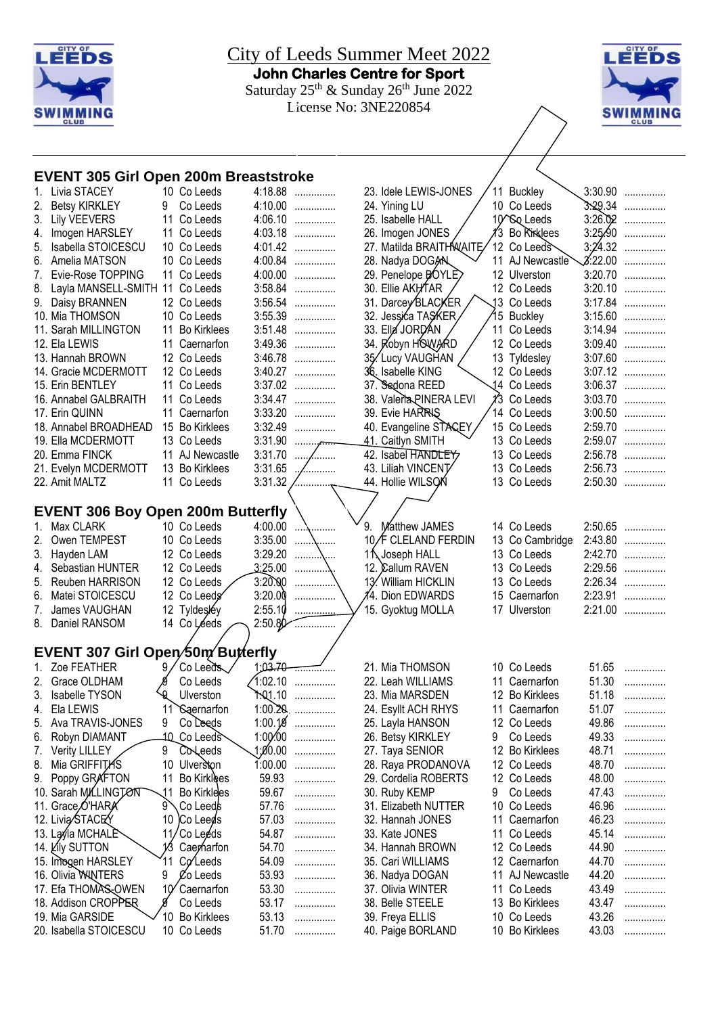



#### **EVENT 305 Girl Open 200m Breaststroke**

|          | Livia STACEY                             |             | 10 Co Leeds                 |           | 4:18.88                | 23. Idele LEWIS-JONES   |   | 11 Buckley                                |                | $3:30.90$          |
|----------|------------------------------------------|-------------|-----------------------------|-----------|------------------------|-------------------------|---|-------------------------------------------|----------------|--------------------|
| 2.       | <b>Betsy KIRKLEY</b>                     | 9.          | Co Leeds                    |           | 4:10.00                | 24. Yining LU           |   | 10 Co Leeds                               |                | $3.29.34$          |
| 3.       | <b>Lily VEEVERS</b>                      |             | 11 Co Leeds                 |           | $4:06.10$              | 25. Isabelle HALL       |   | 10 <sup><math>\infty</math></sup> Q Leeds |                | $3:26.02$          |
| 4.       | Imogen HARSLEY                           |             | 11 Co Leeds                 |           | 4:03.18                | 26. Imogen JONES        |   | ∦3 Bo Kriklees                            |                | $3:25.90$          |
| 5.       | Isabella STOICESCU                       |             | 10 Co Leeds                 |           | 4:01.42                | 27. Matilda BRAITHNAITE |   | 12 Co Leeds                               |                | $3:24.32$          |
|          | 6. Amelia MATSON                         |             | 10 Co Leeds                 |           | $4:00.84$              | 28. Nadya DOGAN         |   | 11 AJ Newcastle                           |                | $\chi$ :22.00      |
| 7.       | Evie-Rose TOPPING                        |             | 11 Co Leeds                 |           | 4:00.00                | 29. Penelope BOYLE      |   | 12 Ulverston                              |                | $3:20.70$          |
|          | 8. Layla MANSELL-SMITH 11 Co Leeds       |             |                             |           | 3:58.84                | 30. Ellie AKHTAR        |   | 12 Co Leeds                               | 3:20.10        | .                  |
|          | 9. Daisy BRANNEN                         |             | 12 Co Leeds                 |           | $3:56.54$              | 31. Darcey BLACKER      |   | 13 Co Leeds                               |                | $3:17.84$          |
|          | 10. Mia THOMSON                          |             | 10 Co Leeds                 |           | $3:55.39$              | 32. Jessića TASKER      |   | 15 Buckley                                |                | $3:15.60$          |
|          | 11. Sarah MILLINGTON                     |             | 11 Bo Kirklees              |           | 3:51.48                | 33. Ella JORDAN         |   | 11 Co Leeds                               |                | 3:14.94            |
|          | 12. Ela LEWIS                            |             | 11 Caernarfon               |           | 3:49.36                | 34. Robyn HOWARD        |   | 12 Co Leeds                               |                | $3:09.40$          |
|          | 13. Hannah BROWN                         |             | 12 Co Leeds                 |           | 3:46.78                | 35/Lucy VAUGHAN         |   | 13 Tyldesley                              |                | $3:07.60$          |
|          | 14. Gracie MCDERMOTT                     |             | 12 Co Leeds                 |           | 3:40.27                | 36. Isabelle KING       |   | 12 Co Leeds                               |                | 3:07.12            |
|          | 15. Erin BENTLEY                         |             | 11 Co Leeds                 |           | $3:37.02$              | 37. Sedona REED         |   | 14 Co Leeds                               | 3:06.37        | .                  |
|          | 16. Annabel GALBRAITH                    |             | 11 Co Leeds                 | 3:34.47   | .                      | 38. Valeria PINERA LEVI |   | 1⁄3 Co Leeds                              | 3:03.70        | .                  |
|          | 17. Erin QUINN                           |             | 11 Caernarfon               | 3:33.20   | .                      | 39. Evie HARRIS         |   | 14 Co Leeds                               | 3:00.50        | .                  |
|          | 18. Annabel BROADHEAD                    |             | 15 Bo Kirklees              | 3:32.49   | .                      | 40. Evangeline STACEY   |   | 15 Co Leeds                               |                | 2:59.70            |
|          | 19. Ella MCDERMOTT                       |             | 13 Co Leeds                 | 3:31.90   | $\ldots \ldots \ldots$ | 41. Caitlyn SMITH       |   | 13 Co Leeds                               |                | 2:59.07            |
|          | 20. Emma FINCK                           |             | 11 AJ Newcastle             | 3:31.70   | $\ddotsc$<br>.         | 42. Isabel HANDLEY      |   | 13 Co Leeds                               |                | 2:56.78            |
|          | 21. Evelyn MCDERMOTT                     |             | 13 Bo Kirklees              | 3:31.65   | /                      | 43. Liliah VINCENT      |   | 13 Co Leeds                               |                | 2:56.73            |
|          | 22. Amit MALTZ                           |             | 11 Co Leeds                 | 3:31.32   |                        | 44. Hollie WILSON       |   | 13 Co Leeds                               |                | 2:50.30            |
|          |                                          |             |                             |           |                        |                         |   |                                           |                |                    |
|          | <b>EVENT 306 Boy Open 200m Butterfly</b> |             |                             |           |                        |                         |   |                                           |                |                    |
| 1.       | Max CLARK                                |             | 10 Co Leeds                 | 4:00.00   |                        | 9. Matthew JAMES        |   | 14 Co Leeds                               | 2:50.65        | .                  |
| 2.       | Owen TEMPEST                             |             | 10 Co Leeds                 | 3:35.00   | .                      | 10/F CLELAND FERDIN     |   | 13 Co Cambridge                           | 2:43.80        |                    |
|          |                                          |             |                             | 3:29.20   | \                      | 11 Joseph HALL          |   |                                           | 2:42.70        | .                  |
| 3.       | Hayden LAM<br>Sebastian HUNTER           |             | 12 Co Leeds<br>12 Co Leeds  | 3:25.00   | \                      | 12. Callum RAVEN        |   | 13 Co Leeds<br>13 Co Leeds                |                | .<br>2:29.56       |
| 4.       |                                          |             |                             | 3:20.00   |                        | 13. William HICKLIN     |   |                                           |                | 2:26.34            |
| 5.       | Reuben HARRISON<br>Matei STOICESCU       |             | 12 Co Leeds<br>12 Co Leeds  | 3:20.00   | .                      | 4. Dion EDWARDS         |   | 13 Co Leeds<br>15 Caernarfon              |                |                    |
| 6.<br>7. |                                          |             |                             | 2:55.10   | .                      |                         |   |                                           |                | 2:23.91<br>2:21.00 |
| 8.       | James VAUGHAN<br>Daniel RANSOM           |             | 12 Tyldesléy<br>14 Co Léeds | 2:50.80   |                        | 15. Gyoktug MOLLA       |   | 17 Ulverston                              |                |                    |
|          |                                          |             |                             |           | .                      |                         |   |                                           |                |                    |
|          | EVENT 307 Girl Open/50m Butterfly        |             |                             |           |                        |                         |   |                                           |                |                    |
|          | Zoe FEATHER                              |             | Co Leeds                    |           | 1.03.70                | 21. Mia THOMSON         |   | 10 Co Leeds                               | 51.65          | .                  |
| 2.       | Grace OLDHAM                             |             | Co Leeds                    | 1:02.10   | .                      | 22. Leah WILLIAMS       |   | 11 Caernarfon                             | 51.30          | .                  |
| 3.       | Isabelle TYSON                           |             | <b>Q</b> Ulverston          |           | 1.01.10                | 23. Mia MARSDEN         |   | 12 Bo Kirklees                            | 51.18          | .                  |
|          | 4. Ela LEWIS                             |             | 11 Saernarfon               |           | $1:00.20$ ,            | 24. Esyllt ACH RHYS     |   | 11 Caernarfon                             | 51.07          |                    |
|          | 5. Ava TRAVIS-JONES                      | 9           | Co Leeds                    |           | $1:00.19$              | 25. Layla HANSON        |   | 12 Co Leeds                               | 49.86          | .                  |
|          | Robyn DIAMANT                            |             | 1Q_Co Leeds                 |           | $1:00:00$              | 26. Betsy KIRKLEY       | 9 | Co Leeds                                  | 49.33          | .                  |
| 6.       |                                          |             |                             | 0.00 \$1, |                        |                         |   |                                           |                | .                  |
| 7.       | <b>Verity LILLEY</b><br>Mia GRIFFITAS    | 9           | Coleeds                     | 1:00.00   | .                      | 27. Taya SENIOR         |   | 12 Bo Kirklees<br>12 Co Leeds             | 48.71<br>48.70 | .                  |
| 8.       |                                          |             | 10 Ulverston                |           | .                      | 28. Raya PRODANOVA      |   |                                           |                | .                  |
| 9.       | Poppy GRAFTON                            | 11          | Bo Kirklees                 | 59.93     | .                      | 29. Cordelia ROBERTS    |   | 12 Co Leeds                               | 48.00          | .                  |
|          | 10. Sarah MILLINGTON                     | .11         | Bo Kirklees                 | 59.67     | .                      | 30. Ruby KEMP           | 9 | Co Leeds                                  | 47.43          | .                  |
|          | 11. Grace O'HARA                         | 9`          | Co Leeds \                  | 57.76     | .                      | 31. Elizabeth NUTTER    |   | 10 Co Leeds                               | 46.96          | .                  |
|          | 12. Livia STACEY                         | 10          | Co Leeds                    | 57.03     | .                      | 32. Hannah JONES        |   | 11 Caernarfon                             | 46.23          | .                  |
|          | 13. Lay la MCHALE                        | 11,         | 'Co Leeds                   | 54.87     | .                      | 33. Kate JONES          |   | 11 Co Leeds                               | 45.14          | .                  |
|          | 14. Lily SUTTON                          | 13          | Caerharfon                  | 54.70     | .                      | 34. Hannah BROWN        |   | 12 Co Leeds                               | 44.90          | .                  |
|          | 15. Imogen HARSLEY                       | 11          | Coleeds                     | 54.09     | .                      | 35. Cari WILLIAMS       |   | 12 Caernarfon                             | 44.70          | .                  |
|          | 16. Olivia WANTERS                       | 9           | $\chi$ <sup>o</sup> Leeds   | 53.93     | .                      | 36. Nadya DOGAN         |   | 11 AJ Newcastle                           | 44.20          | .                  |
|          | 17. Efa THOMAS-OWEN                      | 10 $\gamma$ | Caernarfon                  | 53.30     |                        | 37. Olivia WINTER       |   | 11 Co Leeds                               | 43.49          | .                  |
|          | 18. Addison CROPPER                      |             | Co Leeds                    | 53.17     | .                      | 38. Belle STEELE        |   | 13 Bo Kirklees                            | 43.47          | .                  |
|          | 19. Mia GARSIDE                          |             | 10 Bo Kirklees              | 53.13     | .                      | 39. Freya ELLIS         |   | 10 Co Leeds                               | 43.26          | .                  |

39. Freya ELLIS 10 Co Leeds 43.26 ...............<br>40. Paige BORLAND 10 Bo Kirklees 43.03 ...............

40. Paige BORLAND 10 Bo Kirklees

10 Bo Kirklees 53.13 ...............<br>10 Co Leeds 51.70 ...............

20. Isabella STOICESCU 10 Co Leeds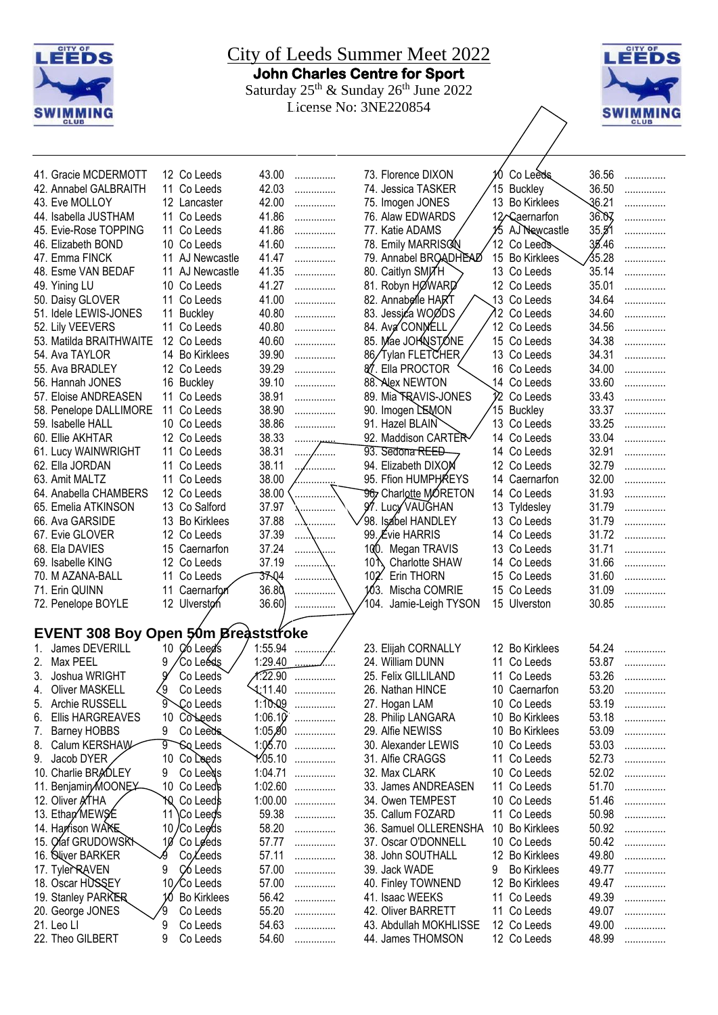



| 41. Gracie MCDERMOTT                       |             | 12 Co Leeds           | 43.00   | .         |              | 73. Florence DIXON     |    | Co Leeds           | 36.56 | . |
|--------------------------------------------|-------------|-----------------------|---------|-----------|--------------|------------------------|----|--------------------|-------|---|
| 42. Annabel GALBRAITH                      |             | 11 Co Leeds           | 42.03   | .         |              | 74. Jessica TASKER     |    | 15 Buckley         | 36.50 | . |
| 43. Eve MOLLOY                             |             | 12 Lancaster          | 42.00   | .         |              | 75. Imogen JONES       | 13 | <b>Bo Kirklees</b> | 36.21 | . |
| 44. Isabella JUSTHAM                       |             | 11 Co Leeds           | 41.86   | .         |              | 76. Alaw EDWARDS       |    | 12 Caernarfon      | 36.07 | . |
| 45. Evie-Rose TOPPING                      |             | 11 Co Leeds           | 41.86   | .         |              | 77. Katie ADAMS        |    | 15 AJ Newcastle    | 35.51 | . |
| 46. Elizabeth BOND                         |             | 10 Co Leeds           | 41.60   | .         |              | 78. Emily MARRISCN     |    | 12  Co Leeds       | 35.46 | . |
| 47. Emma FINCK                             |             | 11 AJ Newcastle       | 41.47   | .         |              | 79. Annabel BROADHEAD  |    | 15 Bo Kirklees     | 35.28 | . |
| 48. Esme VAN BEDAF                         |             | 11 AJ Newcastle       | 41.35   | .         |              | 80. Caitlyn SMJ7H      |    | 13 Co Leeds        | 35.14 | . |
|                                            |             | 10 Co Leeds           | 41.27   |           |              | 81. Robyn HØWARD       |    |                    | 35.01 |   |
| 49. Yining LU                              |             |                       |         | .         |              |                        |    | 12 Co Leeds        |       | . |
| 50. Daisy GLOVER                           | 11          | Co Leeds              | 41.00   | .         |              | 82. Annabelle HART     |    | 13 Co Leeds        | 34.64 | . |
| 51. Idele LEWIS-JONES                      | 11          | <b>Buckley</b>        | 40.80   | .         |              | 83. Jessića WOØDS      |    | 12 Co Leeds        | 34.60 | . |
| 52. Lily VEEVERS                           | 11          | Co Leeds              | 40.80   | .         |              | 84. AvaCONMELL         |    | 12 Co Leeds        | 34.56 | . |
| 53. Matilda BRAITHWAITE                    | 12          | Co Leeds              | 40.60   | .         |              | 85. Mae JOHNSTONE      |    | 15 Co Leeds        | 34.38 | . |
| 54. Ava TAYLOR                             |             | 14 Bo Kirklees        | 39.90   | .         |              | 86/Tylan FLETCHER      |    | 13 Co Leeds        | 34.31 | . |
| 55. Ava BRADLEY                            |             | 12 Co Leeds           | 39.29   | .         |              | 87. Ella PROCTOR       |    | 16 Co Leeds        | 34.00 | . |
| 56. Hannah JONES                           |             | 16 Buckley            | 39.10   | .         |              | 88. Alex NEWTON        |    | 14 Co Leeds        | 33.60 | . |
| 57. Eloise ANDREASEN                       |             | 11 Co Leeds           | 38.91   | .         |              | 89. Mia TRAVIS-JONES   |    | i∕2 Co Leeds       | 33.43 | . |
| 58. Penelope DALLIMORE                     |             | 11 Co Leeds           | 38.90   | .         |              | 90. Imogen LEMON       |    | 15 Buckley         | 33.37 | . |
| 59. Isabelle HALL                          |             | 10 Co Leeds           | 38.86   | .         |              | 91. Hazel BLAIN        |    | 13 Co Leeds        | 33.25 | . |
| 60. Ellie AKHTAR                           |             | 12 Co Leeds           | 38.33   | .         |              | 92. Maddison CARTER    |    | 14 Co Leeds        | 33.04 | . |
| 61. Lucy WAINWRIGHT                        |             | 11 Co Leeds           | 38.31   | .<br>.    |              | 93. Sedona REED        |    | 14 Co Leeds        | 32.91 | . |
| 62. Ella JORDAN                            | 11          | Co Leeds              | 38.11   | .         |              | 94. Elizabeth DIXOM    |    | 12 Co Leeds        | 32.79 | . |
| 63. Amit MALTZ                             |             | 11 Co Leeds           | 38.00   |           |              | 95. Ffion HUMPHAREYS   |    | 14 Caernarfon      | 32.00 | . |
| 64. Anabella CHAMBERS                      |             | 12 Co Leeds           | 38.00   | .         |              | 96, Charlotte MORETON  |    | 14 Co Leeds        | 31.93 |   |
|                                            |             |                       |         | .         |              |                        |    |                    |       | . |
| 65. Emelia ATKINSON                        |             | 13 Co Salford         | 37.97   | .         |              | 97. Lucy VAUGHAN       |    | 13 Tyldesley       | 31.79 | . |
| 66. Ava GARSIDE                            |             | 13 Bo Kirklees        | 37.88   | .         |              | 98. Isabel HANDLEY     |    | 13 Co Leeds        | 31.79 | . |
| 67. Evie GLOVER                            |             | 12 Co Leeds           | 37.39   | \         |              | 99. Évie HARRIS        |    | 14 Co Leeds        | 31.72 | . |
| 68. Ela DAVIES                             |             | 15 Caernarfon         | 37.24   | .         |              | 100. Megan TRAVIS      |    | 13 Co Leeds        | 31.71 | . |
| 69. Isabelle KING                          |             | 12 Co Leeds           | 37.19   | .         | 10 $\Lambda$ | Charlotte SHAW         |    | 14 Co Leeds        | 31.66 | . |
| 70. M AZANA-BALL                           |             | 11 Co Leeds           | 37.04   |           | 102.         | Erin THORN             |    | 15 Co Leeds        | 31.60 | . |
| 71. Erin QUINN                             | 11          | Caernarfor            | 36.80   |           | 103.         | Mischa COMRIE          |    | 15 Co Leeds        | 31.09 | . |
| 72. Penelope BOYLE                         |             | 12 Ulverston          | 36.60   | .         |              | 104. Jamie-Leigh TYSON |    | 15 Ulverston       | 30.85 |   |
|                                            |             |                       |         |           |              |                        |    |                    |       |   |
| <b>EVENT 308 Boy Open 50m Breaststroke</b> |             |                       |         |           |              |                        |    |                    |       |   |
| James DEVERILL                             | 10          | Co Leed's             | 1:55.94 |           |              | 23. Elijah CORNALLY    |    | 12 Bo Kirklees     | 54.24 | . |
| Max PEEL<br>2.                             | 9           | 'Co Leéds             | 1:29.40 |           |              | 24. William DUNN       |    | 11 Co Leeds        | 53.87 | . |
| 3.<br>Joshua WRIGHT                        |             | Co Leeds              | 1.22.90 | .         |              | 25. Felix GILLILAND    |    | 11 Co Leeds        | 53.26 |   |
| <b>Oliver MASKELL</b><br>4.                | 49          | Co Leeds              | 4:11.40 |           |              | 26. Nathan HINCE       |    | 10 Caernarfon      | 53.20 | . |
| Archie RUSSELL                             | $9^{\circ}$ |                       | 1:10.09 | .         |              | 27. Hogan LAM          |    |                    | 53.19 | . |
| 5.                                         |             | $\mathcal{L}$ o Leeds |         | .         |              |                        |    | 10 Co Leeds        |       | . |
| <b>Ellis HARGREAVES</b><br>6.              | 10          | Colleeds              |         | $1:06.10$ |              | 28. Philip LANGARA     |    | 10 Bo Kirklees     | 53.18 | . |
| <b>Barney HOBBS</b><br>7.                  | 9           | Co Leeds              | 1:05,00 | .         |              | 29. Alfie NEWISS       |    | 10 Bo Kirklees     | 53.09 | . |
| Calum KERSHAW<br>8.                        | ர           | <b>Go</b> Leeds       | 1:05.70 | .         |              | 30. Alexander LEWIS    |    | 10 Co Leeds        | 53.03 | . |
| Jacob DYER,<br>9.                          | 10          | Co Leeds              | 1.05.10 | .         |              | 31. Alfie CRAGGS       |    | 11 Co Leeds        | 52.73 | . |
| 10. Charlie BRADLEY                        | 9           | Co Leeds              | 1:04.71 | .         |              | 32. Max CLARK          |    | 10 Co Leeds        | 52.02 | . |
| 11. Benjamin/MOONEY                        | 10          | Co Leeds              | 1:02.60 | .         |              | 33. James ANDREASEN    |    | 11 Co Leeds        | 51.70 |   |
| 12. Oliver ATHA                            | 10          | Co Leeds              | 1:00.00 | .         |              | 34. Owen TEMPEST       |    | 10 Co Leeds        | 51.46 | . |
| 13. Ethan MEWSE                            | 11          | \Co Leed's            | 59.38   | .         |              | 35. Callum FOZARD      |    | 11 Co Leeds        | 50.98 |   |
| 14. Harrison WAKE                          | 10          | /Co Lee⁄ds            | 58.20   | .         |              | 36. Samuel OLLERENSHA  |    | 10 Bo Kirklees     | 50.92 |   |
| 15. Olaf GRUDOWSK                          | 10          | Co Leeds              | 57.77   | .         |              | 37. Oscar O'DONNELL    |    | 10 Co Leeds        | 50.42 | . |
| 16. <i>Niver BARKER</i>                    |             | Co <sub>Leeds</sub>   | 57.11   | .         |              | 38. John SOUTHALL      |    | 12 Bo Kirklees     | 49.80 | . |
| 17. TylerRAVEN                             | 9           | C <sub>6</sub> Leeds  | 57.00   | .         |              | 39. Jack WADE          | 9  | <b>Bo Kirklees</b> | 49.77 |   |
| 18. Oscar HUSSEY                           |             | 10/Co Leeds           | 57.00   | .         |              | 40. Finley TOWNEND     |    | 12 Bo Kirklees     | 49.47 | . |
| 19. Stanley PARKER                         |             | <b>Bo Kirklees</b>    | 56.42   |           |              | 41. Isaac WEEKS        |    | 11 Co Leeds        | 49.39 |   |
|                                            |             | Co Leeds              | 55.20   | .         |              | 42. Oliver BARRETT     |    | 11 Co Leeds        | 49.07 | . |
| 20. George JONES                           |             |                       |         | .         |              |                        |    |                    |       | . |
| 21. Leo Ll                                 | 9           | Co Leeds              | 54.63   | .         |              | 43. Abdullah MOKHLISSE |    | 12 Co Leeds        | 49.00 | . |
| 22. Theo GILBERT                           | 9           | Co Leeds              | 54.60   | .         |              | 44. James THOMSON      |    | 12 Co Leeds        | 48.99 | . |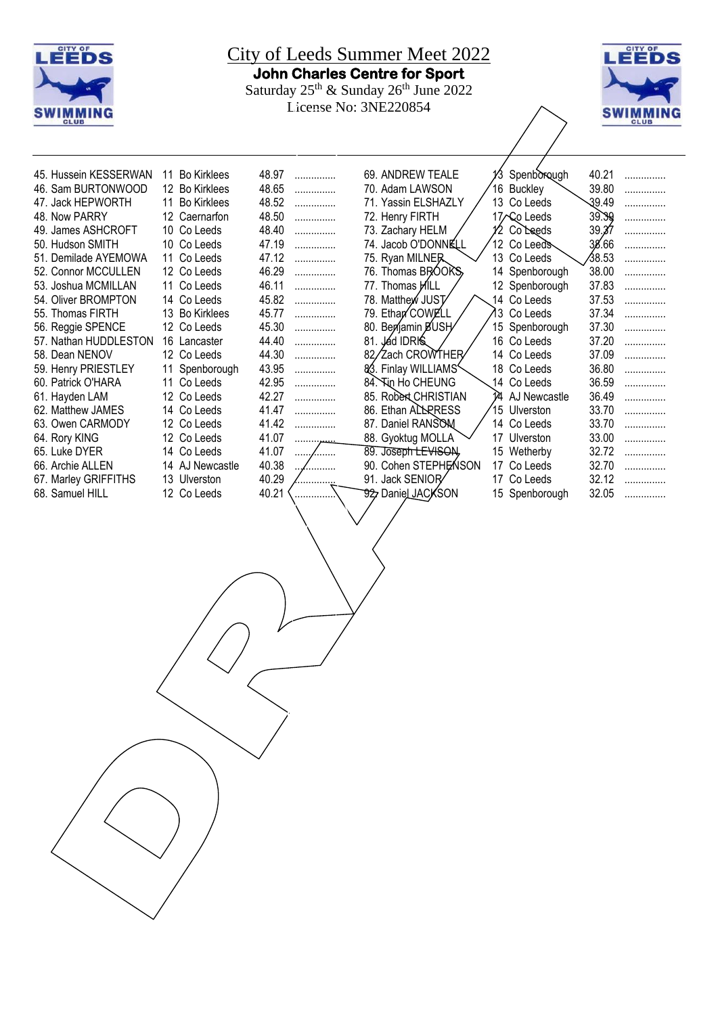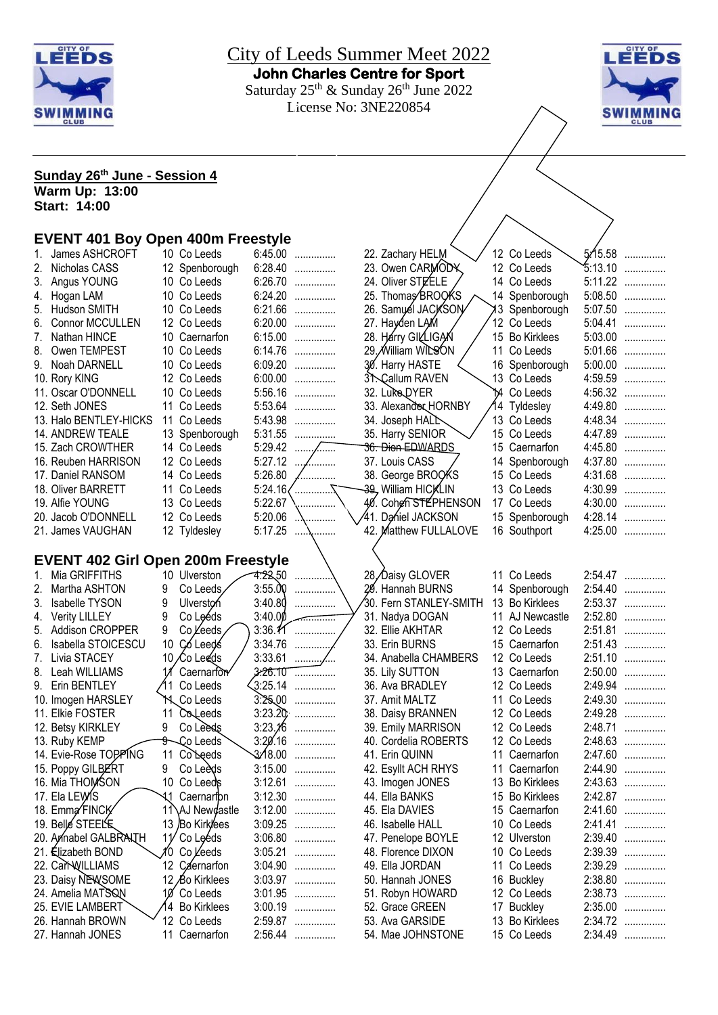



#### **Sunday 26th June - Session 4**

**Warm Up: 13:00 Start: 14:00**

# **EVENT 401 Boy Open 400m Freestyle**

| 1. | James ASHCROFT                            |    | 10 Co Leeds     | 6:45.00  | .                | 22. Zachary HELM                   |    | 12 Co Leeds                  | 5/15.58 | .       |
|----|-------------------------------------------|----|-----------------|----------|------------------|------------------------------------|----|------------------------------|---------|---------|
|    | 2. Nicholas CASS                          |    | 12 Spenborough  | 6:28.40  | .                | 23. Owen CARMODY                   |    | 12 Co Leeds                  | 5:13.10 | .       |
|    | 3. Angus YOUNG                            |    | 10 Co Leeds     | 6:26.70  | .                | 24. Oliver STEELE                  |    | 14 Co Leeds                  | 5:11.22 | .       |
|    | 4. Hogan LAM                              |    | 10 Co Leeds     | 6:24.20  | .                | 25. Thomas BROOKS                  |    | 14 Spenborough               | 5:08.50 | .       |
| 5. | Hudson SMITH                              |    | 10 Co Leeds     |          | 6:21.66          | 26. Samuél JACKSON                 |    | 13 Spenborough               | 5:07.50 | .       |
| 6. | <b>Connor MCCULLEN</b>                    |    | 12 Co Leeds     | 6:20.00  | .                | 27. Hayden LAM                     |    | 12 Co Leeds                  | 5:04.41 | .       |
| 7. | Nathan HINCE                              |    | 10 Caernarfon   |          | 6:15.00          | 28. Harry GILLIGAN                 |    | 15 Bo Kirklees               | 5:03.00 | .       |
| 8. | Owen TEMPEST                              |    | 10 Co Leeds     | 6:14.76  | .                | 29./William WILSON                 |    | 11 Co Leeds                  | 5:01.66 | .       |
|    | 9. Noah DARNELL                           |    | 10 Co Leeds     | 6:09.20  | .                | 30. Harry HASTE                    |    | 16 Spenborough               | 5:00.00 | .       |
|    | 10. Rory KING                             |    | 12 Co Leeds     | 6:00.00  | .                | 31. Callum RAVEN                   |    | 13 Co Leeds                  | 4:59.59 | .       |
|    | 11. Oscar O'DONNELL                       |    | 10 Co Leeds     | 5:56.16  | .                | 32. Luke DYER                      | 14 | Co Leeds                     | 4:56.32 | .       |
|    | 12. Seth JONES                            | 11 | Co Leeds        | 5:53.64  | .                | 33. Alexander HORNBY               |    | 14 Tyldesley                 | 4:49.80 | .       |
|    | 13. Halo BENTLEY-HICKS                    | 11 | Co Leeds        | 5:43.98  | .                | 34. Joseph HALL                    |    | 13 Co Leeds                  | 4:48.34 | .       |
|    | 14. ANDREW TEALE                          |    | 13 Spenborough  | 5:31.55  | .                | 35. Harry SENIOR                   |    | 15 Co Leeds                  | 4:47.89 | .       |
|    | 15. Zach CROWTHER                         |    | 14 Co Leeds     | 5:29.42  | 1.1.1.1.1<br>⁄…… | <del>36. Dion EDWARDS</del>        |    | 15 Caernarfon                | 4:45.80 | .       |
|    | 16. Reuben HARRISON                       |    | 12 Co Leeds     | 5:27.12  | $\cdots$<br>.    | 37. Louis CASS                     |    | 14 Spenborough               | 4:37.80 | .       |
|    | 17. Daniel RANSOM                         |    | 14 Co Leeds     | 5:26.80  | .                | 38. George BROOKS                  |    | 15 Co Leeds                  | 4:31.68 | .       |
|    | 18. Oliver BARRETT                        |    | 11 Co Leeds     |          | 5:24.16          | 39, William HICKLIN                |    | 13 Co Leeds                  | 4:30.99 | .       |
|    | 19. Alfie YOUNG                           |    | 13 Co Leeds     | 5:22.67  |                  | 40. Cohen STEPHENSON               |    | 17 Co Leeds                  | 4:30.00 | .       |
|    | 20. Jacob O'DONNELL                       |    | 12 Co Leeds     | 5:20.06  |                  | 41. Da⁄hiel JACKSON                |    | 15 Spenborough               | 4:28.14 | .       |
|    | 21. James VAUGHAN                         |    | 12 Tyldesley    | 5:17.25  |                  | 42. Matthew FULLALOVE              |    | 16 Southport                 | 4:25.00 | .       |
|    |                                           |    |                 |          |                  |                                    |    |                              |         |         |
|    | <b>EVENT 402 Girl Open 200m Freestyle</b> |    |                 |          |                  |                                    |    |                              |         |         |
|    | 1. Mia GRIFFITHS                          |    | 10 Ulverston    | 4.22.50  |                  | 28, Daisy GLOVER                   |    | 11 Co Leeds                  |         | 2:54.47 |
| 2. | Martha ASHTON                             | 9  | Co Leeds        | 3:55.00  |                  | 29. Hannah BURNS                   |    | 14 Spenborough               | 2:54.40 | .       |
| 3. | Isabelle TYSON                            | 9  | Ulverston       | 3:40.80  | .                | 30. Fern STANLEY-SMITH             |    | 13 Bo Kirklees               | 2:53.37 | .       |
|    | 4. Verity LILLEY                          | 9  | Co Leéds        | 3:40.00  |                  | 31. Nadya DOGAN                    |    | 11 AJ Newcastle              | 2:52.80 | .       |
|    | 5. Addison CROPPER                        | 9  | Co Leeds        |          | $3:36.11$        | 32. Ellie AKHTAR                   |    | 12 Co Leeds                  | 2:51.81 | .       |
|    | 6. Isabella STOICESCU                     |    | 10 Coleeds      | 3:34.76  | .                | 33. Erin BURNS                     |    | 15 Caernarfon                | 2:51.43 | .       |
| 7. | Livia STACEY                              |    | 10 Co Leeds     |          |                  | 34. Anabella CHAMBERS              |    | 12 Co Leeds                  | 2:51.10 | .       |
|    | 8. Leah WILLIAMS                          |    | Caernarfor      | 3:26.TU  | .                | 35. Lily SUTTON                    |    | 13 Caernarfon                | 2:50.00 | .       |
|    | 9. Erin BENTLEY                           | 11 | Co Leeds        | 3:25.14  | .                | 36. Ava BRADLEY                    |    | 12 Co Leeds                  | 2:49.94 | .       |
|    | 10. Imogen HARSLEY                        |    | Co Leeds        |          | $3.2500$         | 37. Amit MALTZ                     |    | 11 Co Leeds                  | 2:49.30 | .       |
|    | 11. Elkie FOSTER                          | 11 | Coleeds         |          | $3:23.20$        | 38. Daisy BRANNEN                  |    | 12 Co Leeds                  |         | 2:49.28 |
|    | 12. Betsy KIRKLEY                         | 9  | Co Leeds        | 3:23.16  | .                | 39. Emily MARRISON                 |    | 12 Co Leeds                  | 2:48.71 | .       |
|    | 13. Ruby KEMP                             | 9  | Co Leeds        | 3:20'.16 | .                | 40. Cordelia ROBERTS               |    | 12 Co Leeds                  | 2:48.63 | .       |
|    | 14. Evie-Rose TOPPING                     | 11 | Co Leeds        | 3.⁄18.00 | .                | 41. Erin QUINN                     |    | 11 Caernarfon                | 2:47.60 | .       |
|    | 15. Poppy GILBERT                         | 9  | Co Leeds        | 3:15.00  | .                | 42. Esyllt ACH RHYS                | 11 | Caernarfon                   | 2:44.90 | .       |
|    | 16. Mia THOMSON                           |    | 10 Co Leeds     | 3:12.61  | .                | 43. Imogen JONES                   |    | 13 Bo Kirklees               | 2:43.63 | .       |
|    | 17. Ela LEWIS                             |    | √ Caernarfþn    | 3:12.30  | .                | 44. Ella BANKS                     |    | 15 Bo Kirklees               |         | 2:42.87 |
|    | 18. Emma FINCK                            |    | 11\AJ Newdastle | 3:12.00  | .                | 45. Ela DAVIES                     |    | 15 Caernarfon                | 2:41.60 | .       |
|    | 19. Belle STEELE                          |    | 13 Bo Kirklees  |          | 3:09.25          | 46. Isabelle HALL                  |    | 10 Co Leeds                  | 2:41.41 | .       |
|    | 20. Annabel GALBRANTH                     | 11 | Co Leeds        |          | 3:06.80          | 47. Penelope BOYLE                 |    | 12 Ulverston                 | 2:39.40 | .       |
|    | 21. Elizabeth BOND                        |    | ∦0 Co Leeds     |          | 3:05.21          | 48. Florence DIXON                 |    | 10 Co Leeds                  |         | 2:39.39 |
|    | 22. CarNVILLIAMS                          |    | 12 Caernarfon   |          | 3:04.90          | 49. Ella JORDAN                    |    | 11 Co Leeds                  | 2:39.29 | .       |
|    | 23. Daisy NEWSOME                         |    | 12 Bo Kirklees  |          | 3:03.97          | 50. Hannah JONES                   |    | 16 Buckley                   | 2:38.80 |         |
|    | 24. Amelia MATSQN                         | 10 | Co Leeds        |          | 3:01.95          | 51. Robyn HOWARD                   |    | 12 Co Leeds                  | 2:38.73 | .<br>.  |
|    | 25. EVIE LAMBERT                          |    | 14 Bo Kirklees  | 3:00.19  | .                |                                    |    |                              | 2:35.00 |         |
|    | 26. Hannah BROWN                          |    | 12 Co Leeds     |          | 2:59.87          | 52. Grace GREEN<br>53. Ava GARSIDE |    | 17 Buckley<br>13 Bo Kirklees | 2:34.72 | .       |
|    | 27. Hannah JONES                          |    |                 |          |                  | 54. Mae JOHNSTONE                  |    | 15 Co Leeds                  |         | .       |
|    |                                           |    | 11 Caernarfon   | 2:56.44  | .                |                                    |    |                              | 2:34.49 | .       |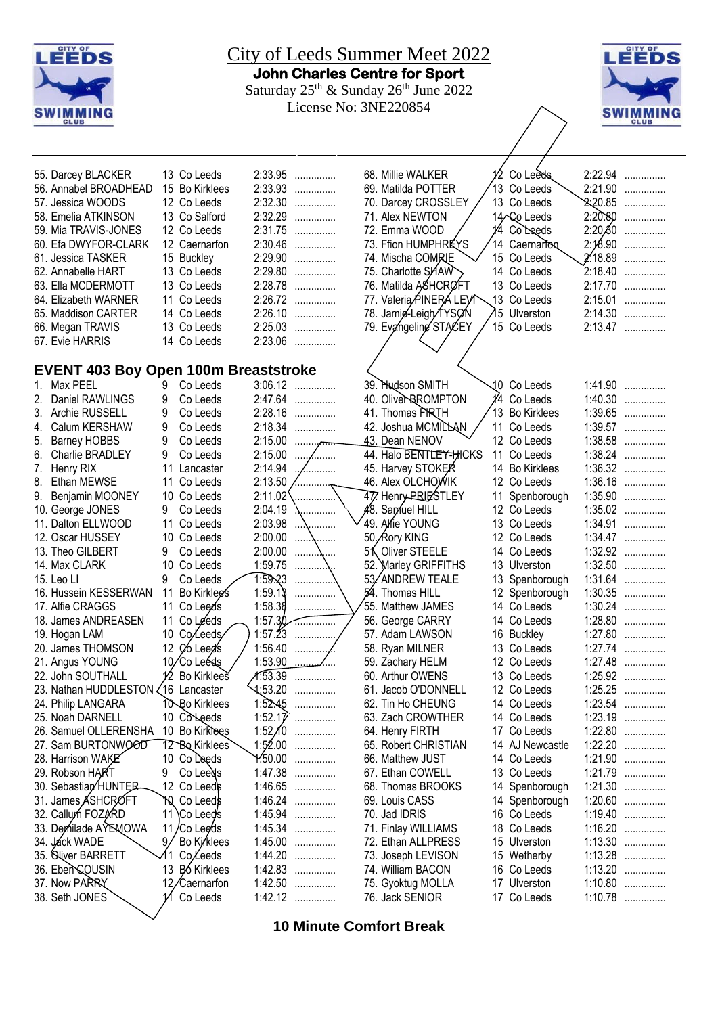

# City of Leeds Summer Meet 2022 **John Charles Centre for Sport**

Saturday  $25<sup>th</sup>$  & Sunday  $26<sup>th</sup>$  June 2022 License No: 3NE220854



68. Millie WALKER 12 Co Leeds 2:22.94 ............... 69. Matilda POTTER 13 Co Leeds 2:21.90 ...............

71. Alex NEWTON / 14 Co Leeds 2:20.80 ............... 72. Emma WOOD 14 Co Leeds 2:20.30 ............... 73. Ffion HUMPHREYS 14 Caernarfon 2:18.90 ............... 74. Mischa COMRIE 15 Co Leeds 2:18.89 ............... 75. Charlotte SHAW 14 Co Leeds 2:18.40 ...............<br>76. Matilda ASHCRØFT 13 Co Leeds 2:17.70 ............... 76. Matilda ASHCROFT 13 Co Leeds 2:17.70 ...............<br>77. Valeria PINERA LEYN 13 Co Leeds 2:15.01 ............... 77. Valeria PINERA LEVI 13 Co Leeds 2:15.01 ...............<br>78. Jamie-Leigh TYSON 75 Ulverston 2:14.30 ...............

79. Evangeline STACEY / 15 Co Leeds 2:13.47 ...............

70. Darcey CROSSLEY  $/$  13 Co Leeds

78. Jamie-Leigh/TYSON 75 Ulverston<br>19. Evangeline STACEY / 15 Co Leeds

| 13 Co Leeds    | 2:33.95<br>. |
|----------------|--------------|
| 15 Bo Kirklees | 2:33.93<br>. |
| 12 Co Leeds    | 2:32.30<br>. |
| 13 Co Salford  | 2:32.29      |
| 12 Co Leeds    | 2:31.75<br>. |
| 12 Caernarfon  | 2:30.46      |
| 15 Buckley     | 2:29.90      |
| 13 Co Leeds    | 2:29.80      |
| 13 Co Leeds    | 2:28.78<br>. |
| 11 Co Leeds    | 2:26.72      |
| 14 Co Leeds    | 2:26.10      |
| 13 Co Leeds    | 2:25.03      |
| 14 Co Leeds    | 2:23.06<br>. |
|                |              |

## **EVENT 403 Boy Open 100m Breaststroke**

|    | <b>EVENT 403 Boy Open 100m Breaststroke</b> |                 |                                |                        |                               |  |                        |    |                 |         |           |
|----|---------------------------------------------|-----------------|--------------------------------|------------------------|-------------------------------|--|------------------------|----|-----------------|---------|-----------|
| 1. | Max PEEL                                    | 9               | Co Leeds                       |                        | $3:06.12$                     |  | 39. Hudson SMITH       |    | 10 Co Leeds     |         | 1:41.90   |
| 2. | Daniel RAWLINGS                             | 9               | Co Leeds                       | 2:47.64                | .                             |  | 40. Olive RROMPTON     |    | 1⁄4 Co Leeds    |         | $1:40.30$ |
|    | 3. Archie RUSSELL                           | 9               | Co Leeds                       |                        | 2:28.16                       |  | 41. Thomas PRTH        |    | 13 Bo Kirklees  |         | $1:39.65$ |
| 4. | Calum KERSHAW                               | 9               | Co Leeds                       | 2:18.34                | .                             |  | 42. Joshua MCMILLAN    |    | 11 Co Leeds     |         | $1:39.57$ |
| 5. | <b>Barney HOBBS</b>                         | 9               | Co Leeds                       | 2:15.00                | $\ldots \ldots \ldots \ldots$ |  | 43. Dean NENOV         |    | 12 Co Leeds     |         | $1:38.58$ |
| 6. | <b>Charlie BRADLEY</b>                      | 9               | Co Leeds                       | 2:15.00                | .                             |  | 44. Halo BENTLEY-HICKS | 11 | Co Leeds        |         | $1:38.24$ |
| 7. | Henry RIX                                   | 11              | Lancaster                      | 2:14.94                | /                             |  | 45. Harvey STOKER      |    | 14 Bo Kirklees  | 1:36.32 | .         |
| 8. | <b>Ethan MEWSE</b>                          | 11              | Co Leeds                       | 2:13.50                |                               |  | 46. Alex OLCHOWIK      |    | 12 Co Leeds     | 1:36.16 | .         |
| 9. | Benjamin MOONEY                             | 10              | Co Leeds                       | 2:11.02                | .                             |  | 47. Henry PRIESTLEY    | 11 | Spenborough     | 1:35.90 | .         |
|    | 10. George JONES                            | 9               | Co Leeds                       | 2:04.19                | .                             |  | 48. Samuel HILL        |    | 12 Co Leeds     | 1:35.02 | .         |
|    | 11. Dalton ELLWOOD                          | 11              | Co Leeds                       | 2:03.98                | .                             |  | 49. Alfie YOUNG        |    | 13 Co Leeds     | 1:34.91 | .         |
|    | 12. Oscar HUSSEY                            | 10              | Co Leeds                       | 2:00.00                | .                             |  | 50, Rory KING          |    | 12 Co Leeds     | 1:34.47 | .         |
|    | 13. Theo GILBERT                            | 9               | Co Leeds                       | 2:00.00                | .                             |  | 51 Oliver STEELE       |    | 14 Co Leeds     |         | $1:32.92$ |
|    | 14. Max CLARK                               | 10              | Co Leeds                       | 1:59.75                |                               |  | 52. Marley GRIFFITHS   |    | 13 Ulverston    |         | $1:32.50$ |
|    | 15. Leo Ll                                  | 9               | Co Leeds                       | 1:59.23                | .                             |  | 53/ANDREW TEALE        |    | 13 Spenborough  |         | $1:31.64$ |
|    | 16. Hussein KESSERWAN                       | 11              | Bo Kirklees                    | 1:59.1                 | .                             |  | 54. Thomas HILL        |    | 12 Spenborough  | 1:30.35 | .         |
|    | 17. Alfie CRAGGS                            | 11              | Co Leeds                       | 1:58.38                | .                             |  | 55. Matthew JAMES      |    | 14 Co Leeds     | 1:30.24 | .         |
|    | 18. James ANDREASEN                         | 11              | Co Leeds                       |                        | 1:57.30                       |  | 56. George CARRY       |    | 14 Co Leeds     |         | $1:28.80$ |
|    | 19. Hogan LAM                               | 10              | Co/Leeds                       |                        | $1:57.23$                     |  | 57. Adam LAWSON        |    | 16 Buckley      |         | $1:27.80$ |
|    | 20. James THOMSON                           | 12              | Co Leed's                      | 1:56.40                | .                             |  | 58. Ryan MILNER        |    | 13 Co Leeds     |         | $1:27.74$ |
|    | 21. Angus YOUNG                             | 10 <sub>l</sub> | Co Leéds                       | 1:53.90                |                               |  | 59. Zachary HELM       |    | 12 Co Leeds     |         | $1:27.48$ |
|    | 22. John SOUTHALL                           | 12              | Bo Kirklees                    |                        | $\pi$ :53.39                  |  | 60. Arthur OWENS       |    | 13 Co Leeds     |         | $1:25.92$ |
|    | 23. Nathan HUDDLESTON                       |                 | 16 Lancaster                   | $\frac{1.53.20}{5.20}$ | .                             |  | 61. Jacob O'DONNELL    |    | 12 Co Leeds     |         | $1:25.25$ |
|    | 24. Philip LANGARA                          |                 | <b>10 Bo Kirklees</b>          | 1:52.45                | .                             |  | 62. Tin Ho CHEUNG      |    | 14 Co Leeds     | 1:23.54 | .         |
|    | 25. Noah DARNELL                            | 10              | Co <sub>Needs</sub>            | 1:52.17                | .                             |  | 63. Zach CROWTHER      |    | 14 Co Leeds     | 1:23.19 | .         |
|    | 26. Samuel OLLERENSHA                       | 10              | <b>Bo Kirklees</b>             | 1:52 $\chi$ 0          | .                             |  | 64. Henry FIRTH        |    | 17 Co Leeds     | 1:22.80 | .         |
|    | 27. Sam BURTONWOOD                          |                 | 12 Bo Kirklees                 | 1:52.00                | .                             |  | 65. Robert CHRISTIAN   |    | 14 AJ Newcastle | 1:22.20 | .         |
|    | 28. Harrison WAKE                           | 10              | Co Leeds                       | 1.50.00                | .                             |  | 66. Matthew JUST       |    | 14 Co Leeds     | 1:21.90 | .         |
|    | 29. Robson HART                             | 9               | Co Leeds                       |                        | 1:47.38                       |  | 67. Ethan COWELL       |    | 13 Co Leeds     | 1:21.79 | .         |
|    | 30. Sebastian HUNTER                        | 12              | Co Leeds                       |                        | $1:46.65$                     |  | 68. Thomas BROOKS      |    | 14 Spenborough  | 1:21.30 | .         |
|    | 31. James ASHCROFT                          | 10              | Co Leeds                       |                        | $1:46.24$                     |  | 69. Louis CASS         |    | 14 Spenborough  | 1:20.60 | .         |
|    | 32. Callum FOZARD                           | 11              | <b>Co Leeds</b>                | 1:45.94                | .                             |  | 70. Jad IDRIS          |    | 16 Co Leeds     | 1:19.40 | .         |
|    | 33. Demilade AYEMOWA                        | 11              | /Co Lee⁄ds                     | 1:45.34                | .                             |  | 71. Finlay WILLIAMS    |    | 18 Co Leeds     | 1:16.20 | .         |
|    | 34. Jáck WADE                               | 9.              | Bo Kirklees                    | 1:45.00                | .                             |  | 72. Ethan ALLPRESS     |    | 15 Ulverston    |         | $1:13.30$ |
|    | 35. Niver BARRETT                           |                 | CoLeeds                        | 1:44.20                | .                             |  | 73. Joseph LEVISON     |    | 15 Wetherby     | 1:13.28 | .         |
|    | 36. Eben COUSIN                             | 13              | <b>B</b> <sub>6</sub> Kirklees |                        | $1:42.83$                     |  | 74. William BACON      |    | 16 Co Leeds     | 1:13.20 | .         |
|    | 37. Now PARRY                               |                 | 12/Caernarfon                  | 1:42.50                | .                             |  | 75. Gyoktug MOLLA      |    | 17 Ulverston    | 1:10.80 | .         |
|    | 38. Seth JONES                              |                 | Co Leeds                       |                        | 1:42.12                       |  | 76. Jack SENIOR        |    | 17 Co Leeds     |         | $1:10.78$ |
|    |                                             |                 |                                |                        |                               |  |                        |    |                 |         |           |

**10 Minute Comfort Break**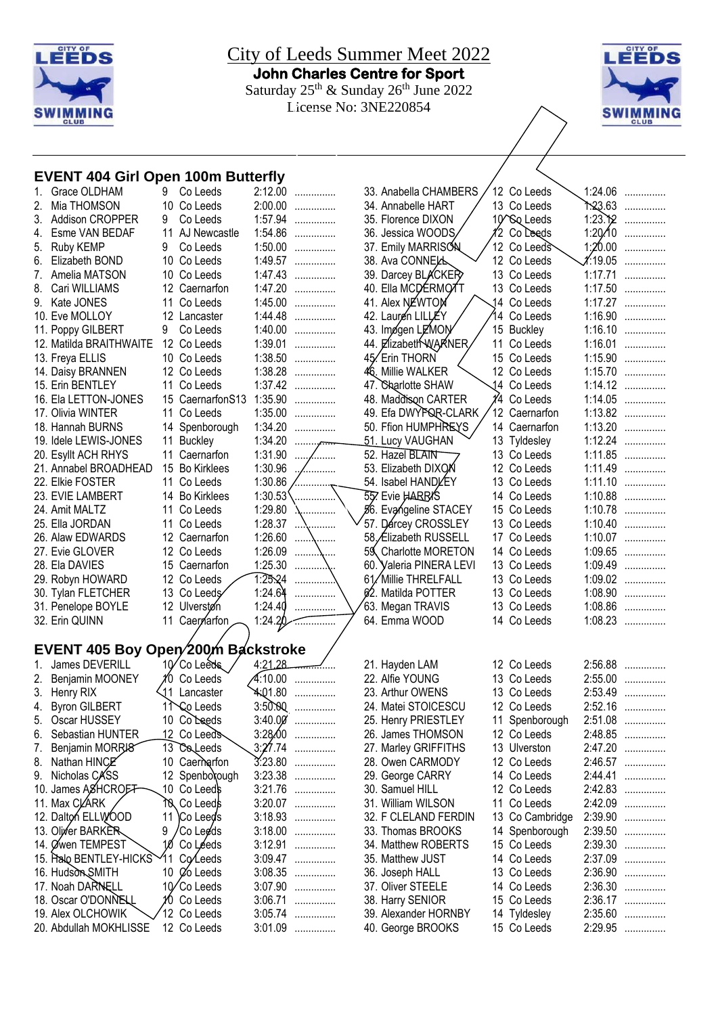



#### **EVENT 404 Girl Open 100m Butterfly**

| 1. | Grace OLDHAM                       | 9               | Co Leeds           | 2:12.00        | .              | 33             |
|----|------------------------------------|-----------------|--------------------|----------------|----------------|----------------|
| 2. | Mia THOMSON                        |                 | 10 Co Leeds        | 2:00.00        | .              | 34             |
| 3. | Addison CROPPER                    | 9               | Co Leeds           | 1:57.94        | .              | 35             |
| 4. | Esme VAN BEDAF                     |                 | 11 AJ Newcastle    | 1:54.86        | .              | 36             |
| 5. | Ruby KEMP                          | 9               | Co Leeds           | 1:50.00        | .              | 37             |
| 6. | Elizabeth BOND                     |                 | 10 Co Leeds        | 1:49.57        | .              | 38             |
| 7. | Amelia MATSON                      |                 | 10 Co Leeds        | 1:47.43        | .              | 39             |
| 8. | Cari WILLIAMS                      |                 | 12 Caernarfon      | 1:47.20        | .              | 40             |
| 9. | Kate JONES                         |                 | 11 Co Leeds        | 1:45.00        | .              | 4 <sup>′</sup> |
|    | 10. Eve MOLLOY                     |                 | 12 Lancaster       | 1:44.48        | .              | 42             |
|    | 11. Poppy GILBERT                  | 9               | Co Leeds           | 1:40.00        | .              | 43             |
|    | 12. Matilda BRAITHWAITE            |                 | 12 Co Leeds        | 1:39.01        | .              | 44             |
|    | 13. Freya ELLIS                    |                 | 10 Co Leeds        | 1:38.50        | .              | 45             |
|    | 14. Daisy BRANNEN                  |                 | 12 Co Leeds        | 1:38.28        | .              | 4              |
|    | 15. Erin BENTLEY                   |                 | 11 Co Leeds        | 1:37.42        | .              | 47             |
|    | 16. Ela LETTON-JONES               |                 | 15 CaernarfonS13   | 1:35.90        | .              | 48             |
|    | 17. Olivia WINTER                  |                 | 11 Co Leeds        | 1:35.00        | .              | 49             |
|    | 18. Hannah BURNS                   |                 | 14 Spenborough     | 1:34.20        | .              | 50             |
|    | 19. Idele LEWIS-JONES              |                 | 11 Buckley         | 1:34.20        |                | 5 <sup>′</sup> |
|    | 20. Esyllt ACH RHYS                |                 | 11 Caernarfon      | 1:31.90        |                | 5'             |
|    | 21. Annabel BROADHEAD              |                 | 15 Bo Kirklees     | 1:30.96        | , <sub>.</sub> | 53             |
|    | 22. Elkie FOSTER                   |                 | 11 Co Leeds        |                |                |                |
|    |                                    |                 |                    | 1:30.86        |                | 54             |
|    | 23. EVIE LAMBERT                   |                 | 14 Bo Kirklees     | 1:30.53        |                | 55             |
|    | 24. Amit MALTZ                     |                 | 11 Co Leeds        | 1:29.80        |                | ø              |
|    | 25. Ella JORDAN                    |                 | 11 Co Leeds        | 1:28.37        | .              | 5 <sub>i</sub> |
|    | 26. Alaw EDWARDS                   |                 | 12 Caernarfon      | 1:26.60        | .              | 58             |
|    | 27. Evie GLOVER                    |                 | 12 Co Leeds        | 1:26.09        |                | 59             |
|    | 28. Ela DAVIES                     |                 | 15 Caernarfon      | 1:25.30        |                | 60             |
|    | 29. Robyn HOWARD                   |                 | 12 Co Leeds        | 1:25.24        |                | 61             |
|    | 30. Tylan FLETCHER                 |                 | 13 Co Leeds        | 1:24.64        |                | 62             |
|    | 31. Penelope BOYLE                 |                 | 12 Ulverstøn       | 1:24.40        |                | 63             |
|    | 32. Erin QUINN                     | 11              | Caerrarfon         | 1:24.20        |                | 64             |
|    |                                    |                 |                    |                |                |                |
|    | EVENT 405 Boy Open/200m Backstroke |                 |                    |                |                |                |
| 1. | James DEVERILL                     |                 | 10 Co Leeds        | 4:21.28        |                | $2^{\prime}$   |
| 2. | Benjamin MOONEY                    | 10              | Co Leeds           | 4:10.00        | .              | $\overline{2}$ |
| 3. | Henry RIX                          |                 | 11 Lancaster       | <b>4:01.80</b> |                | 23             |
| 4. | <b>Byron GILBERT</b>               |                 | 1 \Co Leeds        | 3:50.00        |                | 24             |
| 5. | Oscar HUSSEY                       |                 | 10 Coleeds         | 3:40.00        | .              | 25             |
| 6. | Sebastian HUNTER                   |                 | 12 Co Leeds        | 3:28,00        | .              | 26             |
| 7. | Benjamin MORRJ8                    |                 | 13 Coleeds         | 3:27.74        | .              | 27             |
| 8. | Nathan HINCE                       |                 | 10 Caernarfon      | 3:23.80        | .              | 28             |
| 9. | Nicholas CASS                      | 12              | Spenboxough        | 3:23.38        | .              | 29             |
|    | 10. James ASHCROFF                 |                 | 10 Co Leeds        | 3:21.76        | .              | 30             |
|    | 11. Max CLARK                      |                 | <b>10 Co Leeds</b> | 3:20.07        | .              | 3 <sup>′</sup> |
|    | 12. Dalton ELLWOOD                 | 11              | Co Leeds           | 3:18.93        | .              | 32             |
|    | 13. Oliver BARKER                  | 9               | Co Legds           | 3:18.00        | .              | 33             |
|    | 14. Øwen TEMPEST                   |                 | 10 Co Leeds        | 3:12.91        | .              | 34             |
|    | 15. Halo BENTLEY-HICKS             | 11              | Co⁄Leeds           | 3:09.47        | .              | 35             |
|    | 16. Hudson SMITH                   |                 | 10 Øo Leeds        | 3:08.35        | .              | 36             |
|    | 17. Noah DARNELL                   | 10 <sub>l</sub> | Co Leeds           | 3:07.90        | .              | 37             |
|    | 18. Oscar O'DONNELL                | 10              | Co Leeds           | 3:06.71        | .              | 38             |
|    | 19. Alex OLCHOWIK                  |                 | 12 Co Leeds        | 3:05.74        | .              | 39             |
|    | 20. Abdullah MOKHLISSE             |                 | 12 Co Leeds        | 3:01.09        | .              | 40             |
|    |                                    |                 |                    |                |                |                |

| 33. Anabella CHAMBERS   |          | 12 Co Leeds              | 1:24.06 | .            |
|-------------------------|----------|--------------------------|---------|--------------|
| 34. Annabelle HART      |          | 13 Co Leeds              | ት:23.63 | .            |
| 35. Florence DIXON      |          | 10 <sup>^</sup> So Leeds | 1:23.12 | .            |
| 36. Jessica WOODS       |          | 12 Co Leeds              | 1:20.10 | .            |
| 37. Emily MARRISON      |          | 12 Co Leeds              | 1:20.00 | .            |
| 38. Ava CONNELL         |          | 12 Co Leeds              | ∦:19.05 | .            |
| 39. Darcey BLACKER      | 13       | Co Leeds                 | 1:17.71 |              |
|                         | 13       |                          |         | .            |
| 40. Ella MCDERMOTT      |          | Co Leeds                 | 1:17.50 | .            |
| 41. Alex NEWTON         | 14<br>14 | Co Leeds                 | 1:17.27 | .            |
| 42. Lauren LILLEY       |          | Co Leeds                 | 1:16.90 | .            |
| 43. Imogen LEMON        | 15       | <b>Buckley</b>           | 1:16.10 | .            |
| 44. Elizabeth WARNER    | 11       | Co Leeds                 | 1:16.01 | .            |
| 45/Erin THORN           | 15       | Co Leeds                 | 1:15.90 | .            |
| 46. Millie WALKER       | 12       | Co Leeds                 | 1:15.70 | .            |
| 47. Charlotte SHAW      |          | 14 Co Leeds              | 1:14.12 | .            |
| 48. Maddison CARTER     | 1⁄4      | Co Leeds                 | 1:14.05 | .            |
| 49. Efa DWYFQR-CLARK    | 12       | Caernarfon               | 1:13.82 | .            |
| 50. Ffion HUMPHREYS     | 14       | Caernarfon               | 1:13.20 | .            |
| 51. Lucy VAUGHAN        | 13       | Tyldesley                | 1:12.24 | .            |
| 52. Hazel BLAIN         | 13       | Co Leeds                 | 1:11.85 | .            |
| 53. Elizabeth DIXON     | 12       | Co Leeds                 | 1:11.49 | .            |
| 54. Isabel HANDLEY      | 13       | Co Leeds                 | 1:11.10 | .            |
| 55. Evie HARBIS         | 14       | Co Leeds                 | 1:10.88 |              |
| 56. Evangeline STACEY   | 15       | Co Leeds                 | 1:10.78 | .            |
| 57. Darcey CROSSLEY     | 13       | Co Leeds                 | 1:10.40 | .            |
|                         |          |                          |         | .            |
| 58, Elizabeth RUSSELL   | 17       | Co Leeds                 | 1:10.07 | .            |
| 59 Charlotte MORETON    | 14       | Co Leeds                 | 1:09.65 | .            |
| 60. Valeria PINERA LEVI | 13.      | Co Leeds                 | 1:09.49 | .            |
| 61/Millie THRELFALL     | 13       | Co Leeds                 | 1:09.02 | .            |
| 62. Matilda POTTER      | 13       | Co Leeds                 | 1:08.90 | .            |
| 63. Megan TRAVIS        | 13       | Co Leeds                 | 1:08.86 | .            |
| 64. Emma WOOD           |          | 14 Co Leeds              | 1:08.23 | .            |
|                         |          |                          |         |              |
|                         |          |                          |         |              |
| 21. Hayden LAM          |          | 12 Co Leeds              | 2:56.88 | .            |
| 22. Alfie YOUNG         |          | 13 Co Leeds              | 2:55.00 | .            |
| 23. Arthur OWENS        |          | 13 Co Leeds              | 2:53.49 | . <b>.</b> . |
| 24. Matei STOICESCU     |          | 12 Co Leeds              | 2:52.16 | .            |
| 25. Henry PRIESTLEY     |          | 11 Spenborough           | 2:51.08 |              |
|                         |          |                          | 2:48.85 | .            |
| 26. James THOMSON       |          | 12 Co Leeds              |         | .            |
| 27. Marley GRIFFITHS    |          | 13 Ulverston             | 2:47.20 | .            |
| 28. Owen CARMODY        |          | 12 Co Leeds              | 2:46.57 | .            |
| 29. George CARRY        |          | 14 Co Leeds              | 2:44.41 | .            |
| 30. Samuel HILL         |          | 12 Co Leeds              | 2:42.83 | .            |
| 31. William WILSON      | 11       | Co Leeds                 | 2:42.09 | .            |
| 32. F CLELAND FERDIN    | 13       | Co Cambridge             | 2:39.90 | .            |
| 33. Thomas BROOKS       | 14       | Spenborough              | 2:39.50 | .            |
| 34. Matthew ROBERTS     | 15       | Co Leeds                 | 2:39.30 | .            |
| 35. Matthew JUST        | 14       | Co Leeds                 | 2:37.09 | .            |
| 36. Joseph HALL         | 13       | Co Leeds                 | 2:36.90 | .            |
| 37. Oliver STEELE       | 14       | Co Leeds                 | 2:36.30 | .            |
| 38. Harry SENIOR        | 15       | Co Leeds                 | 2:36.17 | .            |
| 39. Alexander HORNBY    | 14       | Tyldesley                | 2:35.60 | .            |
| 40. George BROOKS       | 15       | Co Leeds                 | 2:29.95 | .            |
|                         |          |                          |         |              |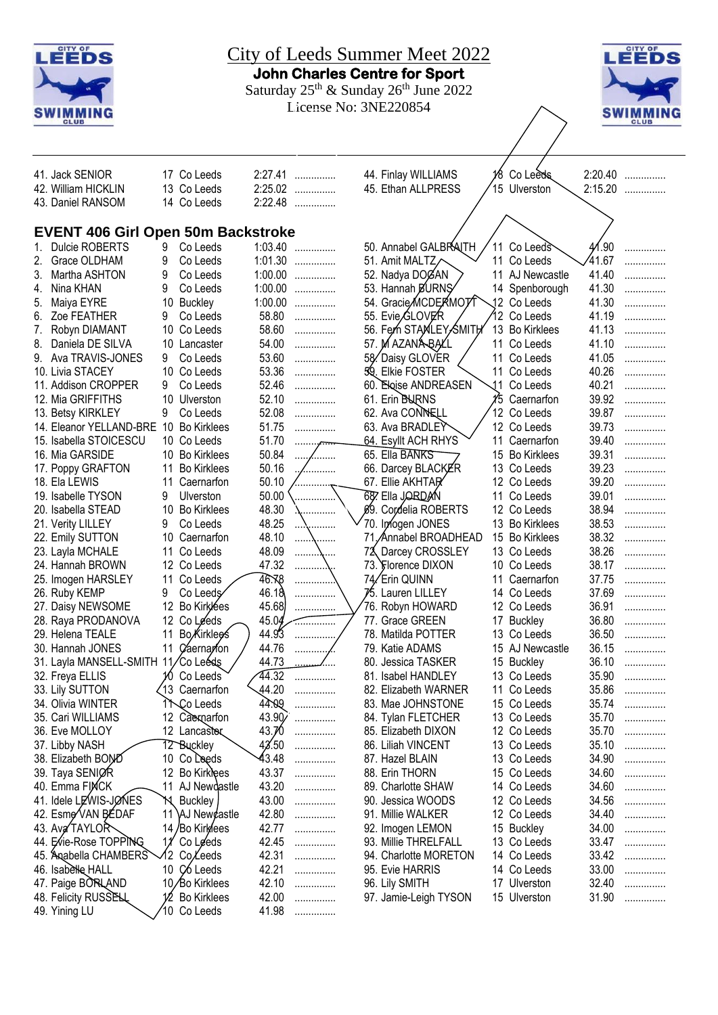